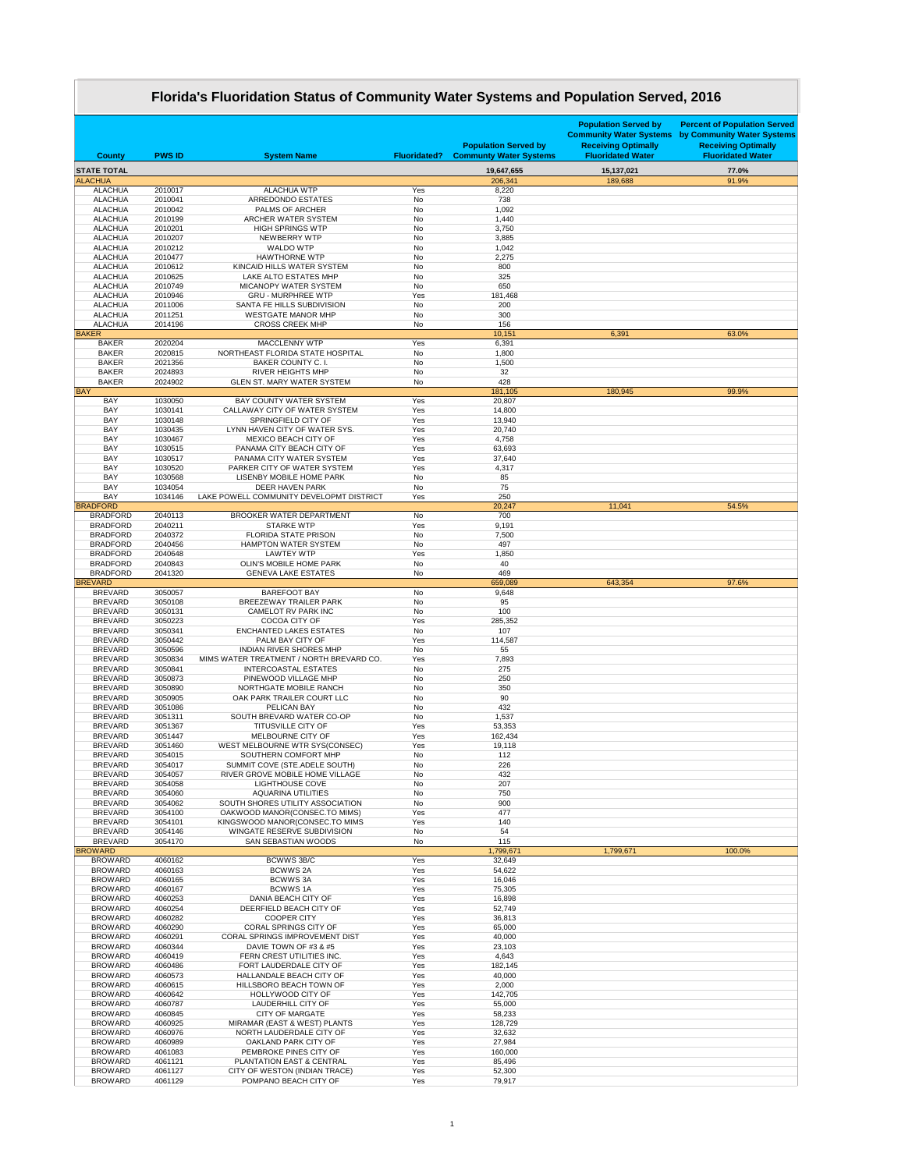|                                    |                    | Florida's Fluoridation Status of Community Water Systems and Population Served, 2016 |                        |                                                              |                                                                                                                         |                                                                                                                             |
|------------------------------------|--------------------|--------------------------------------------------------------------------------------|------------------------|--------------------------------------------------------------|-------------------------------------------------------------------------------------------------------------------------|-----------------------------------------------------------------------------------------------------------------------------|
| <b>County</b>                      | <b>PWS ID</b>      | <b>System Name</b>                                                                   | <b>Fluoridated?</b>    | <b>Population Served by</b><br><b>Communty Water Systems</b> | <b>Population Served by</b><br><b>Community Water Systems</b><br><b>Receiving Optimally</b><br><b>Fluoridated Water</b> | <b>Percent of Population Served</b><br>by Community Water Systems<br><b>Receiving Optimally</b><br><b>Fluoridated Water</b> |
| <b>STATE TOTAL</b>                 |                    |                                                                                      |                        | 19,647,655                                                   | 15,137,021                                                                                                              | 77.0%                                                                                                                       |
| <b>ALACHUA</b>                     |                    |                                                                                      |                        | 206,341                                                      | 189,688                                                                                                                 | 91.9%                                                                                                                       |
| <b>ALACHUA</b>                     | 2010017            | <b>ALACHUA WTP</b>                                                                   | Yes                    | 8,220                                                        |                                                                                                                         |                                                                                                                             |
| <b>ALACHUA</b><br><b>ALACHUA</b>   | 2010041<br>2010042 | <b>ARREDONDO ESTATES</b><br><b>PALMS OF ARCHER</b>                                   | <b>No</b><br><b>No</b> | 738<br>1,092                                                 |                                                                                                                         |                                                                                                                             |
| <b>ALACHUA</b>                     | 2010199            | ARCHER WATER SYSTEM                                                                  | No                     | 1,440                                                        |                                                                                                                         |                                                                                                                             |
| <b>ALACHUA</b>                     | 2010201            | <b>HIGH SPRINGS WTP</b>                                                              | <b>No</b>              | 3,750                                                        |                                                                                                                         |                                                                                                                             |
| <b>ALACHUA</b>                     | 2010207            | <b>NEWBERRY WTP</b>                                                                  | <b>No</b>              | 3,885                                                        |                                                                                                                         |                                                                                                                             |
| <b>ALACHUA</b>                     | 2010212            | <b>WALDO WTP</b>                                                                     | <b>No</b>              | 1,042                                                        |                                                                                                                         |                                                                                                                             |
| <b>ALACHUA</b><br><b>ALACHUA</b>   | 2010477<br>2010612 | <b>HAWTHORNE WTP</b><br>KINCAID HILLS WATER SYSTEM                                   | <b>No</b><br><b>No</b> | 2,275<br>800                                                 |                                                                                                                         |                                                                                                                             |
| <b>ALACHUA</b>                     | 2010625            | LAKE ALTO ESTATES MHP                                                                | <b>No</b>              | 325                                                          |                                                                                                                         |                                                                                                                             |
| <b>ALACHUA</b>                     | 2010749            | <b>MICANOPY WATER SYSTEM</b>                                                         | <b>No</b>              | 650                                                          |                                                                                                                         |                                                                                                                             |
| <b>ALACHUA</b>                     | 2010946            | <b>GRU - MURPHREE WTP</b>                                                            | Yes                    | 181,468                                                      |                                                                                                                         |                                                                                                                             |
| <b>ALACHUA</b><br><b>ALACHUA</b>   | 2011006<br>2011251 | SANTA FE HILLS SUBDIVISION<br><b>WESTGATE MANOR MHP</b>                              | <b>No</b><br><b>No</b> | 200<br>300                                                   |                                                                                                                         |                                                                                                                             |
| <b>ALACHUA</b>                     | 2014196            | <b>CROSS CREEK MHP</b>                                                               | <b>No</b>              | 156                                                          |                                                                                                                         |                                                                                                                             |
| <b>BAKER</b>                       |                    |                                                                                      |                        | 10,151                                                       | 6,391                                                                                                                   | 63.0%                                                                                                                       |
| <b>BAKER</b>                       | 2020204            | <b>MACCLENNY WTP</b>                                                                 | Yes                    | 6,391                                                        |                                                                                                                         |                                                                                                                             |
| <b>BAKER</b><br><b>BAKER</b>       | 2020815<br>2021356 | NORTHEAST FLORIDA STATE HOSPITAL<br><b>BAKER COUNTY C. I.</b>                        | No<br><b>No</b>        | 1,800                                                        |                                                                                                                         |                                                                                                                             |
| <b>BAKER</b>                       | 2024893            | <b>RIVER HEIGHTS MHP</b>                                                             | <b>No</b>              | 1,500<br>32                                                  |                                                                                                                         |                                                                                                                             |
| <b>BAKER</b>                       | 2024902            | <b>GLEN ST. MARY WATER SYSTEM</b>                                                    | <b>No</b>              | 428                                                          |                                                                                                                         |                                                                                                                             |
| <b>BAY</b>                         |                    |                                                                                      |                        | 181,105                                                      | 180,945                                                                                                                 | 99.9%                                                                                                                       |
| <b>BAY</b>                         | 1030050            | <b>BAY COUNTY WATER SYSTEM</b>                                                       | Yes                    | 20,807                                                       |                                                                                                                         |                                                                                                                             |
| <b>BAY</b><br><b>BAY</b>           | 1030141<br>1030148 | CALLAWAY CITY OF WATER SYSTEM<br><b>SPRINGFIELD CITY OF</b>                          | Yes<br>Yes             | 14,800<br>13,940                                             |                                                                                                                         |                                                                                                                             |
| <b>BAY</b>                         | 1030435            | LYNN HAVEN CITY OF WATER SYS.                                                        | Yes                    | 20,740                                                       |                                                                                                                         |                                                                                                                             |
| <b>BAY</b>                         | 1030467            | <b>MEXICO BEACH CITY OF</b>                                                          | Yes                    | 4,758                                                        |                                                                                                                         |                                                                                                                             |
| <b>BAY</b>                         | 1030515            | PANAMA CITY BEACH CITY OF                                                            | Yes                    | 63,693                                                       |                                                                                                                         |                                                                                                                             |
| <b>BAY</b>                         | 1030517            | PANAMA CITY WATER SYSTEM                                                             | Yes                    | 37,640                                                       |                                                                                                                         |                                                                                                                             |
| <b>BAY</b><br><b>BAY</b>           | 1030520<br>1030568 | PARKER CITY OF WATER SYSTEM<br><b>LISENBY MOBILE HOME PARK</b>                       | Yes<br><b>No</b>       | 4,317<br>85                                                  |                                                                                                                         |                                                                                                                             |
| <b>BAY</b>                         | 1034054            | <b>DEER HAVEN PARK</b>                                                               | <b>No</b>              | 75                                                           |                                                                                                                         |                                                                                                                             |
| <b>BAY</b>                         | 1034146            | LAKE POWELL COMMUNITY DEVELOPMT DISTRICT                                             | Yes                    | 250                                                          |                                                                                                                         |                                                                                                                             |
| <b>BRADFORD</b>                    |                    |                                                                                      |                        | 20,247                                                       | 11,041                                                                                                                  | 54.5%                                                                                                                       |
| <b>BRADFORD</b><br><b>BRADFORD</b> | 2040113<br>2040211 | <b>BROOKER WATER DEPARTMENT</b><br><b>STARKE WTP</b>                                 | No<br>Yes              | 700<br>9,191                                                 |                                                                                                                         |                                                                                                                             |
| <b>BRADFORD</b>                    | 2040372            | <b>FLORIDA STATE PRISON</b>                                                          | No                     | 7,500                                                        |                                                                                                                         |                                                                                                                             |
| <b>BRADFORD</b>                    | 2040456            | <b>HAMPTON WATER SYSTEM</b>                                                          | <b>No</b>              | 497                                                          |                                                                                                                         |                                                                                                                             |
| <b>BRADFORD</b>                    | 2040648            | <b>LAWTEY WTP</b>                                                                    | Yes                    | 1,850                                                        |                                                                                                                         |                                                                                                                             |
| <b>BRADFORD</b>                    | 2040843            | <b>OLIN'S MOBILE HOME PARK</b>                                                       | <b>No</b>              | 40                                                           |                                                                                                                         |                                                                                                                             |
| <b>BRADFORD</b><br><b>BREVARD</b>  | 2041320            | <b>GENEVA LAKE ESTATES</b>                                                           | No                     | 469<br>659,089                                               | 643,354                                                                                                                 | 97.6%                                                                                                                       |
| <b>BREVARD</b>                     | 3050057            | <b>BAREFOOT BAY</b>                                                                  | No                     | 9,648                                                        |                                                                                                                         |                                                                                                                             |
| <b>BREVARD</b>                     | 3050108            | <b>BREEZEWAY TRAILER PARK</b>                                                        | No                     | 95                                                           |                                                                                                                         |                                                                                                                             |
| <b>BREVARD</b>                     | 3050131            | <b>CAMELOT RV PARK INC</b>                                                           | <b>No</b>              | 100                                                          |                                                                                                                         |                                                                                                                             |
| <b>BREVARD</b><br><b>BREVARD</b>   | 3050223<br>3050341 | <b>COCOA CITY OF</b><br><b>ENCHANTED LAKES ESTATES</b>                               | Yes<br>No              | 285,352<br>107                                               |                                                                                                                         |                                                                                                                             |
| <b>BREVARD</b>                     | 3050442            | PALM BAY CITY OF                                                                     | Yes                    | 114,587                                                      |                                                                                                                         |                                                                                                                             |
| <b>BREVARD</b>                     | 3050596            | <b>INDIAN RIVER SHORES MHP</b>                                                       | No                     | 55                                                           |                                                                                                                         |                                                                                                                             |
| <b>BREVARD</b>                     | 3050834            | MIMS WATER TREATMENT / NORTH BREVARD CO.                                             | Yes                    | 7,893                                                        |                                                                                                                         |                                                                                                                             |
| <b>BREVARD</b><br><b>BREVARD</b>   | 3050841<br>3050873 | <b>INTERCOASTAL ESTATES</b><br>PINEWOOD VILLAGE MHP                                  | No<br><b>No</b>        | 275<br>250                                                   |                                                                                                                         |                                                                                                                             |
| <b>BREVARD</b>                     | 3050890            | NORTHGATE MOBILE RANCH                                                               | No                     | 350                                                          |                                                                                                                         |                                                                                                                             |
| <b>BREVARD</b>                     | 3050905            | OAK PARK TRAILER COURT LLC                                                           | <b>No</b>              | 90                                                           |                                                                                                                         |                                                                                                                             |
| <b>BREVARD</b>                     | 3051086            | <b>PELICAN BAY</b>                                                                   | <b>No</b>              | 432                                                          |                                                                                                                         |                                                                                                                             |
| <b>BREVARD</b>                     | 3051311            | SOUTH BREVARD WATER CO-OP                                                            | No                     | 1,537                                                        |                                                                                                                         |                                                                                                                             |
| <b>BREVARD</b><br><b>BREVARD</b>   | 3051367<br>3051447 | TITUSVILLE CITY OF<br>MELBOURNE CITY OF                                              | Yes<br>Yes             | 53,353<br>162,434                                            |                                                                                                                         |                                                                                                                             |
| <b>BREVARD</b>                     | 3051460            | WEST MELBOURNE WTR SYS(CONSEC)                                                       | Yes                    | 19,118                                                       |                                                                                                                         |                                                                                                                             |
| <b>BREVARD</b>                     | 3054015            | SOUTHERN COMFORT MHP                                                                 | <b>No</b>              | 112                                                          |                                                                                                                         |                                                                                                                             |
| <b>BREVARD</b>                     | 3054017            | SUMMIT COVE (STE.ADELE SOUTH)                                                        | <b>No</b>              | 226                                                          |                                                                                                                         |                                                                                                                             |
| <b>BREVARD</b><br><b>BREVARD</b>   | 3054057<br>3054058 | RIVER GROVE MOBILE HOME VILLAGE<br><b>LIGHTHOUSE COVE</b>                            | No<br><b>No</b>        | 432<br>207                                                   |                                                                                                                         |                                                                                                                             |
| <b>BREVARD</b>                     | 3054060            | <b>AQUARINA UTILITIES</b>                                                            | <b>No</b>              | 750                                                          |                                                                                                                         |                                                                                                                             |
| <b>BREVARD</b>                     | 3054062            | SOUTH SHORES UTILITY ASSOCIATION                                                     | <b>No</b>              | 900                                                          |                                                                                                                         |                                                                                                                             |
| <b>BREVARD</b>                     | 3054100            | OAKWOOD MANOR(CONSEC.TO MIMS)                                                        | Yes                    | 477                                                          |                                                                                                                         |                                                                                                                             |
| <b>BREVARD</b>                     | 3054101            | KINGSWOOD MANOR(CONSEC.TO MIMS                                                       | Yes                    | 140                                                          |                                                                                                                         |                                                                                                                             |
| <b>BREVARD</b><br><b>BREVARD</b>   | 3054146<br>3054170 | WINGATE RESERVE SUBDIVISION<br><b>SAN SEBASTIAN WOODS</b>                            | <b>No</b><br><b>No</b> | 54<br>115                                                    |                                                                                                                         |                                                                                                                             |
| <b>BROWARD</b>                     |                    |                                                                                      |                        | 1,799,671                                                    | 1,799,671                                                                                                               | 100.0%                                                                                                                      |
| <b>BROWARD</b>                     | 4060162            | <b>BCWWS 3B/C</b>                                                                    | Yes                    | 32,649                                                       |                                                                                                                         |                                                                                                                             |
| <b>BROWARD</b>                     | 4060163            | <b>BCWWS 2A</b>                                                                      | Yes                    | 54,622                                                       |                                                                                                                         |                                                                                                                             |
| <b>BROWARD</b><br><b>BROWARD</b>   | 4060165<br>4060167 | <b>BCWWS3A</b><br><b>BCWWS1A</b>                                                     | Yes<br>Yes             | 16,046<br>75,305                                             |                                                                                                                         |                                                                                                                             |
| <b>BROWARD</b>                     | 4060253            | DANIA BEACH CITY OF                                                                  | Yes                    | 16,898                                                       |                                                                                                                         |                                                                                                                             |
| <b>BROWARD</b>                     | 4060254            | DEERFIELD BEACH CITY OF                                                              | Yes                    | 52,749                                                       |                                                                                                                         |                                                                                                                             |
| <b>BROWARD</b>                     | 4060282            | <b>COOPER CITY</b>                                                                   | Yes                    | 36,813                                                       |                                                                                                                         |                                                                                                                             |
| <b>BROWARD</b>                     | 4060290            | <b>CORAL SPRINGS CITY OF</b>                                                         | Yes                    | 65,000                                                       |                                                                                                                         |                                                                                                                             |
| <b>BROWARD</b><br><b>BROWARD</b>   | 4060291<br>4060344 | <b>CORAL SPRINGS IMPROVEMENT DIST</b><br>DAVIE TOWN OF #3 & #5                       | Yes<br>Yes             | 40,000<br>23,103                                             |                                                                                                                         |                                                                                                                             |
| <b>BROWARD</b>                     | 4060419            | FERN CREST UTILITIES INC.                                                            | Yes                    | 4,643                                                        |                                                                                                                         |                                                                                                                             |
| <b>BROWARD</b>                     | 4060486            | FORT LAUDERDALE CITY OF                                                              | Yes                    | 182,145                                                      |                                                                                                                         |                                                                                                                             |
| <b>BROWARD</b>                     | 4060573            | HALLANDALE BEACH CITY OF                                                             | Yes                    | 40,000                                                       |                                                                                                                         |                                                                                                                             |
| <b>BROWARD</b>                     | 4060615            | HILLSBORO BEACH TOWN OF                                                              | Yes                    | 2,000                                                        |                                                                                                                         |                                                                                                                             |
| <b>BROWARD</b><br><b>BROWARD</b>   | 4060642<br>4060787 | HOLLYWOOD CITY OF<br><b>LAUDERHILL CITY OF</b>                                       | Yes<br>Yes             | 142,705<br>55,000                                            |                                                                                                                         |                                                                                                                             |
| <b>BROWARD</b>                     | 4060845            | <b>CITY OF MARGATE</b>                                                               | Yes                    | 58,233                                                       |                                                                                                                         |                                                                                                                             |
| <b>BROWARD</b>                     | 4060925            | MIRAMAR (EAST & WEST) PLANTS                                                         | Yes                    | 128,729                                                      |                                                                                                                         |                                                                                                                             |
| <b>BROWARD</b>                     | 4060976            | NORTH LAUDERDALE CITY OF                                                             | Yes                    | 32,632                                                       |                                                                                                                         |                                                                                                                             |
| <b>BROWARD</b>                     | 4060989            | OAKLAND PARK CITY OF                                                                 | Yes                    | 27,984                                                       |                                                                                                                         |                                                                                                                             |
| <b>BROWARD</b><br><b>BROWARD</b>   | 4061083<br>4061121 | PEMBROKE PINES CITY OF<br>PLANTATION EAST & CENTRAL                                  | Yes<br>Yes             | 160,000<br>85,496                                            |                                                                                                                         |                                                                                                                             |
| <b>BROWARD</b>                     | 4061127            | CITY OF WESTON (INDIAN TRACE)                                                        | Yes                    | 52,300                                                       |                                                                                                                         |                                                                                                                             |
| <b>BROWARD</b>                     | 4061129            | POMPANO BEACH CITY OF                                                                | Yes                    | 79,917                                                       |                                                                                                                         |                                                                                                                             |

<u> Tanzania de la contrada de la contrada de la contrada de la contrada de la contrada de la contrada de la con</u>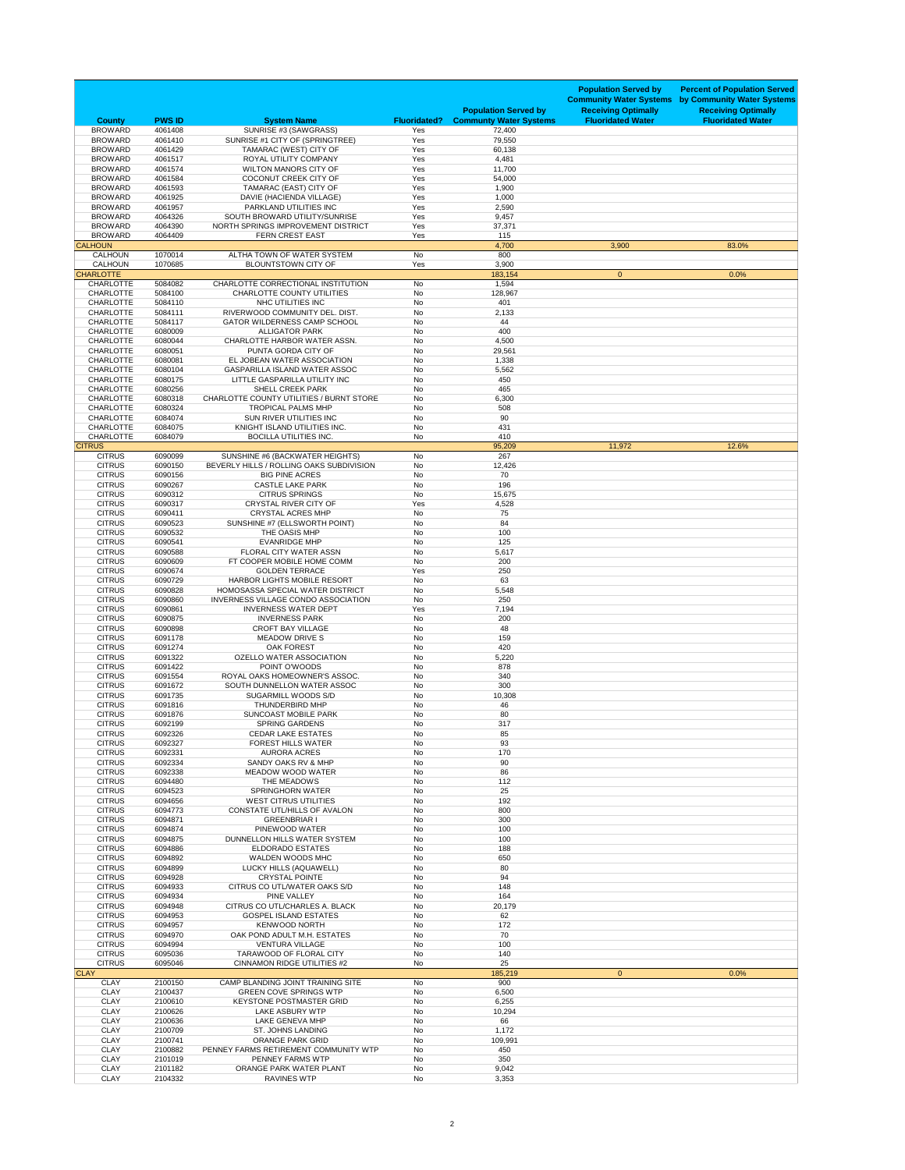| <b>County</b>                        | <b>PWS ID</b>      | <b>System Name</b>                                                    | <b>Fluoridated?</b>    | <b>Population Served by</b><br><b>Communty Water Systems</b> | <b>Population Served by</b><br><b>Community Water Systems</b><br><b>Receiving Optimally</b><br><b>Fluoridated Water</b> | <b>Percent of Population Served</b><br>by Community Water Systems<br><b>Receiving Optimally</b><br><b>Fluoridated Water</b> |
|--------------------------------------|--------------------|-----------------------------------------------------------------------|------------------------|--------------------------------------------------------------|-------------------------------------------------------------------------------------------------------------------------|-----------------------------------------------------------------------------------------------------------------------------|
| <b>BROWARD</b>                       | 4061408<br>4061410 | SUNRISE #3 (SAWGRASS)                                                 | Yes                    | 72,400                                                       |                                                                                                                         |                                                                                                                             |
| <b>BROWARD</b><br><b>BROWARD</b>     | 4061429            | SUNRISE #1 CITY OF (SPRINGTREE)<br>TAMARAC (WEST) CITY OF             | Yes<br>Yes             | 79,550<br>60,138                                             |                                                                                                                         |                                                                                                                             |
| <b>BROWARD</b>                       | 4061517            | <b>ROYAL UTILITY COMPANY</b>                                          | Yes                    | 4,481                                                        |                                                                                                                         |                                                                                                                             |
| <b>BROWARD</b><br><b>BROWARD</b>     | 4061574<br>4061584 | <b>WILTON MANORS CITY OF</b><br><b>COCONUT CREEK CITY OF</b>          | Yes<br>Yes             | 11,700<br>54,000                                             |                                                                                                                         |                                                                                                                             |
| <b>BROWARD</b>                       | 4061593            | TAMARAC (EAST) CITY OF                                                | Yes                    | 1,900                                                        |                                                                                                                         |                                                                                                                             |
| <b>BROWARD</b>                       | 4061925            | DAVIE (HACIENDA VILLAGE)                                              | Yes                    | 1,000                                                        |                                                                                                                         |                                                                                                                             |
| <b>BROWARD</b><br><b>BROWARD</b>     | 4061957<br>4064326 | PARKLAND UTILITIES INC<br>SOUTH BROWARD UTILITY/SUNRISE               | Yes<br>Yes             | 2,590<br>9,457                                               |                                                                                                                         |                                                                                                                             |
| <b>BROWARD</b>                       | 4064390            | NORTH SPRINGS IMPROVEMENT DISTRICT                                    | Yes                    | 37,371                                                       |                                                                                                                         |                                                                                                                             |
| <b>BROWARD</b><br><b>CALHOUN</b>     | 4064409            | FERN CREST EAST                                                       | Yes                    | 115<br>4,700                                                 | 3,900                                                                                                                   | 83.0%                                                                                                                       |
| <b>CALHOUN</b>                       | 1070014            | ALTHA TOWN OF WATER SYSTEM                                            | No                     | 800                                                          |                                                                                                                         |                                                                                                                             |
| <b>CALHOUN</b>                       | 1070685            | <b>BLOUNTSTOWN CITY OF</b>                                            | Yes                    | 3,900                                                        |                                                                                                                         |                                                                                                                             |
| <b>CHARLOTTE</b><br><b>CHARLOTTE</b> | 5084082            | CHARLOTTE CORRECTIONAL INSTITUTION                                    | <b>No</b>              | 183,154<br>1,594                                             | $\mathbf{0}$                                                                                                            | 0.0%                                                                                                                        |
| <b>CHARLOTTE</b>                     | 5084100            | <b>CHARLOTTE COUNTY UTILITIES</b>                                     | No                     | 128,967                                                      |                                                                                                                         |                                                                                                                             |
| <b>CHARLOTTE</b><br><b>CHARLOTTE</b> | 5084110<br>5084111 | NHC UTILITIES INC<br>RIVERWOOD COMMUNITY DEL. DIST.                   | <b>No</b><br>No        | 401<br>2,133                                                 |                                                                                                                         |                                                                                                                             |
| <b>CHARLOTTE</b>                     | 5084117            | <b>GATOR WILDERNESS CAMP SCHOOL</b>                                   | <b>No</b>              | 44                                                           |                                                                                                                         |                                                                                                                             |
| <b>CHARLOTTE</b>                     | 6080009            | <b>ALLIGATOR PARK</b>                                                 | <b>No</b>              | 400                                                          |                                                                                                                         |                                                                                                                             |
| <b>CHARLOTTE</b><br><b>CHARLOTTE</b> | 6080044<br>6080051 | CHARLOTTE HARBOR WATER ASSN.<br>PUNTA GORDA CITY OF                   | <b>No</b><br>No        | 4,500<br>29,561                                              |                                                                                                                         |                                                                                                                             |
| <b>CHARLOTTE</b>                     | 6080081            | EL JOBEAN WATER ASSOCIATION                                           | No                     | 1,338                                                        |                                                                                                                         |                                                                                                                             |
| <b>CHARLOTTE</b><br><b>CHARLOTTE</b> | 6080104<br>6080175 | <b>GASPARILLA ISLAND WATER ASSOC</b><br>LITTLE GASPARILLA UTILITY INC | <b>No</b><br>No        | 5,562<br>450                                                 |                                                                                                                         |                                                                                                                             |
| <b>CHARLOTTE</b>                     | 6080256            | <b>SHELL CREEK PARK</b>                                               | No                     | 465                                                          |                                                                                                                         |                                                                                                                             |
| <b>CHARLOTTE</b>                     | 6080318            | <b>CHARLOTTE COUNTY UTILITIES / BURNT STORE</b>                       | <b>No</b>              | 6,300                                                        |                                                                                                                         |                                                                                                                             |
| <b>CHARLOTTE</b><br><b>CHARLOTTE</b> | 6080324<br>6084074 | <b>TROPICAL PALMS MHP</b><br>SUN RIVER UTILITIES INC                  | No<br><b>No</b>        | 508<br>90                                                    |                                                                                                                         |                                                                                                                             |
| <b>CHARLOTTE</b>                     | 6084075            | KNIGHT ISLAND UTILITIES INC.                                          | No                     | 431                                                          |                                                                                                                         |                                                                                                                             |
| <b>CHARLOTTE</b><br><b>CITRUS</b>    | 6084079            | <b>BOCILLA UTILITIES INC.</b>                                         | No                     | 410<br>95,209                                                | 11,972                                                                                                                  | 12.6%                                                                                                                       |
| <b>CITRUS</b>                        | 6090099            | SUNSHINE #6 (BACKWATER HEIGHTS)                                       | No                     | 267                                                          |                                                                                                                         |                                                                                                                             |
| <b>CITRUS</b>                        | 6090150            | BEVERLY HILLS / ROLLING OAKS SUBDIVISION                              | <b>No</b>              | 12,426                                                       |                                                                                                                         |                                                                                                                             |
| <b>CITRUS</b><br><b>CITRUS</b>       | 6090156<br>6090267 | <b>BIG PINE ACRES</b><br><b>CASTLE LAKE PARK</b>                      | <b>No</b><br><b>No</b> | 70<br>196                                                    |                                                                                                                         |                                                                                                                             |
| <b>CITRUS</b>                        | 6090312            | <b>CITRUS SPRINGS</b>                                                 | No                     | 15,675                                                       |                                                                                                                         |                                                                                                                             |
| <b>CITRUS</b>                        | 6090317            | <b>CRYSTAL RIVER CITY OF</b>                                          | Yes                    | 4,528                                                        |                                                                                                                         |                                                                                                                             |
| <b>CITRUS</b><br><b>CITRUS</b>       | 6090411<br>6090523 | <b>CRYSTAL ACRES MHP</b><br>SUNSHINE #7 (ELLSWORTH POINT)             | No<br>No               | 75<br>84                                                     |                                                                                                                         |                                                                                                                             |
| <b>CITRUS</b>                        | 6090532            | THE OASIS MHP                                                         | No                     | 100                                                          |                                                                                                                         |                                                                                                                             |
| <b>CITRUS</b><br><b>CITRUS</b>       | 6090541<br>6090588 | <b>EVANRIDGE MHP</b><br><b>FLORAL CITY WATER ASSN</b>                 | No<br>No               | 125<br>5,617                                                 |                                                                                                                         |                                                                                                                             |
| <b>CITRUS</b>                        | 6090609            | FT COOPER MOBILE HOME COMM                                            | No                     | 200                                                          |                                                                                                                         |                                                                                                                             |
| <b>CITRUS</b><br><b>CITRUS</b>       | 6090674<br>6090729 | <b>GOLDEN TERRACE</b><br>HARBOR LIGHTS MOBILE RESORT                  | Yes<br>No              | 250<br>63                                                    |                                                                                                                         |                                                                                                                             |
| <b>CITRUS</b>                        | 6090828            | <b>HOMOSASSA SPECIAL WATER DISTRICT</b>                               | No                     | 5,548                                                        |                                                                                                                         |                                                                                                                             |
| <b>CITRUS</b>                        | 6090860            | INVERNESS VILLAGE CONDO ASSOCIATION                                   | No                     | 250                                                          |                                                                                                                         |                                                                                                                             |
| <b>CITRUS</b><br><b>CITRUS</b>       | 6090861<br>6090875 | <b>INVERNESS WATER DEPT</b><br><b>INVERNESS PARK</b>                  | Yes<br><b>No</b>       | 7,194<br>200                                                 |                                                                                                                         |                                                                                                                             |
| <b>CITRUS</b>                        | 6090898            | <b>CROFT BAY VILLAGE</b>                                              | <b>No</b>              | 48                                                           |                                                                                                                         |                                                                                                                             |
| <b>CITRUS</b><br><b>CITRUS</b>       | 6091178<br>6091274 | <b>MEADOW DRIVE S</b><br><b>OAK FOREST</b>                            | <b>No</b><br>No        | 159<br>420                                                   |                                                                                                                         |                                                                                                                             |
| <b>CITRUS</b>                        | 6091322            | <b>OZELLO WATER ASSOCIATION</b>                                       | No                     | 5,220                                                        |                                                                                                                         |                                                                                                                             |
| <b>CITRUS</b>                        | 6091422            | POINT O'WOODS                                                         | No                     | 878                                                          |                                                                                                                         |                                                                                                                             |
| <b>CITRUS</b><br><b>CITRUS</b>       | 6091554<br>6091672 | ROYAL OAKS HOMEOWNER'S ASSOC.<br>SOUTH DUNNELLON WATER ASSOC          | <b>No</b><br><b>No</b> | 340<br>300                                                   |                                                                                                                         |                                                                                                                             |
| <b>CITRUS</b>                        | 6091735            | SUGARMILL WOODS S/D                                                   | No                     | 10,308                                                       |                                                                                                                         |                                                                                                                             |
| <b>CITRUS</b><br><b>CITRUS</b>       | 6091816<br>6091876 | THUNDERBIRD MHP<br><b>SUNCOAST MOBILE PARK</b>                        | <b>No</b><br>No        | 46<br>80                                                     |                                                                                                                         |                                                                                                                             |
| <b>CITRUS</b>                        | 6092199            | <b>SPRING GARDENS</b>                                                 | No                     | 317                                                          |                                                                                                                         |                                                                                                                             |
| <b>CITRUS</b>                        | 6092326            | <b>CEDAR LAKE ESTATES</b>                                             | No                     | 85                                                           |                                                                                                                         |                                                                                                                             |
| <b>CITRUS</b><br><b>CITRUS</b>       | 6092327<br>6092331 | <b>FOREST HILLS WATER</b><br><b>AURORA ACRES</b>                      | No<br>No               | 93<br>170                                                    |                                                                                                                         |                                                                                                                             |
| <b>CITRUS</b>                        | 6092334            | SANDY OAKS RV & MHP                                                   | No                     | 90                                                           |                                                                                                                         |                                                                                                                             |
| <b>CITRUS</b><br><b>CITRUS</b>       | 6092338<br>6094480 | <b>MEADOW WOOD WATER</b><br>THE MEADOWS                               | No<br>No               | 86<br>112                                                    |                                                                                                                         |                                                                                                                             |
| <b>CITRUS</b>                        | 6094523            | <b>SPRINGHORN WATER</b>                                               | No                     | 25                                                           |                                                                                                                         |                                                                                                                             |
| <b>CITRUS</b>                        | 6094656            | <b>WEST CITRUS UTILITIES</b>                                          | <b>No</b>              | 192                                                          |                                                                                                                         |                                                                                                                             |
| <b>CITRUS</b><br><b>CITRUS</b>       | 6094773<br>6094871 | CONSTATE UTL/HILLS OF AVALON<br><b>GREENBRIAR I</b>                   | No<br>No               | 800<br>300                                                   |                                                                                                                         |                                                                                                                             |
| <b>CITRUS</b>                        | 6094874            | PINEWOOD WATER                                                        | <b>No</b>              | 100                                                          |                                                                                                                         |                                                                                                                             |
| <b>CITRUS</b><br><b>CITRUS</b>       | 6094875<br>6094886 | DUNNELLON HILLS WATER SYSTEM<br><b>ELDORADO ESTATES</b>               | No<br>No               | 100<br>188                                                   |                                                                                                                         |                                                                                                                             |
| <b>CITRUS</b>                        | 6094892            | <b>WALDEN WOODS MHC</b>                                               | No                     | 650                                                          |                                                                                                                         |                                                                                                                             |
| <b>CITRUS</b><br><b>CITRUS</b>       | 6094899<br>6094928 | LUCKY HILLS (AQUAWELL)<br><b>CRYSTAL POINTE</b>                       | <b>No</b><br>No        | 80<br>94                                                     |                                                                                                                         |                                                                                                                             |
| <b>CITRUS</b>                        | 6094933            | CITRUS CO UTL/WATER OAKS S/D                                          | No                     | 148                                                          |                                                                                                                         |                                                                                                                             |
| <b>CITRUS</b>                        | 6094934            | PINE VALLEY                                                           | <b>No</b>              | 164                                                          |                                                                                                                         |                                                                                                                             |
| <b>CITRUS</b><br><b>CITRUS</b>       | 6094948<br>6094953 | CITRUS CO UTL/CHARLES A. BLACK<br><b>GOSPEL ISLAND ESTATES</b>        | No<br>No               | 20,179<br>62                                                 |                                                                                                                         |                                                                                                                             |
| <b>CITRUS</b>                        | 6094957            | <b>KENWOOD NORTH</b>                                                  | <b>No</b>              | 172                                                          |                                                                                                                         |                                                                                                                             |
| <b>CITRUS</b><br><b>CITRUS</b>       | 6094970<br>6094994 | OAK POND ADULT M.H. ESTATES<br><b>VENTURA VILLAGE</b>                 | No<br>No               | 70<br>100                                                    |                                                                                                                         |                                                                                                                             |
| <b>CITRUS</b>                        | 6095036            | <b>TARAWOOD OF FLORAL CITY</b>                                        | No                     | 140                                                          |                                                                                                                         |                                                                                                                             |
| <b>CITRUS</b>                        | 6095046            | <b>CINNAMON RIDGE UTILITIES #2</b>                                    | No                     | 25                                                           |                                                                                                                         |                                                                                                                             |
| <b>CLAY</b><br><b>CLAY</b>           | 2100150            | CAMP BLANDING JOINT TRAINING SITE                                     | No                     | 185,219<br>900                                               | $\overline{0}$                                                                                                          | 0.0%                                                                                                                        |
| <b>CLAY</b>                          | 2100437            | <b>GREEN COVE SPRINGS WTP</b>                                         | No                     | 6,500                                                        |                                                                                                                         |                                                                                                                             |
| <b>CLAY</b><br><b>CLAY</b>           | 2100610<br>2100626 | <b>KEYSTONE POSTMASTER GRID</b><br><b>LAKE ASBURY WTP</b>             | No<br>No               | 6,255<br>10,294                                              |                                                                                                                         |                                                                                                                             |
| <b>CLAY</b>                          | 2100636            | <b>LAKE GENEVA MHP</b>                                                | No                     | 66                                                           |                                                                                                                         |                                                                                                                             |
| <b>CLAY</b><br><b>CLAY</b>           | 2100709<br>2100741 | <b>ST. JOHNS LANDING</b><br><b>ORANGE PARK GRID</b>                   | No<br>No               | 1,172<br>109,991                                             |                                                                                                                         |                                                                                                                             |
| <b>CLAY</b>                          | 2100882            | PENNEY FARMS RETIREMENT COMMUNITY WTP                                 | No                     | 450                                                          |                                                                                                                         |                                                                                                                             |
| <b>CLAY</b>                          | 2101019            | PENNEY FARMS WTP                                                      | No                     | 350                                                          |                                                                                                                         |                                                                                                                             |
| <b>CLAY</b><br><b>CLAY</b>           | 2101182<br>2104332 | ORANGE PARK WATER PLANT<br><b>RAVINES WTP</b>                         | No<br>No               | 9,042<br>3,353                                               |                                                                                                                         |                                                                                                                             |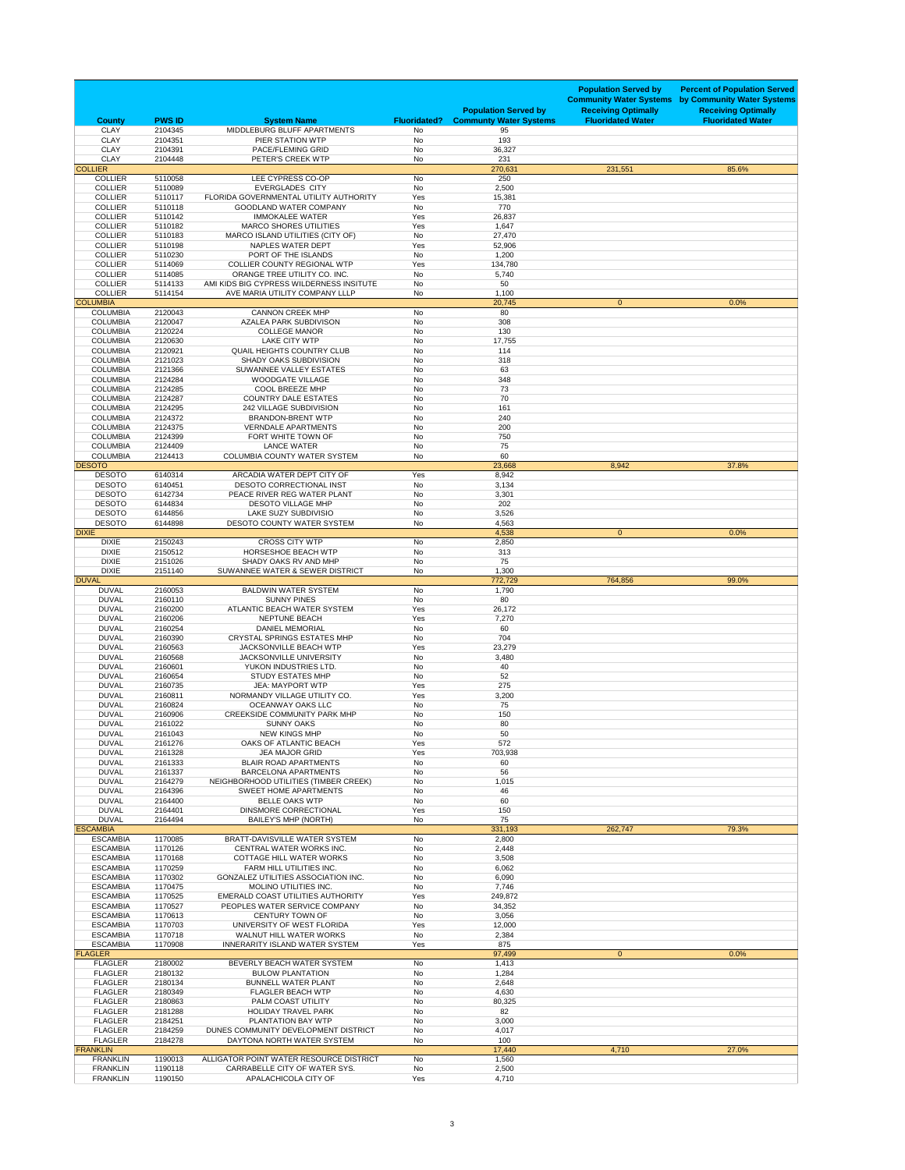| <b>County</b>                      | <b>PWS ID</b>      | <b>System Name</b>                                                         | <b>Fluoridated?</b>    | <b>Population Served by</b><br><b>Communty Water Systems</b> | <b>Population Served by</b><br><b>Community Water Systems</b><br><b>Receiving Optimally</b><br><b>Fluoridated Water</b> | <b>Percent of Population Served</b><br>by Community Water Systems<br><b>Receiving Optimally</b><br><b>Fluoridated Water</b> |
|------------------------------------|--------------------|----------------------------------------------------------------------------|------------------------|--------------------------------------------------------------|-------------------------------------------------------------------------------------------------------------------------|-----------------------------------------------------------------------------------------------------------------------------|
| <b>CLAY</b>                        | 2104345            | MIDDLEBURG BLUFF APARTMENTS                                                | <b>No</b>              | 95                                                           |                                                                                                                         |                                                                                                                             |
| <b>CLAY</b><br><b>CLAY</b>         | 2104351<br>2104391 | PIER STATION WTP<br><b>PACE/FLEMING GRID</b>                               | <b>No</b><br>No        | 193<br>36,327                                                |                                                                                                                         |                                                                                                                             |
| <b>CLAY</b><br><b>COLLIER</b>      | 2104448            | PETER'S CREEK WTP                                                          | No                     | 231                                                          |                                                                                                                         |                                                                                                                             |
| <b>COLLIER</b>                     | 5110058            | LEE CYPRESS CO-OP                                                          | No                     | 270,631<br>250                                               | 231,551                                                                                                                 | 85.6%                                                                                                                       |
| <b>COLLIER</b>                     | 5110089            | <b>EVERGLADES CITY</b>                                                     | No                     | 2,500                                                        |                                                                                                                         |                                                                                                                             |
| <b>COLLIER</b><br><b>COLLIER</b>   | 5110117<br>5110118 | FLORIDA GOVERNMENTAL UTILITY AUTHORITY<br><b>GOODLAND WATER COMPANY</b>    | Yes<br>No              | 15,381<br>770                                                |                                                                                                                         |                                                                                                                             |
| <b>COLLIER</b>                     | 5110142            | <b>IMMOKALEE WATER</b>                                                     | Yes                    | 26,837                                                       |                                                                                                                         |                                                                                                                             |
| <b>COLLIER</b><br><b>COLLIER</b>   | 5110182<br>5110183 | <b>MARCO SHORES UTILITIES</b><br>MARCO ISLAND UTILITIES (CITY OF)          | Yes<br>No              | 1,647<br>27,470                                              |                                                                                                                         |                                                                                                                             |
| <b>COLLIER</b>                     | 5110198            | <b>NAPLES WATER DEPT</b>                                                   | Yes                    | 52,906                                                       |                                                                                                                         |                                                                                                                             |
| <b>COLLIER</b><br><b>COLLIER</b>   | 5110230<br>5114069 | PORT OF THE ISLANDS<br><b>COLLIER COUNTY REGIONAL WTP</b>                  | <b>No</b><br>Yes       | 1,200<br>134,780                                             |                                                                                                                         |                                                                                                                             |
| <b>COLLIER</b>                     | 5114085            | ORANGE TREE UTILITY CO. INC.                                               | No                     | 5,740                                                        |                                                                                                                         |                                                                                                                             |
| <b>COLLIER</b><br><b>COLLIER</b>   | 5114133<br>5114154 | AMI KIDS BIG CYPRESS WILDERNESS INSITUTE<br>AVE MARIA UTILITY COMPANY LLLP | <b>No</b><br><b>No</b> | 50<br>1,100                                                  |                                                                                                                         |                                                                                                                             |
| <b>COLUMBIA</b>                    |                    |                                                                            |                        | 20,745                                                       | $\overline{0}$                                                                                                          | 0.0%                                                                                                                        |
| <b>COLUMBIA</b><br><b>COLUMBIA</b> | 2120043<br>2120047 | <b>CANNON CREEK MHP</b><br><b>AZALEA PARK SUBDIVISON</b>                   | No<br>No               | 80<br>308                                                    |                                                                                                                         |                                                                                                                             |
| <b>COLUMBIA</b>                    | 2120224            | <b>COLLEGE MANOR</b>                                                       | No                     | 130                                                          |                                                                                                                         |                                                                                                                             |
| <b>COLUMBIA</b>                    | 2120630            | <b>LAKE CITY WTP</b>                                                       | No                     | 17,755                                                       |                                                                                                                         |                                                                                                                             |
| <b>COLUMBIA</b><br><b>COLUMBIA</b> | 2120921<br>2121023 | <b>QUAIL HEIGHTS COUNTRY CLUB</b><br><b>SHADY OAKS SUBDIVISION</b>         | No<br><b>No</b>        | 114<br>318                                                   |                                                                                                                         |                                                                                                                             |
| <b>COLUMBIA</b>                    | 2121366            | SUWANNEE VALLEY ESTATES                                                    | No                     | 63                                                           |                                                                                                                         |                                                                                                                             |
| <b>COLUMBIA</b><br><b>COLUMBIA</b> | 2124284<br>2124285 | <b>WOODGATE VILLAGE</b><br><b>COOL BREEZE MHP</b>                          | No<br>No               | 348<br>73                                                    |                                                                                                                         |                                                                                                                             |
| <b>COLUMBIA</b>                    | 2124287            | <b>COUNTRY DALE ESTATES</b>                                                | No                     | 70                                                           |                                                                                                                         |                                                                                                                             |
| <b>COLUMBIA</b><br><b>COLUMBIA</b> | 2124295<br>2124372 | <b>242 VILLAGE SUBDIVISION</b><br><b>BRANDON-BRENT WTP</b>                 | No<br><b>No</b>        | 161<br>240                                                   |                                                                                                                         |                                                                                                                             |
| <b>COLUMBIA</b>                    | 2124375            | <b>VERNDALE APARTMENTS</b>                                                 | No                     | 200                                                          |                                                                                                                         |                                                                                                                             |
| <b>COLUMBIA</b><br><b>COLUMBIA</b> | 2124399<br>2124409 | FORT WHITE TOWN OF<br><b>LANCE WATER</b>                                   | No<br>No               | 750<br>75                                                    |                                                                                                                         |                                                                                                                             |
| <b>COLUMBIA</b>                    | 2124413            | <b>COLUMBIA COUNTY WATER SYSTEM</b>                                        | No                     | 60                                                           |                                                                                                                         |                                                                                                                             |
| <b>DESOTO</b>                      |                    |                                                                            |                        | 23,668                                                       | 8,942                                                                                                                   | 37.8%                                                                                                                       |
| <b>DESOTO</b><br><b>DESOTO</b>     | 6140314<br>6140451 | ARCADIA WATER DEPT CITY OF<br><b>DESOTO CORRECTIONAL INST</b>              | Yes<br><b>No</b>       | 8,942<br>3,134                                               |                                                                                                                         |                                                                                                                             |
| <b>DESOTO</b>                      | 6142734            | PEACE RIVER REG WATER PLANT                                                | No                     | 3,301                                                        |                                                                                                                         |                                                                                                                             |
| <b>DESOTO</b><br><b>DESOTO</b>     | 6144834<br>6144856 | <b>DESOTO VILLAGE MHP</b><br>LAKE SUZY SUBDIVISIO                          | No<br>No               | 202<br>3,526                                                 |                                                                                                                         |                                                                                                                             |
| <b>DESOTO</b>                      | 6144898            | DESOTO COUNTY WATER SYSTEM                                                 | No                     | 4,563                                                        |                                                                                                                         |                                                                                                                             |
| <b>DIXIE</b><br><b>DIXIE</b>       | 2150243            | <b>CROSS CITY WTP</b>                                                      | No                     | 4,538<br>2,850                                               | $\mathbf{0}$                                                                                                            | 0.0%                                                                                                                        |
| <b>DIXIE</b>                       | 2150512            | <b>HORSESHOE BEACH WTP</b>                                                 | No                     | 313                                                          |                                                                                                                         |                                                                                                                             |
| <b>DIXIE</b><br><b>DIXIE</b>       | 2151026<br>2151140 | SHADY OAKS RV AND MHP<br>SUWANNEE WATER & SEWER DISTRICT                   | No<br>No               | 75<br>1,300                                                  |                                                                                                                         |                                                                                                                             |
| <b>DUVAL</b>                       |                    |                                                                            |                        | 772,729                                                      | 764,856                                                                                                                 | 99.0%                                                                                                                       |
| <b>DUVAL</b><br><b>DUVAL</b>       | 2160053<br>2160110 | <b>BALDWIN WATER SYSTEM</b><br><b>SUNNY PINES</b>                          | No<br>No               | 1,790<br>80                                                  |                                                                                                                         |                                                                                                                             |
| <b>DUVAL</b>                       | 2160200            | ATLANTIC BEACH WATER SYSTEM                                                | Yes                    | 26,172                                                       |                                                                                                                         |                                                                                                                             |
| <b>DUVAL</b><br><b>DUVAL</b>       | 2160206<br>2160254 | <b>NEPTUNE BEACH</b><br><b>DANIEL MEMORIAL</b>                             | Yes<br>No              | 7,270<br>60                                                  |                                                                                                                         |                                                                                                                             |
| <b>DUVAL</b>                       | 2160390            | <b>CRYSTAL SPRINGS ESTATES MHP</b>                                         | <b>No</b>              | 704                                                          |                                                                                                                         |                                                                                                                             |
| <b>DUVAL</b>                       | 2160563            | <b>JACKSONVILLE BEACH WTP</b>                                              | Yes                    | 23,279                                                       |                                                                                                                         |                                                                                                                             |
| <b>DUVAL</b><br><b>DUVAL</b>       | 2160568<br>2160601 | <b>JACKSONVILLE UNIVERSITY</b><br>YUKON INDUSTRIES LTD.                    | No<br>No               | 3,480<br>40                                                  |                                                                                                                         |                                                                                                                             |
| <b>DUVAL</b>                       | 2160654            | <b>STUDY ESTATES MHP</b>                                                   | <b>No</b>              | 52                                                           |                                                                                                                         |                                                                                                                             |
| <b>DUVAL</b><br><b>DUVAL</b>       | 2160735<br>2160811 | <b>JEA: MAYPORT WTP</b><br>NORMANDY VILLAGE UTILITY CO.                    | Yes<br>Yes             | 275<br>3,200                                                 |                                                                                                                         |                                                                                                                             |
| <b>DUVAL</b>                       | 2160824            | <b>OCEANWAY OAKS LLC</b>                                                   | No                     | 75                                                           |                                                                                                                         |                                                                                                                             |
| <b>DUVAL</b><br><b>DUVAL</b>       | 2160906<br>2161022 | <b>CREEKSIDE COMMUNITY PARK MHP</b><br><b>SUNNY OAKS</b>                   | No<br>No               | 150<br>80                                                    |                                                                                                                         |                                                                                                                             |
| <b>DUVAL</b>                       | 2161043            | <b>NEW KINGS MHP</b>                                                       | No                     | 50                                                           |                                                                                                                         |                                                                                                                             |
| <b>DUVAL</b><br><b>DUVAL</b>       | 2161276<br>2161328 | OAKS OF ATLANTIC BEACH<br><b>JEA MAJOR GRID</b>                            | Yes<br>Yes             | 572<br>703,938                                               |                                                                                                                         |                                                                                                                             |
| <b>DUVAL</b>                       | 2161333            | <b>BLAIR ROAD APARTMENTS</b>                                               | <b>No</b>              | 60                                                           |                                                                                                                         |                                                                                                                             |
| <b>DUVAL</b><br><b>DUVAL</b>       | 2161337<br>2164279 | <b>BARCELONA APARTMENTS</b>                                                | No                     | 56                                                           |                                                                                                                         |                                                                                                                             |
| <b>DUVAL</b>                       | 2164396            | NEIGHBORHOOD UTILITIES (TIMBER CREEK)<br><b>SWEET HOME APARTMENTS</b>      | No<br>No               | 1,015<br>46                                                  |                                                                                                                         |                                                                                                                             |
| <b>DUVAL</b>                       | 2164400            | <b>BELLE OAKS WTP</b>                                                      | No                     | 60                                                           |                                                                                                                         |                                                                                                                             |
| <b>DUVAL</b><br><b>DUVAL</b>       | 2164401<br>2164494 | <b>DINSMORE CORRECTIONAL</b><br><b>BAILEY'S MHP (NORTH)</b>                | Yes<br>No              | 150<br>75                                                    |                                                                                                                         |                                                                                                                             |
| <b>ESCAMBIA</b>                    |                    |                                                                            |                        | 331,193                                                      | 262,747                                                                                                                 | 79.3%                                                                                                                       |
| <b>ESCAMBIA</b><br><b>ESCAMBIA</b> | 1170085<br>1170126 | <b>BRATT-DAVISVILLE WATER SYSTEM</b><br>CENTRAL WATER WORKS INC.           | No<br>No               | 2,800<br>2,448                                               |                                                                                                                         |                                                                                                                             |
| <b>ESCAMBIA</b>                    | 1170168            | <b>COTTAGE HILL WATER WORKS</b>                                            | No                     | 3,508                                                        |                                                                                                                         |                                                                                                                             |
| <b>ESCAMBIA</b><br><b>ESCAMBIA</b> | 1170259<br>1170302 | FARM HILL UTILITIES INC.<br><b>GONZALEZ UTILITIES ASSOCIATION INC.</b>     | No<br>No               | 6,062<br>6,090                                               |                                                                                                                         |                                                                                                                             |
| <b>ESCAMBIA</b>                    | 1170475            | <b>MOLINO UTILITIES INC.</b>                                               | <b>No</b>              | 7,746                                                        |                                                                                                                         |                                                                                                                             |
| <b>ESCAMBIA</b>                    | 1170525            | <b>EMERALD COAST UTILITIES AUTHORITY</b><br>PEOPLES WATER SERVICE COMPANY  | Yes                    | 249,872                                                      |                                                                                                                         |                                                                                                                             |
| <b>ESCAMBIA</b><br><b>ESCAMBIA</b> | 1170527<br>1170613 | <b>CENTURY TOWN OF</b>                                                     | No<br><b>No</b>        | 34,352<br>3,056                                              |                                                                                                                         |                                                                                                                             |
| <b>ESCAMBIA</b>                    | 1170703            | UNIVERSITY OF WEST FLORIDA                                                 | Yes                    | 12,000                                                       |                                                                                                                         |                                                                                                                             |
| <b>ESCAMBIA</b><br><b>ESCAMBIA</b> | 1170718<br>1170908 | <b>WALNUT HILL WATER WORKS</b><br><b>INNERARITY ISLAND WATER SYSTEM</b>    | No<br>Yes              | 2,384<br>875                                                 |                                                                                                                         |                                                                                                                             |
| <b>FLAGLER</b>                     |                    |                                                                            |                        | 97,499                                                       | $\mathbf{0}$                                                                                                            | 0.0%                                                                                                                        |
| <b>FLAGLER</b><br><b>FLAGLER</b>   | 2180002<br>2180132 | BEVERLY BEACH WATER SYSTEM<br><b>BULOW PLANTATION</b>                      | No<br>No               | 1,413<br>1,284                                               |                                                                                                                         |                                                                                                                             |
| <b>FLAGLER</b>                     | 2180134            | <b>BUNNELL WATER PLANT</b>                                                 | <b>No</b>              | 2,648                                                        |                                                                                                                         |                                                                                                                             |
| <b>FLAGLER</b><br><b>FLAGLER</b>   | 2180349<br>2180863 | <b>FLAGLER BEACH WTP</b><br>PALM COAST UTILITY                             | <b>No</b><br>No        | 4,630<br>80,325                                              |                                                                                                                         |                                                                                                                             |
| <b>FLAGLER</b>                     | 2181288            | <b>HOLIDAY TRAVEL PARK</b>                                                 | No                     | 82                                                           |                                                                                                                         |                                                                                                                             |
| <b>FLAGLER</b><br><b>FLAGLER</b>   | 2184251<br>2184259 | PLANTATION BAY WTP<br>DUNES COMMUNITY DEVELOPMENT DISTRICT                 | No<br>No               | 3,000<br>4,017                                               |                                                                                                                         |                                                                                                                             |
| <b>FLAGLER</b>                     | 2184278            | DAYTONA NORTH WATER SYSTEM                                                 | No                     | 100                                                          |                                                                                                                         |                                                                                                                             |
| <b>FRANKLIN</b><br><b>FRANKLIN</b> | 1190013            | ALLIGATOR POINT WATER RESOURCE DISTRICT                                    | No                     | 17,440<br>1,560                                              | 4,710                                                                                                                   | 27.0%                                                                                                                       |
| <b>FRANKLIN</b>                    | 1190118            | CARRABELLE CITY OF WATER SYS.                                              | No                     | 2,500                                                        |                                                                                                                         |                                                                                                                             |
| <b>FRANKLIN</b>                    | 1190150            | APALACHICOLA CITY OF                                                       | Yes                    | 4,710                                                        |                                                                                                                         |                                                                                                                             |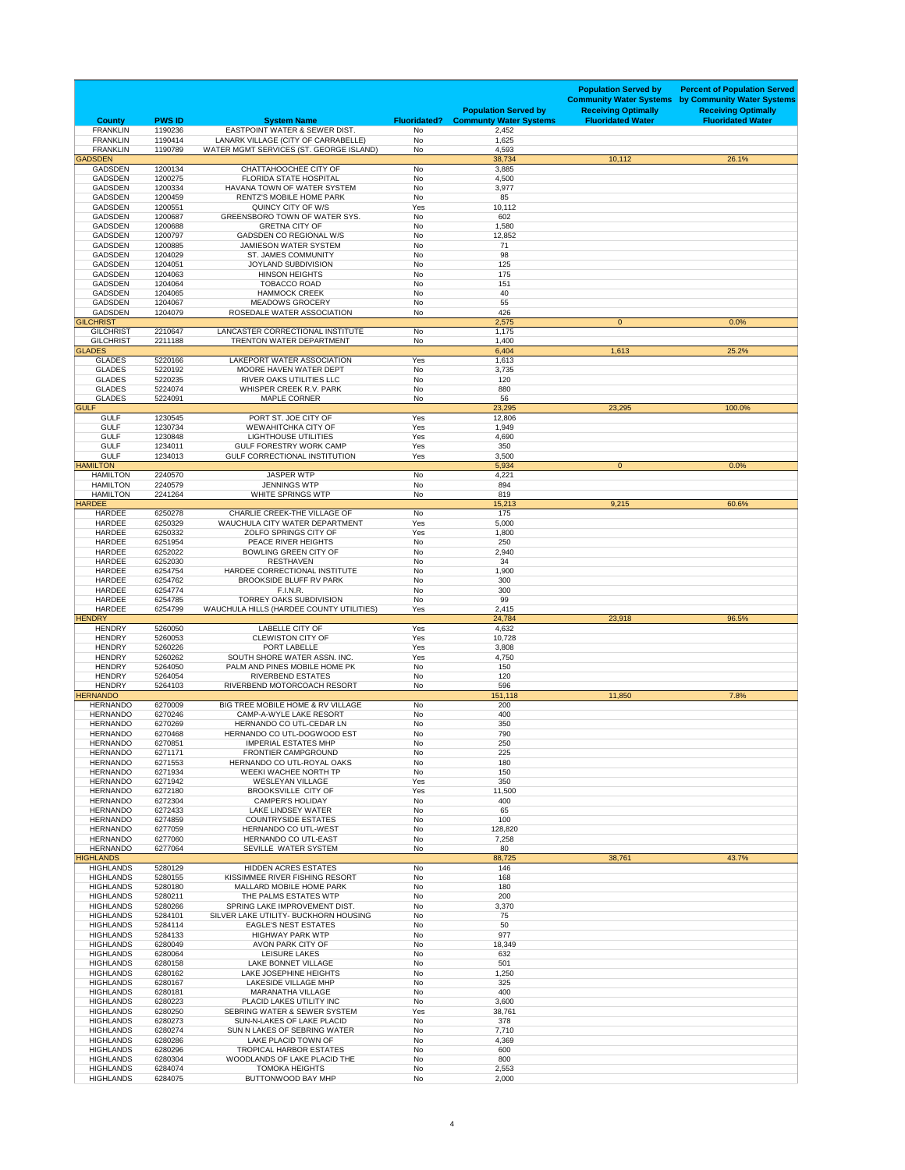| <b>County</b>                        | <b>PWS ID</b>      | <b>System Name</b>                                                              | <b>Fluoridated?</b>    | <b>Population Served by</b><br><b>Communty Water Systems</b> | <b>Population Served by</b><br><b>Community Water Systems</b><br><b>Receiving Optimally</b><br><b>Fluoridated Water</b> | <b>Percent of Population Served</b><br>by Community Water Systems<br><b>Receiving Optimally</b><br><b>Fluoridated Water</b> |
|--------------------------------------|--------------------|---------------------------------------------------------------------------------|------------------------|--------------------------------------------------------------|-------------------------------------------------------------------------------------------------------------------------|-----------------------------------------------------------------------------------------------------------------------------|
| <b>FRANKLIN</b><br><b>FRANKLIN</b>   | 1190236<br>1190414 | <b>EASTPOINT WATER &amp; SEWER DIST.</b><br>LANARK VILLAGE (CITY OF CARRABELLE) | No<br><b>No</b>        | 2,452<br>1,625                                               |                                                                                                                         |                                                                                                                             |
| <b>FRANKLIN</b>                      | 1190789            | WATER MGMT SERVICES (ST. GEORGE ISLAND)                                         | No                     | 4,593                                                        |                                                                                                                         |                                                                                                                             |
| <b>GADSDEN</b><br><b>GADSDEN</b>     | 1200134            | CHATTAHOOCHEE CITY OF                                                           | No                     | 38,734<br>3,885                                              | 10,112                                                                                                                  | 26.1%                                                                                                                       |
| <b>GADSDEN</b>                       | 1200275            | <b>FLORIDA STATE HOSPITAL</b>                                                   | No                     | 4,500                                                        |                                                                                                                         |                                                                                                                             |
| <b>GADSDEN</b><br><b>GADSDEN</b>     | 1200334<br>1200459 | HAVANA TOWN OF WATER SYSTEM<br><b>RENTZ'S MOBILE HOME PARK</b>                  | <b>No</b><br>No        | 3,977<br>85                                                  |                                                                                                                         |                                                                                                                             |
| <b>GADSDEN</b>                       | 1200551            | QUINCY CITY OF W/S                                                              | Yes                    | 10,112                                                       |                                                                                                                         |                                                                                                                             |
| <b>GADSDEN</b>                       | 1200687            | <b>GREENSBORO TOWN OF WATER SYS.</b>                                            | No                     | 602                                                          |                                                                                                                         |                                                                                                                             |
| <b>GADSDEN</b><br><b>GADSDEN</b>     | 1200688<br>1200797 | <b>GRETNA CITY OF</b><br><b>GADSDEN CO REGIONAL W/S</b>                         | No<br>No               | 1,580<br>12,852                                              |                                                                                                                         |                                                                                                                             |
| <b>GADSDEN</b>                       | 1200885            | <b>JAMIESON WATER SYSTEM</b>                                                    | No                     | 71                                                           |                                                                                                                         |                                                                                                                             |
| <b>GADSDEN</b><br><b>GADSDEN</b>     | 1204029<br>1204051 | <b>ST. JAMES COMMUNITY</b><br><b>JOYLAND SUBDIVISION</b>                        | <b>No</b><br>No        | 98<br>125                                                    |                                                                                                                         |                                                                                                                             |
| <b>GADSDEN</b>                       | 1204063            | <b>HINSON HEIGHTS</b>                                                           | No                     | 175                                                          |                                                                                                                         |                                                                                                                             |
| <b>GADSDEN</b><br><b>GADSDEN</b>     | 1204064<br>1204065 | <b>TOBACCO ROAD</b><br><b>HAMMOCK CREEK</b>                                     | No<br>No               | 151<br>40                                                    |                                                                                                                         |                                                                                                                             |
| <b>GADSDEN</b>                       | 1204067            | <b>MEADOWS GROCERY</b>                                                          | <b>No</b>              | 55                                                           |                                                                                                                         |                                                                                                                             |
| <b>GADSDEN</b><br><b>GILCHRIST</b>   | 1204079            | ROSEDALE WATER ASSOCIATION                                                      | No                     | 426<br>2,575                                                 | $\mathbf{0}$                                                                                                            | 0.0%                                                                                                                        |
| <b>GILCHRIST</b>                     | 2210647            | LANCASTER CORRECTIONAL INSTITUTE                                                | <b>No</b>              | 1,175                                                        |                                                                                                                         |                                                                                                                             |
| <b>GILCHRIST</b>                     | 2211188            | <b>TRENTON WATER DEPARTMENT</b>                                                 | No                     | 1,400                                                        |                                                                                                                         |                                                                                                                             |
| <b>GLADES</b><br><b>GLADES</b>       | 5220166            | LAKEPORT WATER ASSOCIATION                                                      | Yes                    | 6,404<br>1,613                                               | 1,613                                                                                                                   | 25.2%                                                                                                                       |
| <b>GLADES</b>                        | 5220192            | MOORE HAVEN WATER DEPT                                                          | No                     | 3,735                                                        |                                                                                                                         |                                                                                                                             |
| <b>GLADES</b><br><b>GLADES</b>       | 5220235<br>5224074 | RIVER OAKS UTILITIES LLC<br>WHISPER CREEK R.V. PARK                             | No<br><b>No</b>        | 120<br>880                                                   |                                                                                                                         |                                                                                                                             |
| <b>GLADES</b>                        | 5224091            | <b>MAPLE CORNER</b>                                                             | No                     | 56                                                           |                                                                                                                         |                                                                                                                             |
| <b>GULF</b><br><b>GULF</b>           | 1230545            | PORT ST. JOE CITY OF                                                            | Yes                    | 23,295<br>12,806                                             | 23,295                                                                                                                  | 100.0%                                                                                                                      |
| <b>GULF</b>                          | 1230734            | <b>WEWAHITCHKA CITY OF</b>                                                      | Yes                    | 1,949                                                        |                                                                                                                         |                                                                                                                             |
| <b>GULF</b><br><b>GULF</b>           | 1230848<br>1234011 | <b>LIGHTHOUSE UTILITIES</b><br><b>GULF FORESTRY WORK CAMP</b>                   | Yes<br>Yes             | 4,690<br>350                                                 |                                                                                                                         |                                                                                                                             |
| <b>GULF</b>                          | 1234013            | <b>GULF CORRECTIONAL INSTITUTION</b>                                            | Yes                    | 3,500                                                        |                                                                                                                         |                                                                                                                             |
| <b>HAMILTON</b>                      |                    |                                                                                 |                        | 5,934                                                        | $\mathbf{0}$                                                                                                            | 0.0%                                                                                                                        |
| <b>HAMILTON</b><br><b>HAMILTON</b>   | 2240570<br>2240579 | <b>JASPER WTP</b><br><b>JENNINGS WTP</b>                                        | No<br>No               | 4,221<br>894                                                 |                                                                                                                         |                                                                                                                             |
| <b>HAMILTON</b>                      | 2241264            | WHITE SPRINGS WTP                                                               | No                     | 819                                                          |                                                                                                                         |                                                                                                                             |
| <b>HARDEE</b><br><b>HARDEE</b>       | 6250278            | <b>CHARLIE CREEK-THE VILLAGE OF</b>                                             | No                     | 15,213<br>175                                                | 9,215                                                                                                                   | 60.6%                                                                                                                       |
| <b>HARDEE</b>                        | 6250329            | WAUCHULA CITY WATER DEPARTMENT                                                  | Yes                    | 5,000                                                        |                                                                                                                         |                                                                                                                             |
| <b>HARDEE</b><br><b>HARDEE</b>       | 6250332<br>6251954 | ZOLFO SPRINGS CITY OF<br>PEACE RIVER HEIGHTS                                    | Yes<br>No              | 1,800<br>250                                                 |                                                                                                                         |                                                                                                                             |
| <b>HARDEE</b>                        | 6252022            | <b>BOWLING GREEN CITY OF</b>                                                    | <b>No</b>              | 2,940                                                        |                                                                                                                         |                                                                                                                             |
| <b>HARDEE</b><br><b>HARDEE</b>       | 6252030<br>6254754 | <b>RESTHAVEN</b><br>HARDEE CORRECTIONAL INSTITUTE                               | No<br><b>No</b>        | 34<br>1,900                                                  |                                                                                                                         |                                                                                                                             |
| <b>HARDEE</b>                        | 6254762            | <b>BROOKSIDE BLUFF RV PARK</b>                                                  | <b>No</b>              | 300                                                          |                                                                                                                         |                                                                                                                             |
| <b>HARDEE</b>                        | 6254774            | <b>F.I.N.R.</b>                                                                 | No                     | 300                                                          |                                                                                                                         |                                                                                                                             |
| <b>HARDEE</b><br><b>HARDEE</b>       | 6254785<br>6254799 | <b>TORREY OAKS SUBDIVISION</b><br>WAUCHULA HILLS (HARDEE COUNTY UTILITIES)      | <b>No</b><br>Yes       | 99<br>2,415                                                  |                                                                                                                         |                                                                                                                             |
| <b>HENDRY</b>                        |                    |                                                                                 |                        | 24,784                                                       | 23,918                                                                                                                  | 96.5%                                                                                                                       |
| <b>HENDRY</b><br><b>HENDRY</b>       | 5260050<br>5260053 | <b>LABELLE CITY OF</b><br><b>CLEWISTON CITY OF</b>                              | Yes<br>Yes             | 4,632<br>10,728                                              |                                                                                                                         |                                                                                                                             |
| <b>HENDRY</b>                        | 5260226            | <b>PORT LABELLE</b>                                                             | Yes                    | 3,808                                                        |                                                                                                                         |                                                                                                                             |
| <b>HENDRY</b><br><b>HENDRY</b>       | 5260262<br>5264050 | SOUTH SHORE WATER ASSN. INC.<br>PALM AND PINES MOBILE HOME PK                   | Yes<br>No              | 4,750<br>150                                                 |                                                                                                                         |                                                                                                                             |
| <b>HENDRY</b>                        | 5264054            | <b>RIVERBEND ESTATES</b>                                                        | No                     | 120                                                          |                                                                                                                         |                                                                                                                             |
| <b>HENDRY</b><br><b>HERNANDO</b>     | 5264103            | RIVERBEND MOTORCOACH RESORT                                                     | No                     | 596<br>151,118                                               | 11,850                                                                                                                  | 7.8%                                                                                                                        |
| <b>HERNANDO</b>                      | 6270009            | BIG TREE MOBILE HOME & RV VILLAGE                                               | No                     | 200                                                          |                                                                                                                         |                                                                                                                             |
| <b>HERNANDO</b><br><b>HERNANDO</b>   | 6270246<br>6270269 | <b>CAMP-A-WYLE LAKE RESORT</b><br>HERNANDO CO UTL-CEDAR LN                      | No<br>No               | 400<br>350                                                   |                                                                                                                         |                                                                                                                             |
| <b>HERNANDO</b>                      | 6270468            | HERNANDO CO UTL-DOGWOOD EST                                                     | <b>No</b>              | 790                                                          |                                                                                                                         |                                                                                                                             |
| <b>HERNANDO</b><br><b>HERNANDO</b>   | 6270851<br>6271171 | <b>IMPERIAL ESTATES MHP</b><br><b>FRONTIER CAMPGROUND</b>                       | <b>No</b><br>No        | 250<br>225                                                   |                                                                                                                         |                                                                                                                             |
| <b>HERNANDO</b>                      | 6271553            | HERNANDO CO UTL-ROYAL OAKS                                                      | No                     | 180                                                          |                                                                                                                         |                                                                                                                             |
| <b>HERNANDO</b>                      | 6271934            | WEEKI WACHEE NORTH TP                                                           | No                     | 150                                                          |                                                                                                                         |                                                                                                                             |
| <b>HERNANDO</b><br><b>HERNANDO</b>   | 6271942<br>6272180 | <b>WESLEYAN VILLAGE</b><br><b>BROOKSVILLE CITY OF</b>                           | Yes<br>Yes             | 350<br>11,500                                                |                                                                                                                         |                                                                                                                             |
| <b>HERNANDO</b>                      | 6272304            | <b>CAMPER'S HOLIDAY</b>                                                         | <b>No</b>              | 400                                                          |                                                                                                                         |                                                                                                                             |
| <b>HERNANDO</b><br><b>HERNANDO</b>   | 6272433<br>6274859 | LAKE LINDSEY WATER<br><b>COUNTRYSIDE ESTATES</b>                                | No<br>No               | 65<br>100                                                    |                                                                                                                         |                                                                                                                             |
| <b>HERNANDO</b>                      | 6277059            | <b>HERNANDO CO UTL-WEST</b>                                                     | <b>No</b>              | 128,820                                                      |                                                                                                                         |                                                                                                                             |
| <b>HERNANDO</b><br><b>HERNANDO</b>   | 6277060<br>6277064 | <b>HERNANDO CO UTL-EAST</b><br>SEVILLE WATER SYSTEM                             | No<br>No               | 7,258<br>80                                                  |                                                                                                                         |                                                                                                                             |
| <b>HIGHLANDS</b>                     |                    |                                                                                 |                        | 88,725                                                       | 38,761                                                                                                                  | 43.7%                                                                                                                       |
| <b>HIGHLANDS</b><br><b>HIGHLANDS</b> | 5280129<br>5280155 | <b>HIDDEN ACRES ESTATES</b><br>KISSIMMEE RIVER FISHING RESORT                   | No<br>No               | 146<br>168                                                   |                                                                                                                         |                                                                                                                             |
| <b>HIGHLANDS</b>                     | 5280180            | <b>MALLARD MOBILE HOME PARK</b>                                                 | <b>No</b>              | 180                                                          |                                                                                                                         |                                                                                                                             |
| <b>HIGHLANDS</b>                     | 5280211            | THE PALMS ESTATES WTP                                                           | <b>No</b>              | 200                                                          |                                                                                                                         |                                                                                                                             |
| <b>HIGHLANDS</b><br><b>HIGHLANDS</b> | 5280266<br>5284101 | SPRING LAKE IMPROVEMENT DIST.<br>SILVER LAKE UTILITY- BUCKHORN HOUSING          | <b>No</b><br><b>No</b> | 3,370<br>75                                                  |                                                                                                                         |                                                                                                                             |
| <b>HIGHLANDS</b>                     | 5284114            | <b>EAGLE'S NEST ESTATES</b>                                                     | No                     | 50                                                           |                                                                                                                         |                                                                                                                             |
| <b>HIGHLANDS</b><br><b>HIGHLANDS</b> | 5284133<br>6280049 | <b>HIGHWAY PARK WTP</b><br>AVON PARK CITY OF                                    | No<br>No               | 977<br>18,349                                                |                                                                                                                         |                                                                                                                             |
| <b>HIGHLANDS</b>                     | 6280064            | <b>LEISURE LAKES</b>                                                            | No                     | 632                                                          |                                                                                                                         |                                                                                                                             |
| <b>HIGHLANDS</b><br><b>HIGHLANDS</b> | 6280158<br>6280162 | LAKE BONNET VILLAGE<br><b>LAKE JOSEPHINE HEIGHTS</b>                            | No<br>No               | 501<br>1,250                                                 |                                                                                                                         |                                                                                                                             |
| <b>HIGHLANDS</b>                     | 6280167            | <b>LAKESIDE VILLAGE MHP</b>                                                     | <b>No</b>              | 325                                                          |                                                                                                                         |                                                                                                                             |
| <b>HIGHLANDS</b><br><b>HIGHLANDS</b> | 6280181<br>6280223 | <b>MARANATHA VILLAGE</b><br>PLACID LAKES UTILITY INC                            | No<br>No               | 400<br>3,600                                                 |                                                                                                                         |                                                                                                                             |
| <b>HIGHLANDS</b>                     | 6280250            | <b>SEBRING WATER &amp; SEWER SYSTEM</b>                                         | Yes                    | 38,761                                                       |                                                                                                                         |                                                                                                                             |
| <b>HIGHLANDS</b>                     | 6280273            | <b>SUN-N-LAKES OF LAKE PLACID</b>                                               | No                     | 378                                                          |                                                                                                                         |                                                                                                                             |
| <b>HIGHLANDS</b><br><b>HIGHLANDS</b> | 6280274<br>6280286 | SUN N LAKES OF SEBRING WATER<br>LAKE PLACID TOWN OF                             | No<br>No               | 7,710<br>4,369                                               |                                                                                                                         |                                                                                                                             |
| <b>HIGHLANDS</b>                     | 6280296            | <b>TROPICAL HARBOR ESTATES</b>                                                  | No                     | 600                                                          |                                                                                                                         |                                                                                                                             |
| <b>HIGHLANDS</b><br><b>HIGHLANDS</b> | 6280304<br>6284074 | WOODLANDS OF LAKE PLACID THE<br><b>TOMOKA HEIGHTS</b>                           | No<br>No               | 800<br>2,553                                                 |                                                                                                                         |                                                                                                                             |
| <b>HIGHLANDS</b>                     | 6284075            | BUTTONWOOD BAY MHP                                                              | No                     | 2,000                                                        |                                                                                                                         |                                                                                                                             |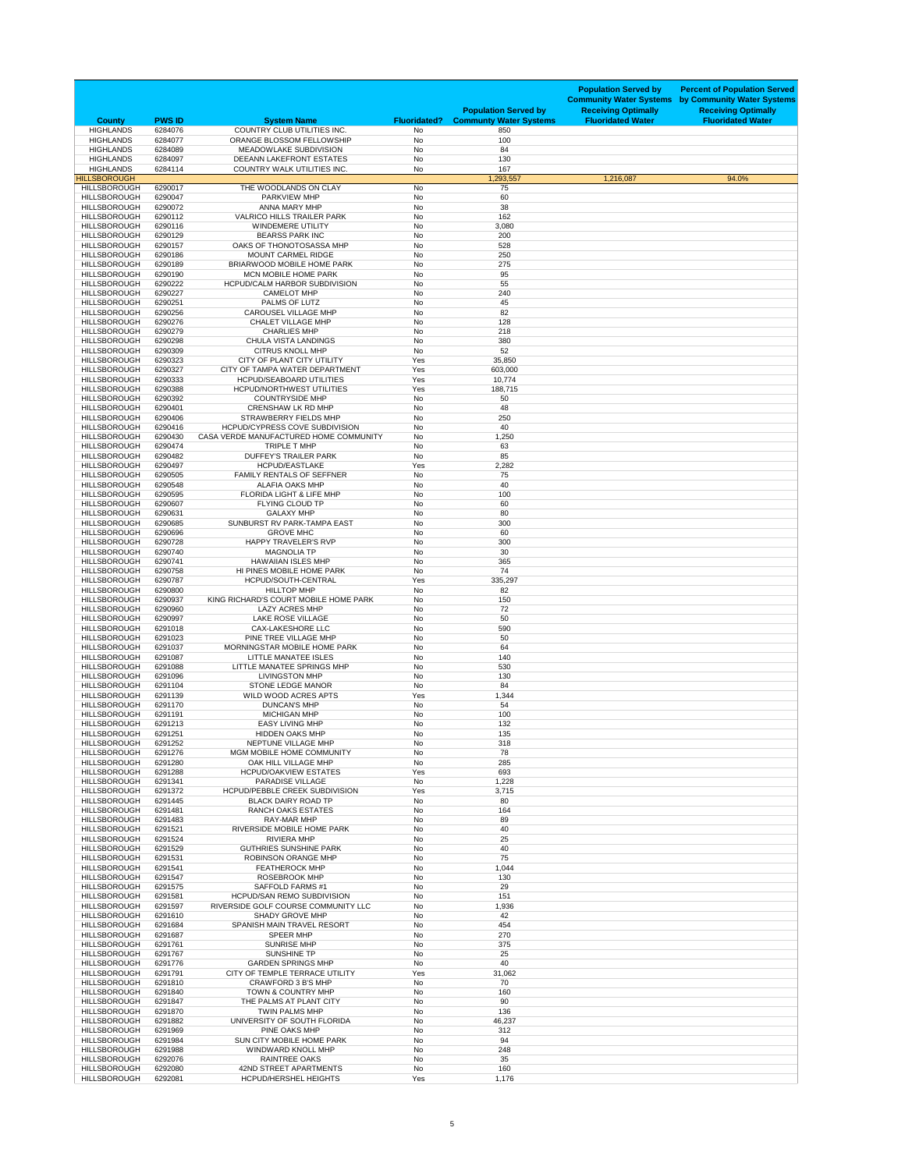| <b>County</b>                              | <b>PWS ID</b>      | <b>System Name</b>                                                              | <b>Fluoridated?</b>    | <b>Population Served by</b><br><b>Communty Water Systems</b> | <b>Population Served by</b><br><b>Community Water Systems</b><br><b>Receiving Optimally</b><br><b>Fluoridated Water</b> | <b>Percent of Population Served</b><br>by Community Water Systems<br><b>Receiving Optimally</b><br><b>Fluoridated Water</b> |
|--------------------------------------------|--------------------|---------------------------------------------------------------------------------|------------------------|--------------------------------------------------------------|-------------------------------------------------------------------------------------------------------------------------|-----------------------------------------------------------------------------------------------------------------------------|
| <b>HIGHLANDS</b><br><b>HIGHLANDS</b>       | 6284076<br>6284077 | COUNTRY CLUB UTILITIES INC.<br>ORANGE BLOSSOM FELLOWSHIP                        | <b>No</b><br><b>No</b> | 850<br>100                                                   |                                                                                                                         |                                                                                                                             |
| <b>HIGHLANDS</b>                           | 6284089            | MEADOWLAKE SUBDIVISION                                                          | <b>No</b>              | 84                                                           |                                                                                                                         |                                                                                                                             |
| <b>HIGHLANDS</b><br><b>HIGHLANDS</b>       | 6284097<br>6284114 | DEEANN LAKEFRONT ESTATES<br><b>COUNTRY WALK UTILITIES INC.</b>                  | <b>No</b><br><b>No</b> | 130<br>167                                                   |                                                                                                                         |                                                                                                                             |
| <b>HILLSBOROUGH</b>                        |                    |                                                                                 |                        | 1,293,557                                                    | 1,216,087                                                                                                               | 94.0%                                                                                                                       |
| <b>HILLSBOROUGH</b><br><b>HILLSBOROUGH</b> | 6290017<br>6290047 | THE WOODLANDS ON CLAY<br><b>PARKVIEW MHP</b>                                    | No<br><b>No</b>        | 75<br>60                                                     |                                                                                                                         |                                                                                                                             |
| <b>HILLSBOROUGH</b>                        | 6290072            | ANNA MARY MHP                                                                   | <b>No</b>              | 38                                                           |                                                                                                                         |                                                                                                                             |
| <b>HILLSBOROUGH</b><br><b>HILLSBOROUGH</b> | 6290112<br>6290116 | <b>VALRICO HILLS TRAILER PARK</b><br><b>WINDEMERE UTILITY</b>                   | <b>No</b><br><b>No</b> | 162<br>3,080                                                 |                                                                                                                         |                                                                                                                             |
| <b>HILLSBOROUGH</b>                        | 6290129            | <b>BEARSS PARK INC</b>                                                          | <b>No</b>              | 200                                                          |                                                                                                                         |                                                                                                                             |
| <b>HILLSBOROUGH</b><br><b>HILLSBOROUGH</b> | 6290157<br>6290186 | OAKS OF THONOTOSASSA MHP<br><b>MOUNT CARMEL RIDGE</b>                           | <b>No</b><br><b>No</b> | 528<br>250                                                   |                                                                                                                         |                                                                                                                             |
| <b>HILLSBOROUGH</b><br><b>HILLSBOROUGH</b> | 6290189<br>6290190 | BRIARWOOD MOBILE HOME PARK<br><b>MCN MOBILE HOME PARK</b>                       | <b>No</b><br><b>No</b> | 275                                                          |                                                                                                                         |                                                                                                                             |
| <b>HILLSBOROUGH</b>                        | 6290222            | <b>HCPUD/CALM HARBOR SUBDIVISION</b>                                            | <b>No</b>              | 95<br>55                                                     |                                                                                                                         |                                                                                                                             |
| <b>HILLSBOROUGH</b><br><b>HILLSBOROUGH</b> | 6290227<br>6290251 | <b>CAMELOT MHP</b><br>PALMS OF LUTZ                                             | <b>No</b><br><b>No</b> | 240<br>45                                                    |                                                                                                                         |                                                                                                                             |
| <b>HILLSBOROUGH</b>                        | 6290256            | <b>CAROUSEL VILLAGE MHP</b>                                                     | <b>No</b>              | 82                                                           |                                                                                                                         |                                                                                                                             |
| <b>HILLSBOROUGH</b><br><b>HILLSBOROUGH</b> | 6290276<br>6290279 | <b>CHALET VILLAGE MHP</b><br><b>CHARLIES MHP</b>                                | No<br><b>No</b>        | 128<br>218                                                   |                                                                                                                         |                                                                                                                             |
| <b>HILLSBOROUGH</b>                        | 6290298            | <b>CHULA VISTA LANDINGS</b>                                                     | <b>No</b>              | 380                                                          |                                                                                                                         |                                                                                                                             |
| <b>HILLSBOROUGH</b><br><b>HILLSBOROUGH</b> | 6290309<br>6290323 | <b>CITRUS KNOLL MHP</b><br>CITY OF PLANT CITY UTILITY                           | <b>No</b><br>Yes       | 52<br>35,850                                                 |                                                                                                                         |                                                                                                                             |
| <b>HILLSBOROUGH</b>                        | 6290327            | CITY OF TAMPA WATER DEPARTMENT                                                  | Yes                    | 603,000                                                      |                                                                                                                         |                                                                                                                             |
| <b>HILLSBOROUGH</b><br><b>HILLSBOROUGH</b> | 6290333<br>6290388 | <b>HCPUD/SEABOARD UTILITIES</b><br><b>HCPUD/NORTHWEST UTILITIES</b>             | Yes<br>Yes             | 10,774<br>188,715                                            |                                                                                                                         |                                                                                                                             |
| <b>HILLSBOROUGH</b>                        | 6290392            | <b>COUNTRYSIDE MHP</b>                                                          | <b>No</b>              | 50                                                           |                                                                                                                         |                                                                                                                             |
| <b>HILLSBOROUGH</b><br><b>HILLSBOROUGH</b> | 6290401<br>6290406 | <b>CRENSHAW LK RD MHP</b><br><b>STRAWBERRY FIELDS MHP</b>                       | No<br><b>No</b>        | 48<br>250                                                    |                                                                                                                         |                                                                                                                             |
| <b>HILLSBOROUGH</b><br><b>HILLSBOROUGH</b> | 6290416<br>6290430 | <b>HCPUD/CYPRESS COVE SUBDIVISION</b><br>CASA VERDE MANUFACTURED HOME COMMUNITY | No<br>No               | 40<br>1,250                                                  |                                                                                                                         |                                                                                                                             |
| <b>HILLSBOROUGH</b>                        | 6290474            | TRIPLE T MHP                                                                    | No                     | 63                                                           |                                                                                                                         |                                                                                                                             |
| <b>HILLSBOROUGH</b><br><b>HILLSBOROUGH</b> | 6290482<br>6290497 | <b>DUFFEY'S TRAILER PARK</b><br><b>HCPUD/EASTLAKE</b>                           | <b>No</b><br>Yes       | 85<br>2,282                                                  |                                                                                                                         |                                                                                                                             |
| <b>HILLSBOROUGH</b>                        | 6290505            | <b>FAMILY RENTALS OF SEFFNER</b>                                                | No                     | 75                                                           |                                                                                                                         |                                                                                                                             |
| <b>HILLSBOROUGH</b><br><b>HILLSBOROUGH</b> | 6290548<br>6290595 | <b>ALAFIA OAKS MHP</b><br>FLORIDA LIGHT & LIFE MHP                              | No<br>No               | 40<br>100                                                    |                                                                                                                         |                                                                                                                             |
| <b>HILLSBOROUGH</b>                        | 6290607            | FLYING CLOUD TP                                                                 | <b>No</b>              | 60                                                           |                                                                                                                         |                                                                                                                             |
| <b>HILLSBOROUGH</b><br><b>HILLSBOROUGH</b> | 6290631<br>6290685 | <b>GALAXY MHP</b><br>SUNBURST RV PARK-TAMPA EAST                                | No<br><b>No</b>        | 80<br>300                                                    |                                                                                                                         |                                                                                                                             |
| <b>HILLSBOROUGH</b><br><b>HILLSBOROUGH</b> | 6290696<br>6290728 | <b>GROVE MHC</b><br><b>HAPPY TRAVELER'S RVP</b>                                 | <b>No</b><br>No        | 60<br>300                                                    |                                                                                                                         |                                                                                                                             |
| <b>HILLSBOROUGH</b>                        | 6290740            | <b>MAGNOLIA TP</b>                                                              | <b>No</b>              | 30                                                           |                                                                                                                         |                                                                                                                             |
| <b>HILLSBOROUGH</b><br><b>HILLSBOROUGH</b> | 6290741<br>6290758 | <b>HAWAIIAN ISLES MHP</b><br>HI PINES MOBILE HOME PARK                          | <b>No</b><br>No        | 365<br>74                                                    |                                                                                                                         |                                                                                                                             |
| <b>HILLSBOROUGH</b>                        | 6290787            | HCPUD/SOUTH-CENTRAL                                                             | Yes                    | 335,297                                                      |                                                                                                                         |                                                                                                                             |
| <b>HILLSBOROUGH</b><br><b>HILLSBOROUGH</b> | 6290800<br>6290937 | <b>HILLTOP MHP</b><br>KING RICHARD'S COURT MOBILE HOME PARK                     | No<br>No               | 82<br>150                                                    |                                                                                                                         |                                                                                                                             |
| <b>HILLSBOROUGH</b><br><b>HILLSBOROUGH</b> | 6290960<br>6290997 | <b>LAZY ACRES MHP</b><br><b>LAKE ROSE VILLAGE</b>                               | No<br><b>No</b>        | 72<br>50                                                     |                                                                                                                         |                                                                                                                             |
| <b>HILLSBOROUGH</b>                        | 6291018            | <b>CAX-LAKESHORE LLC</b>                                                        | No                     | 590                                                          |                                                                                                                         |                                                                                                                             |
| <b>HILLSBOROUGH</b><br><b>HILLSBOROUGH</b> | 6291023<br>6291037 | PINE TREE VILLAGE MHP<br>MORNINGSTAR MOBILE HOME PARK                           | <b>No</b><br>No        | 50<br>64                                                     |                                                                                                                         |                                                                                                                             |
| <b>HILLSBOROUGH</b>                        | 6291087            | <b>LITTLE MANATEE ISLES</b>                                                     | No                     | 140                                                          |                                                                                                                         |                                                                                                                             |
| <b>HILLSBOROUGH</b><br><b>HILLSBOROUGH</b> | 6291088<br>6291096 | LITTLE MANATEE SPRINGS MHP<br><b>LIVINGSTON MHP</b>                             | <b>No</b><br><b>No</b> | 530<br>130                                                   |                                                                                                                         |                                                                                                                             |
| <b>HILLSBOROUGH</b><br><b>HILLSBOROUGH</b> | 6291104<br>6291139 | STONE LEDGE MANOR<br>WILD WOOD ACRES APTS                                       | No<br>Yes              | 84<br>1,344                                                  |                                                                                                                         |                                                                                                                             |
| <b>HILLSBOROUGH</b>                        | 6291170            | <b>DUNCAN'S MHP</b>                                                             | No                     | 54                                                           |                                                                                                                         |                                                                                                                             |
| <b>HILLSBOROUGH</b><br><b>HILLSBOROUGH</b> | 6291191<br>6291213 | <b>MICHIGAN MHP</b><br><b>EASY LIVING MHP</b>                                   | No<br><b>No</b>        | 100<br>132                                                   |                                                                                                                         |                                                                                                                             |
| <b>HILLSBOROUGH</b>                        | 6291251            | <b>HIDDEN OAKS MHP</b>                                                          | <b>No</b>              | 135                                                          |                                                                                                                         |                                                                                                                             |
| <b>HILLSBOROUGH</b><br><b>HILLSBOROUGH</b> | 6291252<br>6291276 | NEPTUNE VILLAGE MHP<br>MGM MOBILE HOME COMMUNITY                                | No<br><b>No</b>        | 318<br>78                                                    |                                                                                                                         |                                                                                                                             |
| <b>HILLSBOROUGH</b>                        | 6291280            | OAK HILL VILLAGE MHP                                                            | No                     | 285                                                          |                                                                                                                         |                                                                                                                             |
| <b>HILLSBOROUGH</b><br><b>HILLSBOROUGH</b> | 6291288<br>6291341 | <b>HCPUD/OAKVIEW ESTATES</b><br><b>PARADISE VILLAGE</b>                         | Yes<br><b>No</b>       | 693<br>1,228                                                 |                                                                                                                         |                                                                                                                             |
| <b>HILLSBOROUGH</b><br><b>HILLSBOROUGH</b> | 6291372<br>6291445 | HCPUD/PEBBLE CREEK SUBDIVISION<br><b>BLACK DAIRY ROAD TP</b>                    | Yes<br>No              | 3,715<br>80                                                  |                                                                                                                         |                                                                                                                             |
| <b>HILLSBOROUGH</b>                        | 6291481            | <b>RANCH OAKS ESTATES</b>                                                       | No                     | 164                                                          |                                                                                                                         |                                                                                                                             |
| <b>HILLSBOROUGH</b><br><b>HILLSBOROUGH</b> | 6291483<br>6291521 | RAY-MAR MHP<br>RIVERSIDE MOBILE HOME PARK                                       | No<br><b>No</b>        | 89<br>40                                                     |                                                                                                                         |                                                                                                                             |
| <b>HILLSBOROUGH</b><br><b>HILLSBOROUGH</b> | 6291524<br>6291529 | <b>RIVIERA MHP</b><br><b>GUTHRIES SUNSHINE PARK</b>                             | No<br>No               | 25<br>40                                                     |                                                                                                                         |                                                                                                                             |
| <b>HILLSBOROUGH</b>                        | 6291531            | <b>ROBINSON ORANGE MHP</b>                                                      | No                     | 75                                                           |                                                                                                                         |                                                                                                                             |
| <b>HILLSBOROUGH</b><br><b>HILLSBOROUGH</b> | 6291541<br>6291547 | <b>FEATHEROCK MHP</b><br><b>ROSEBROOK MHP</b>                                   | No<br><b>No</b>        | 1,044<br>130                                                 |                                                                                                                         |                                                                                                                             |
| <b>HILLSBOROUGH</b>                        | 6291575            | <b>SAFFOLD FARMS #1</b>                                                         | <b>No</b>              | 29                                                           |                                                                                                                         |                                                                                                                             |
| <b>HILLSBOROUGH</b><br><b>HILLSBOROUGH</b> | 6291581<br>6291597 | <b>HCPUD/SAN REMO SUBDIVISION</b><br>RIVERSIDE GOLF COURSE COMMUNITY LLC        | No<br>No               | 151<br>1,936                                                 |                                                                                                                         |                                                                                                                             |
| <b>HILLSBOROUGH</b><br><b>HILLSBOROUGH</b> | 6291610<br>6291684 | <b>SHADY GROVE MHP</b><br>SPANISH MAIN TRAVEL RESORT                            | <b>No</b><br><b>No</b> | 42<br>454                                                    |                                                                                                                         |                                                                                                                             |
| <b>HILLSBOROUGH</b>                        | 6291687            | <b>SPEER MHP</b>                                                                | <b>No</b>              | 270                                                          |                                                                                                                         |                                                                                                                             |
| <b>HILLSBOROUGH</b><br><b>HILLSBOROUGH</b> | 6291761<br>6291767 | <b>SUNRISE MHP</b><br><b>SUNSHINE TP</b>                                        | No<br>No               | 375<br>25                                                    |                                                                                                                         |                                                                                                                             |
| <b>HILLSBOROUGH</b>                        | 6291776            | <b>GARDEN SPRINGS MHP</b><br>CITY OF TEMPLE TERRACE UTILITY                     | <b>No</b>              | 40                                                           |                                                                                                                         |                                                                                                                             |
| <b>HILLSBOROUGH</b><br><b>HILLSBOROUGH</b> | 6291791<br>6291810 | <b>CRAWFORD 3 B'S MHP</b>                                                       | Yes<br>No              | 31,062<br>70                                                 |                                                                                                                         |                                                                                                                             |
| <b>HILLSBOROUGH</b><br><b>HILLSBOROUGH</b> | 6291840<br>6291847 | TOWN & COUNTRY MHP<br>THE PALMS AT PLANT CITY                                   | <b>No</b><br>No        | 160<br>90                                                    |                                                                                                                         |                                                                                                                             |
| <b>HILLSBOROUGH</b>                        | 6291870            | <b>TWIN PALMS MHP</b>                                                           | <b>No</b>              | 136                                                          |                                                                                                                         |                                                                                                                             |
| <b>HILLSBOROUGH</b><br><b>HILLSBOROUGH</b> | 6291882<br>6291969 | UNIVERSITY OF SOUTH FLORIDA<br>PINE OAKS MHP                                    | <b>No</b><br><b>No</b> | 46,237<br>312                                                |                                                                                                                         |                                                                                                                             |
| <b>HILLSBOROUGH</b><br><b>HILLSBOROUGH</b> | 6291984<br>6291988 | <b>SUN CITY MOBILE HOME PARK</b><br><b>WINDWARD KNOLL MHP</b>                   | No<br><b>No</b>        | 94<br>248                                                    |                                                                                                                         |                                                                                                                             |
| <b>HILLSBOROUGH</b>                        | 6292076            | RAINTREE OAKS                                                                   | <b>No</b>              | 35                                                           |                                                                                                                         |                                                                                                                             |
| <b>HILLSBOROUGH</b><br><b>HILLSBOROUGH</b> | 6292080<br>6292081 | 42ND STREET APARTMENTS<br><b>HCPUD/HERSHEL HEIGHTS</b>                          | <b>No</b><br>Yes       | 160<br>1,176                                                 |                                                                                                                         |                                                                                                                             |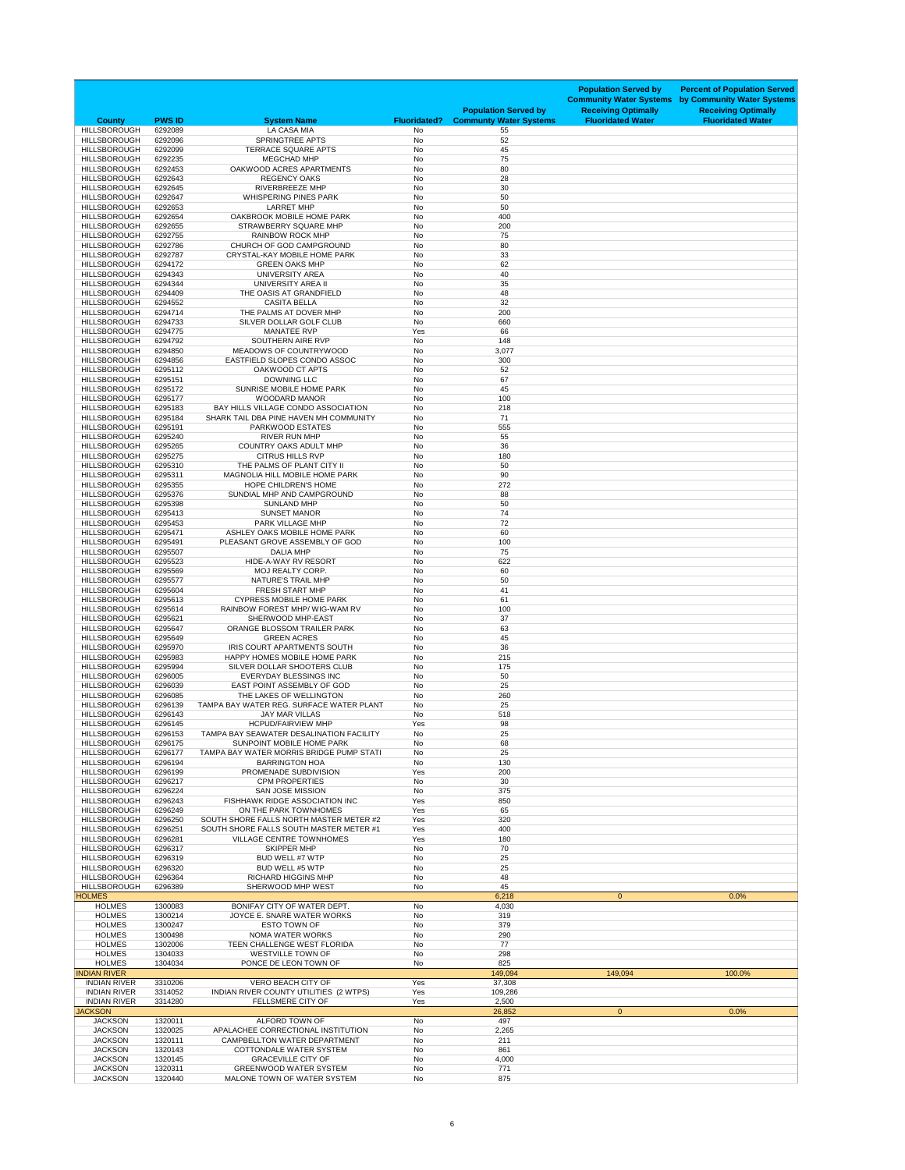| <b>County</b>                              | <b>PWS ID</b>      | <b>System Name</b>                                                       | <b>Fluoridated?</b>    | <b>Population Served by</b><br><b>Communty Water Systems</b> | <b>Population Served by</b><br><b>Community Water Systems</b><br><b>Receiving Optimally</b><br><b>Fluoridated Water</b> | <b>Percent of Population Served</b><br>by Community Water Systems<br><b>Receiving Optimally</b><br><b>Fluoridated Water</b> |
|--------------------------------------------|--------------------|--------------------------------------------------------------------------|------------------------|--------------------------------------------------------------|-------------------------------------------------------------------------------------------------------------------------|-----------------------------------------------------------------------------------------------------------------------------|
| <b>HILLSBOROUGH</b><br><b>HILLSBOROUGH</b> | 6292089            | <b>LA CASA MIA</b><br><b>SPRINGTREE APTS</b>                             | No<br><b>No</b>        | 55                                                           |                                                                                                                         |                                                                                                                             |
| <b>HILLSBOROUGH</b>                        | 6292096<br>6292099 | <b>TERRACE SQUARE APTS</b>                                               | <b>No</b>              | 52<br>45                                                     |                                                                                                                         |                                                                                                                             |
| <b>HILLSBOROUGH</b>                        | 6292235            | <b>MEGCHAD MHP</b>                                                       | No                     | 75                                                           |                                                                                                                         |                                                                                                                             |
| <b>HILLSBOROUGH</b><br><b>HILLSBOROUGH</b> | 6292453<br>6292643 | OAKWOOD ACRES APARTMENTS<br><b>REGENCY OAKS</b>                          | <b>No</b><br><b>No</b> | 80<br>28                                                     |                                                                                                                         |                                                                                                                             |
| <b>HILLSBOROUGH</b>                        | 6292645            | <b>RIVERBREEZE MHP</b>                                                   | No                     | 30                                                           |                                                                                                                         |                                                                                                                             |
| <b>HILLSBOROUGH</b>                        | 6292647            | <b>WHISPERING PINES PARK</b>                                             | <b>No</b>              | 50                                                           |                                                                                                                         |                                                                                                                             |
| <b>HILLSBOROUGH</b><br><b>HILLSBOROUGH</b> | 6292653<br>6292654 | <b>LARRET MHP</b><br>OAKBROOK MOBILE HOME PARK                           | <b>No</b><br><b>No</b> | 50<br>400                                                    |                                                                                                                         |                                                                                                                             |
| <b>HILLSBOROUGH</b>                        | 6292655            | <b>STRAWBERRY SQUARE MHP</b>                                             | <b>No</b>              | 200                                                          |                                                                                                                         |                                                                                                                             |
| <b>HILLSBOROUGH</b><br><b>HILLSBOROUGH</b> | 6292755            | <b>RAINBOW ROCK MHP</b><br>CHURCH OF GOD CAMPGROUND                      | <b>No</b>              | 75                                                           |                                                                                                                         |                                                                                                                             |
| <b>HILLSBOROUGH</b>                        | 6292786<br>6292787 | <b>CRYSTAL-KAY MOBILE HOME PARK</b>                                      | No<br><b>No</b>        | 80<br>33                                                     |                                                                                                                         |                                                                                                                             |
| <b>HILLSBOROUGH</b>                        | 6294172            | <b>GREEN OAKS MHP</b>                                                    | <b>No</b>              | 62                                                           |                                                                                                                         |                                                                                                                             |
| <b>HILLSBOROUGH</b><br><b>HILLSBOROUGH</b> | 6294343<br>6294344 | <b>UNIVERSITY AREA</b><br>UNIVERSITY AREA II                             | <b>No</b><br><b>No</b> | 40<br>35                                                     |                                                                                                                         |                                                                                                                             |
| <b>HILLSBOROUGH</b>                        | 6294409            | THE OASIS AT GRANDFIELD                                                  | No                     | 48                                                           |                                                                                                                         |                                                                                                                             |
| <b>HILLSBOROUGH</b>                        | 6294552            | <b>CASITA BELLA</b>                                                      | <b>No</b>              | 32                                                           |                                                                                                                         |                                                                                                                             |
| <b>HILLSBOROUGH</b><br><b>HILLSBOROUGH</b> | 6294714<br>6294733 | THE PALMS AT DOVER MHP<br>SILVER DOLLAR GOLF CLUB                        | <b>No</b><br><b>No</b> | 200<br>660                                                   |                                                                                                                         |                                                                                                                             |
| <b>HILLSBOROUGH</b>                        | 6294775            | <b>MANATEE RVP</b>                                                       | Yes                    | 66                                                           |                                                                                                                         |                                                                                                                             |
| <b>HILLSBOROUGH</b><br><b>HILLSBOROUGH</b> | 6294792<br>6294850 | SOUTHERN AIRE RVP<br>MEADOWS OF COUNTRYWOOD                              | <b>No</b>              | 148                                                          |                                                                                                                         |                                                                                                                             |
| <b>HILLSBOROUGH</b>                        | 6294856            | EASTFIELD SLOPES CONDO ASSOC                                             | No<br><b>No</b>        | 3,077<br>300                                                 |                                                                                                                         |                                                                                                                             |
| <b>HILLSBOROUGH</b>                        | 6295112            | OAKWOOD CT APTS                                                          | <b>No</b>              | 52                                                           |                                                                                                                         |                                                                                                                             |
| <b>HILLSBOROUGH</b><br><b>HILLSBOROUGH</b> | 6295151<br>6295172 | <b>DOWNING LLC</b><br><b>SUNRISE MOBILE HOME PARK</b>                    | No<br>No               | 67<br>45                                                     |                                                                                                                         |                                                                                                                             |
| <b>HILLSBOROUGH</b>                        | 6295177            | <b>WOODARD MANOR</b>                                                     | No                     | 100                                                          |                                                                                                                         |                                                                                                                             |
| <b>HILLSBOROUGH</b>                        | 6295183            | BAY HILLS VILLAGE CONDO ASSOCIATION                                      | No                     | 218                                                          |                                                                                                                         |                                                                                                                             |
| <b>HILLSBOROUGH</b><br><b>HILLSBOROUGH</b> | 6295184<br>6295191 | SHARK TAIL DBA PINE HAVEN MH COMMUNITY<br><b>PARKWOOD ESTATES</b>        | <b>No</b><br>No        | 71<br>555                                                    |                                                                                                                         |                                                                                                                             |
| <b>HILLSBOROUGH</b>                        | 6295240            | <b>RIVER RUN MHP</b>                                                     | <b>No</b>              | 55                                                           |                                                                                                                         |                                                                                                                             |
| <b>HILLSBOROUGH</b>                        | 6295265            | <b>COUNTRY OAKS ADULT MHP</b>                                            | No                     | 36                                                           |                                                                                                                         |                                                                                                                             |
| <b>HILLSBOROUGH</b><br><b>HILLSBOROUGH</b> | 6295275<br>6295310 | <b>CITRUS HILLS RVP</b><br>THE PALMS OF PLANT CITY II                    | No<br><b>No</b>        | 180<br>50                                                    |                                                                                                                         |                                                                                                                             |
| <b>HILLSBOROUGH</b>                        | 6295311            | <b>MAGNOLIA HILL MOBILE HOME PARK</b>                                    | <b>No</b>              | 90                                                           |                                                                                                                         |                                                                                                                             |
| <b>HILLSBOROUGH</b>                        | 6295355            | <b>HOPE CHILDREN'S HOME</b>                                              | <b>No</b>              | 272                                                          |                                                                                                                         |                                                                                                                             |
| <b>HILLSBOROUGH</b><br><b>HILLSBOROUGH</b> | 6295376<br>6295398 | SUNDIAL MHP AND CAMPGROUND<br><b>SUNLAND MHP</b>                         | No<br>No               | 88<br>50                                                     |                                                                                                                         |                                                                                                                             |
| <b>HILLSBOROUGH</b>                        | 6295413            | <b>SUNSET MANOR</b>                                                      | No                     | 74                                                           |                                                                                                                         |                                                                                                                             |
| <b>HILLSBOROUGH</b><br><b>HILLSBOROUGH</b> | 6295453<br>6295471 | PARK VILLAGE MHP<br>ASHLEY OAKS MOBILE HOME PARK                         | <b>No</b><br><b>No</b> | 72<br>60                                                     |                                                                                                                         |                                                                                                                             |
| <b>HILLSBOROUGH</b>                        | 6295491            | PLEASANT GROVE ASSEMBLY OF GOD                                           | No                     | 100                                                          |                                                                                                                         |                                                                                                                             |
| <b>HILLSBOROUGH</b>                        | 6295507            | <b>DALIA MHP</b>                                                         | No                     | 75                                                           |                                                                                                                         |                                                                                                                             |
| <b>HILLSBOROUGH</b><br><b>HILLSBOROUGH</b> | 6295523<br>6295569 | HIDE-A-WAY RV RESORT<br>MOJ REALTY CORP.                                 | <b>No</b><br>No        | 622<br>60                                                    |                                                                                                                         |                                                                                                                             |
| <b>HILLSBOROUGH</b>                        | 6295577            | <b>NATURE'S TRAIL MHP</b>                                                | No                     | 50                                                           |                                                                                                                         |                                                                                                                             |
| <b>HILLSBOROUGH</b>                        | 6295604            | <b>FRESH START MHP</b>                                                   | <b>No</b>              | 41                                                           |                                                                                                                         |                                                                                                                             |
| <b>HILLSBOROUGH</b><br><b>HILLSBOROUGH</b> | 6295613<br>6295614 | <b>CYPRESS MOBILE HOME PARK</b><br><b>RAINBOW FOREST MHP/ WIG-WAM RV</b> | No<br><b>No</b>        | 61<br>100                                                    |                                                                                                                         |                                                                                                                             |
| <b>HILLSBOROUGH</b>                        | 6295621            | SHERWOOD MHP-EAST                                                        | <b>No</b>              | 37                                                           |                                                                                                                         |                                                                                                                             |
| <b>HILLSBOROUGH</b>                        | 6295647            | ORANGE BLOSSOM TRAILER PARK                                              | No                     | 63                                                           |                                                                                                                         |                                                                                                                             |
| <b>HILLSBOROUGH</b><br><b>HILLSBOROUGH</b> | 6295649<br>6295970 | <b>GREEN ACRES</b><br>IRIS COURT APARTMENTS SOUTH                        | No<br>No               | 45<br>36                                                     |                                                                                                                         |                                                                                                                             |
| <b>HILLSBOROUGH</b>                        | 6295983            | HAPPY HOMES MOBILE HOME PARK                                             | <b>No</b>              | 215                                                          |                                                                                                                         |                                                                                                                             |
| <b>HILLSBOROUGH</b><br><b>HILLSBOROUGH</b> | 6295994<br>6296005 | SILVER DOLLAR SHOOTERS CLUB<br><b>EVERYDAY BLESSINGS INC</b>             | No<br>No               | 175<br>50                                                    |                                                                                                                         |                                                                                                                             |
| <b>HILLSBOROUGH</b>                        | 6296039            | EAST POINT ASSEMBLY OF GOD                                               | No                     | 25                                                           |                                                                                                                         |                                                                                                                             |
| <b>HILLSBOROUGH</b>                        | 6296085            | THE LAKES OF WELLINGTON                                                  | <b>No</b>              | 260                                                          |                                                                                                                         |                                                                                                                             |
| <b>HILLSBOROUGH</b><br><b>HILLSBOROUGH</b> | 6296139<br>6296143 | TAMPA BAY WATER REG. SURFACE WATER PLANT<br><b>JAY MAR VILLAS</b>        | No<br><b>No</b>        | 25<br>518                                                    |                                                                                                                         |                                                                                                                             |
| <b>HILLSBOROUGH</b>                        | 6296145            | <b>HCPUD/FAIRVIEW MHP</b>                                                | Yes                    | 98                                                           |                                                                                                                         |                                                                                                                             |
| <b>HILLSBOROUGH</b>                        | 6296153            | <b>TAMPA BAY SEAWATER DESALINATION FACILITY</b>                          | <b>No</b>              | 25                                                           |                                                                                                                         |                                                                                                                             |
| <b>HILLSBOROUGH</b><br><b>HILLSBOROUGH</b> | 6296175<br>6296177 | SUNPOINT MOBILE HOME PARK<br>TAMPA BAY WATER MORRIS BRIDGE PUMP STATI    | <b>No</b><br>No        | 68<br>25                                                     |                                                                                                                         |                                                                                                                             |
| <b>HILLSBOROUGH</b>                        | 6296194            | <b>BARRINGTON HOA</b>                                                    | No                     | 130                                                          |                                                                                                                         |                                                                                                                             |
| <b>HILLSBOROUGH</b>                        | 6296199            | PROMENADE SUBDIVISION                                                    | Yes                    | 200                                                          |                                                                                                                         |                                                                                                                             |
| <b>HILLSBOROUGH</b><br><b>HILLSBOROUGH</b> | 6296217<br>6296224 | <b>CPM PROPERTIES</b><br><b>SAN JOSE MISSION</b>                         | <b>No</b><br>No        | 30<br>375                                                    |                                                                                                                         |                                                                                                                             |
| <b>HILLSBOROUGH</b>                        | 6296243            | <b>FISHHAWK RIDGE ASSOCIATION INC</b>                                    | Yes                    | 850                                                          |                                                                                                                         |                                                                                                                             |
| <b>HILLSBOROUGH</b><br><b>HILLSBOROUGH</b> | 6296249<br>6296250 | ON THE PARK TOWNHOMES<br>SOUTH SHORE FALLS NORTH MASTER METER #2         | Yes<br>Yes             | 65<br>320                                                    |                                                                                                                         |                                                                                                                             |
| <b>HILLSBOROUGH</b>                        | 6296251            | SOUTH SHORE FALLS SOUTH MASTER METER #1                                  | Yes                    | 400                                                          |                                                                                                                         |                                                                                                                             |
| <b>HILLSBOROUGH</b>                        | 6296281            | <b>VILLAGE CENTRE TOWNHOMES</b>                                          | Yes                    | 180                                                          |                                                                                                                         |                                                                                                                             |
| <b>HILLSBOROUGH</b><br><b>HILLSBOROUGH</b> | 6296317<br>6296319 | <b>SKIPPER MHP</b><br><b>BUD WELL #7 WTP</b>                             | <b>No</b><br><b>No</b> | 70<br>25                                                     |                                                                                                                         |                                                                                                                             |
| <b>HILLSBOROUGH</b>                        | 6296320            | <b>BUD WELL #5 WTP</b>                                                   | <b>No</b>              | 25                                                           |                                                                                                                         |                                                                                                                             |
| <b>HILLSBOROUGH</b>                        | 6296364            | <b>RICHARD HIGGINS MHP</b>                                               | <b>No</b>              | 48                                                           |                                                                                                                         |                                                                                                                             |
| <b>HILLSBOROUGH</b><br><b>HOLMES</b>       | 6296389            | SHERWOOD MHP WEST                                                        | <b>No</b>              | 45<br>6,218                                                  | $\overline{0}$                                                                                                          | 0.0%                                                                                                                        |
| <b>HOLMES</b>                              | 1300083            | BONIFAY CITY OF WATER DEPT.                                              | <b>No</b>              | 4,030                                                        |                                                                                                                         |                                                                                                                             |
| <b>HOLMES</b><br><b>HOLMES</b>             | 1300214<br>1300247 | JOYCE E. SNARE WATER WORKS<br><b>ESTO TOWN OF</b>                        | <b>No</b><br>No        | 319<br>379                                                   |                                                                                                                         |                                                                                                                             |
| <b>HOLMES</b>                              | 1300498            | <b>NOMA WATER WORKS</b>                                                  | <b>No</b>              | 290                                                          |                                                                                                                         |                                                                                                                             |
| <b>HOLMES</b>                              | 1302006            | TEEN CHALLENGE WEST FLORIDA                                              | <b>No</b>              | 77                                                           |                                                                                                                         |                                                                                                                             |
| <b>HOLMES</b><br><b>HOLMES</b>             | 1304033<br>1304034 | <b>WESTVILLE TOWN OF</b><br>PONCE DE LEON TOWN OF                        | No<br><b>No</b>        | 298<br>825                                                   |                                                                                                                         |                                                                                                                             |
| <b>INDIAN RIVER</b>                        |                    |                                                                          |                        | 149,094                                                      | 149,094                                                                                                                 | 100.0%                                                                                                                      |
| <b>INDIAN RIVER</b>                        | 3310206            | <b>VERO BEACH CITY OF</b>                                                | Yes                    | 37,308                                                       |                                                                                                                         |                                                                                                                             |
| <b>INDIAN RIVER</b><br><b>INDIAN RIVER</b> | 3314052<br>3314280 | INDIAN RIVER COUNTY UTILITIES (2 WTPS)<br><b>FELLSMERE CITY OF</b>       | Yes<br>Yes             | 109,286<br>2,500                                             |                                                                                                                         |                                                                                                                             |
| <b>JACKSON</b>                             |                    |                                                                          |                        | 26,852                                                       | $\overline{0}$                                                                                                          | 0.0%                                                                                                                        |
| <b>JACKSON</b><br><b>JACKSON</b>           | 1320011<br>1320025 | ALFORD TOWN OF<br>APALACHEE CORRECTIONAL INSTITUTION                     | No<br><b>No</b>        | 497<br>2,265                                                 |                                                                                                                         |                                                                                                                             |
| <b>JACKSON</b>                             | 1320111            | CAMPBELLTON WATER DEPARTMENT                                             | No                     | 211                                                          |                                                                                                                         |                                                                                                                             |
| <b>JACKSON</b>                             | 1320143            | COTTONDALE WATER SYSTEM                                                  | <b>No</b>              | 861                                                          |                                                                                                                         |                                                                                                                             |
| <b>JACKSON</b><br><b>JACKSON</b>           | 1320145<br>1320311 | <b>GRACEVILLE CITY OF</b><br><b>GREENWOOD WATER SYSTEM</b>               | <b>No</b><br><b>No</b> | 4,000<br>771                                                 |                                                                                                                         |                                                                                                                             |
| <b>JACKSON</b>                             | 1320440            | MALONE TOWN OF WATER SYSTEM                                              | No                     | 875                                                          |                                                                                                                         |                                                                                                                             |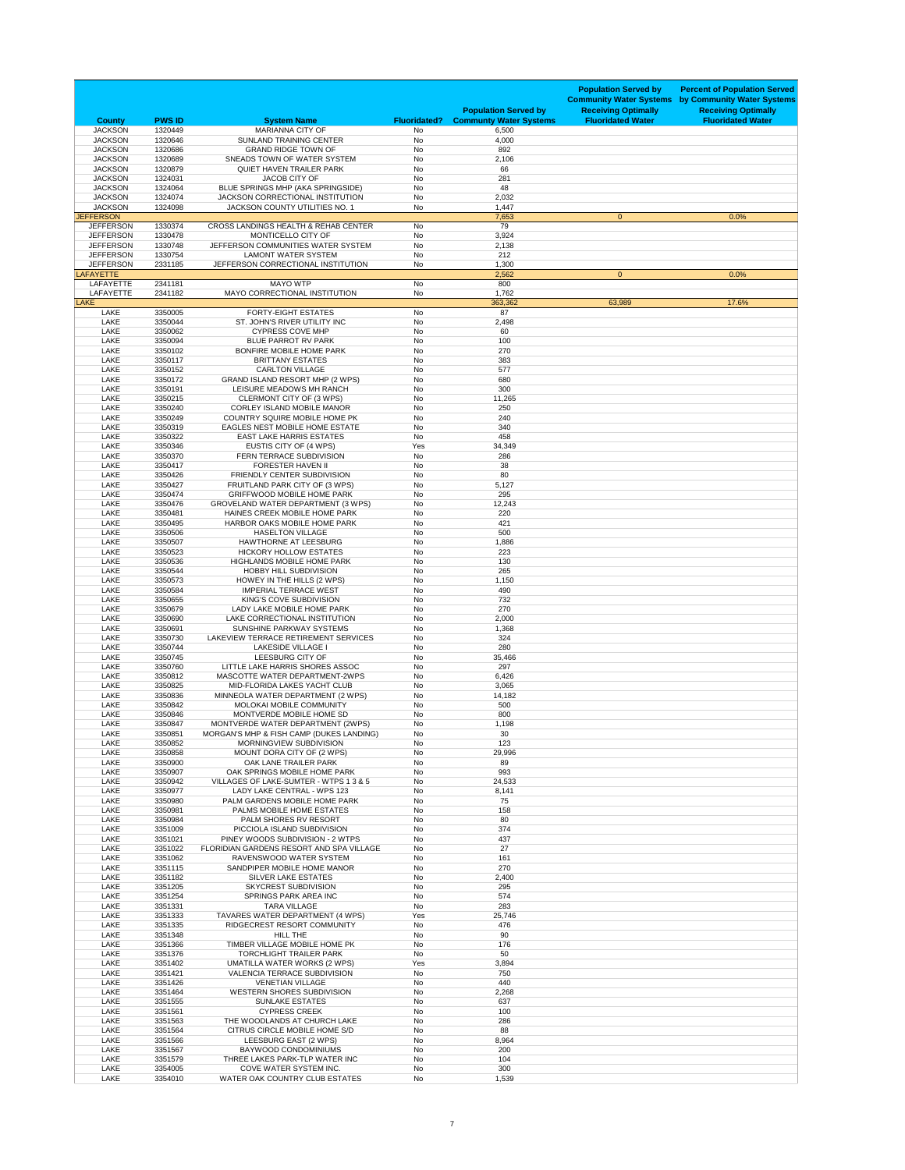| <b>County</b>                        | <b>PWS ID</b>      | <b>System Name</b>                                                       | <b>Fluoridated?</b>    | <b>Population Served by</b><br><b>Communty Water Systems</b> | <b>Population Served by</b><br><b>Community Water Systems</b><br><b>Receiving Optimally</b><br><b>Fluoridated Water</b> | <b>Percent of Population Served</b><br>by Community Water Systems<br><b>Receiving Optimally</b><br><b>Fluoridated Water</b> |
|--------------------------------------|--------------------|--------------------------------------------------------------------------|------------------------|--------------------------------------------------------------|-------------------------------------------------------------------------------------------------------------------------|-----------------------------------------------------------------------------------------------------------------------------|
| <b>JACKSON</b>                       | 1320449            | <b>MARIANNA CITY OF</b>                                                  | <b>No</b>              | 6,500                                                        |                                                                                                                         |                                                                                                                             |
| <b>JACKSON</b><br><b>JACKSON</b>     | 1320646<br>1320686 | <b>SUNLAND TRAINING CENTER</b><br><b>GRAND RIDGE TOWN OF</b>             | <b>No</b><br><b>No</b> | 4,000<br>892                                                 |                                                                                                                         |                                                                                                                             |
| <b>JACKSON</b>                       | 1320689            | SNEADS TOWN OF WATER SYSTEM                                              | <b>No</b>              | 2,106                                                        |                                                                                                                         |                                                                                                                             |
| <b>JACKSON</b><br><b>JACKSON</b>     | 1320879<br>1324031 | <b>QUIET HAVEN TRAILER PARK</b><br><b>JACOB CITY OF</b>                  | <b>No</b><br><b>No</b> | 66<br>281                                                    |                                                                                                                         |                                                                                                                             |
| <b>JACKSON</b>                       | 1324064            | BLUE SPRINGS MHP (AKA SPRINGSIDE)                                        | <b>No</b>              | 48                                                           |                                                                                                                         |                                                                                                                             |
| <b>JACKSON</b>                       | 1324074            | JACKSON CORRECTIONAL INSTITUTION                                         | <b>No</b>              | 2,032                                                        |                                                                                                                         |                                                                                                                             |
| <b>JACKSON</b><br><b>JEFFERSON</b>   | 1324098            | <b>JACKSON COUNTY UTILITIES NO. 1</b>                                    | <b>No</b>              | 1,447<br>7,653                                               | $\mathbf{0}$                                                                                                            | 0.0%                                                                                                                        |
| <b>JEFFERSON</b>                     | 1330374            | <b>CROSS LANDINGS HEALTH &amp; REHAB CENTER</b>                          | <b>No</b>              | 79                                                           |                                                                                                                         |                                                                                                                             |
| <b>JEFFERSON</b>                     | 1330478            | MONTICELLO CITY OF                                                       | <b>No</b>              | 3,924                                                        |                                                                                                                         |                                                                                                                             |
| <b>JEFFERSON</b><br><b>JEFFERSON</b> | 1330748<br>1330754 | JEFFERSON COMMUNITIES WATER SYSTEM<br><b>LAMONT WATER SYSTEM</b>         | <b>No</b><br><b>No</b> | 2,138<br>212                                                 |                                                                                                                         |                                                                                                                             |
| <b>JEFFERSON</b>                     | 2331185            | JEFFERSON CORRECTIONAL INSTITUTION                                       | <b>No</b>              | 1,300                                                        |                                                                                                                         |                                                                                                                             |
| <b>LAFAYETTE</b>                     |                    |                                                                          |                        | 2,562                                                        | $\overline{0}$                                                                                                          | 0.0%                                                                                                                        |
| <b>LAFAYETTE</b><br><b>LAFAYETTE</b> | 2341181<br>2341182 | <b>MAYO WTP</b><br>MAYO CORRECTIONAL INSTITUTION                         | No<br><b>No</b>        | 800<br>1,762                                                 |                                                                                                                         |                                                                                                                             |
| <b>LAKE</b>                          |                    |                                                                          |                        | 363,362                                                      | 63,989                                                                                                                  | 17.6%                                                                                                                       |
| <b>LAKE</b><br><b>LAKE</b>           | 3350005<br>3350044 | <b>FORTY-EIGHT ESTATES</b><br>ST. JOHN'S RIVER UTILITY INC               | No<br><b>No</b>        | 87<br>2,498                                                  |                                                                                                                         |                                                                                                                             |
| <b>LAKE</b>                          | 3350062            | <b>CYPRESS COVE MHP</b>                                                  | <b>No</b>              | 60                                                           |                                                                                                                         |                                                                                                                             |
| <b>LAKE</b>                          | 3350094            | <b>BLUE PARROT RV PARK</b>                                               | <b>No</b>              | 100                                                          |                                                                                                                         |                                                                                                                             |
| <b>LAKE</b><br><b>LAKE</b>           | 3350102<br>3350117 | BONFIRE MOBILE HOME PARK<br><b>BRITTANY ESTATES</b>                      | <b>No</b><br><b>No</b> | 270<br>383                                                   |                                                                                                                         |                                                                                                                             |
| <b>LAKE</b>                          | 3350152            | <b>CARLTON VILLAGE</b>                                                   | <b>No</b>              | 577                                                          |                                                                                                                         |                                                                                                                             |
| <b>LAKE</b>                          | 3350172            | GRAND ISLAND RESORT MHP (2 WPS)                                          | <b>No</b>              | 680                                                          |                                                                                                                         |                                                                                                                             |
| <b>LAKE</b><br><b>LAKE</b>           | 3350191<br>3350215 | LEISURE MEADOWS MH RANCH<br>CLERMONT CITY OF (3 WPS)                     | No<br><b>No</b>        | 300<br>11,265                                                |                                                                                                                         |                                                                                                                             |
| <b>LAKE</b>                          | 3350240            | <b>CORLEY ISLAND MOBILE MANOR</b>                                        | No                     | 250                                                          |                                                                                                                         |                                                                                                                             |
| <b>LAKE</b>                          | 3350249            | <b>COUNTRY SQUIRE MOBILE HOME PK</b>                                     | <b>No</b>              | 240                                                          |                                                                                                                         |                                                                                                                             |
| <b>LAKE</b><br><b>LAKE</b>           | 3350319<br>3350322 | <b>EAGLES NEST MOBILE HOME ESTATE</b><br><b>EAST LAKE HARRIS ESTATES</b> | No<br><b>No</b>        | 340<br>458                                                   |                                                                                                                         |                                                                                                                             |
| <b>LAKE</b>                          | 3350346            | EUSTIS CITY OF (4 WPS)                                                   | Yes                    | 34,349                                                       |                                                                                                                         |                                                                                                                             |
| <b>LAKE</b>                          | 3350370            | FERN TERRACE SUBDIVISION                                                 | No                     | 286                                                          |                                                                                                                         |                                                                                                                             |
| <b>LAKE</b><br><b>LAKE</b>           | 3350417<br>3350426 | <b>FORESTER HAVEN II</b><br>FRIENDLY CENTER SUBDIVISION                  | <b>No</b><br><b>No</b> | 38<br>80                                                     |                                                                                                                         |                                                                                                                             |
| <b>LAKE</b>                          | 3350427            | FRUITLAND PARK CITY OF (3 WPS)                                           | No                     | 5,127                                                        |                                                                                                                         |                                                                                                                             |
| <b>LAKE</b>                          | 3350474            | <b>GRIFFWOOD MOBILE HOME PARK</b>                                        | <b>No</b>              | 295                                                          |                                                                                                                         |                                                                                                                             |
| <b>LAKE</b><br><b>LAKE</b>           | 3350476<br>3350481 | GROVELAND WATER DEPARTMENT (3 WPS)<br>HAINES CREEK MOBILE HOME PARK      | <b>No</b><br>No        | 12,243<br>220                                                |                                                                                                                         |                                                                                                                             |
| <b>LAKE</b>                          | 3350495            | HARBOR OAKS MOBILE HOME PARK                                             | <b>No</b>              | 421                                                          |                                                                                                                         |                                                                                                                             |
| <b>LAKE</b>                          | 3350506<br>3350507 | <b>HASELTON VILLAGE</b><br>HAWTHORNE AT LEESBURG                         | <b>No</b>              | 500                                                          |                                                                                                                         |                                                                                                                             |
| <b>LAKE</b><br><b>LAKE</b>           | 3350523            | <b>HICKORY HOLLOW ESTATES</b>                                            | No<br><b>No</b>        | 1,886<br>223                                                 |                                                                                                                         |                                                                                                                             |
| <b>LAKE</b>                          | 3350536            | <b>HIGHLANDS MOBILE HOME PARK</b>                                        | <b>No</b>              | 130                                                          |                                                                                                                         |                                                                                                                             |
| <b>LAKE</b><br><b>LAKE</b>           | 3350544<br>3350573 | <b>HOBBY HILL SUBDIVISION</b><br>HOWEY IN THE HILLS (2 WPS)              | No<br><b>No</b>        | 265<br>1,150                                                 |                                                                                                                         |                                                                                                                             |
| <b>LAKE</b>                          | 3350584            | <b>IMPERIAL TERRACE WEST</b>                                             | <b>No</b>              | 490                                                          |                                                                                                                         |                                                                                                                             |
| <b>LAKE</b>                          | 3350655            | KING'S COVE SUBDIVISION                                                  | No                     | 732                                                          |                                                                                                                         |                                                                                                                             |
| <b>LAKE</b><br><b>LAKE</b>           | 3350679<br>3350690 | LADY LAKE MOBILE HOME PARK<br>LAKE CORRECTIONAL INSTITUTION              | <b>No</b><br><b>No</b> | 270<br>2,000                                                 |                                                                                                                         |                                                                                                                             |
| <b>LAKE</b>                          | 3350691            | SUNSHINE PARKWAY SYSTEMS                                                 | No                     | 1,368                                                        |                                                                                                                         |                                                                                                                             |
| <b>LAKE</b>                          | 3350730            | LAKEVIEW TERRACE RETIREMENT SERVICES                                     | <b>No</b>              | 324                                                          |                                                                                                                         |                                                                                                                             |
| <b>LAKE</b><br><b>LAKE</b>           | 3350744<br>3350745 | <b>LAKESIDE VILLAGE I</b><br>LEESBURG CITY OF                            | <b>No</b><br><b>No</b> | 280<br>35,466                                                |                                                                                                                         |                                                                                                                             |
| <b>LAKE</b>                          | 3350760            | LITTLE LAKE HARRIS SHORES ASSOC                                          | <b>No</b>              | 297                                                          |                                                                                                                         |                                                                                                                             |
| <b>LAKE</b>                          | 3350812            | MASCOTTE WATER DEPARTMENT-2WPS                                           | <b>No</b>              | 6,426                                                        |                                                                                                                         |                                                                                                                             |
| LAKE<br><b>LAKE</b>                  | 3350825<br>3350836 | MID-FLORIDA LAKES YACHT CLUB<br>MINNEOLA WATER DEPARTMENT (2 WPS)        | <b>No</b><br>No        | 3,065<br>14,182                                              |                                                                                                                         |                                                                                                                             |
| <b>LAKE</b>                          | 3350842            | MOLOKAI MOBILE COMMUNITY                                                 | No                     | 500                                                          |                                                                                                                         |                                                                                                                             |
| <b>LAKE</b><br><b>LAKE</b>           | 3350846<br>3350847 | MONTVERDE MOBILE HOME SD<br>MONTVERDE WATER DEPARTMENT (2WPS)            | <b>No</b><br><b>No</b> | 800<br>1,198                                                 |                                                                                                                         |                                                                                                                             |
| <b>LAKE</b>                          | 3350851            | MORGAN'S MHP & FISH CAMP (DUKES LANDING)                                 | No                     | 30                                                           |                                                                                                                         |                                                                                                                             |
| <b>LAKE</b>                          | 3350852            | MORNINGVIEW SUBDIVISION                                                  | <b>No</b>              | 123                                                          |                                                                                                                         |                                                                                                                             |
| <b>LAKE</b><br><b>LAKE</b>           | 3350858<br>3350900 | MOUNT DORA CITY OF (2 WPS)<br>OAK LANE TRAILER PARK                      | <b>No</b><br><b>No</b> | 29,996<br>89                                                 |                                                                                                                         |                                                                                                                             |
| <b>LAKE</b>                          | 3350907            | OAK SPRINGS MOBILE HOME PARK                                             | <b>No</b>              | 993                                                          |                                                                                                                         |                                                                                                                             |
| <b>LAKE</b>                          | 3350942            | VILLAGES OF LAKE-SUMTER - WTPS 1 3 & 5                                   | <b>No</b>              | 24,533                                                       |                                                                                                                         |                                                                                                                             |
| <b>LAKE</b><br><b>LAKE</b>           | 3350977<br>3350980 | LADY LAKE CENTRAL - WPS 123<br>PALM GARDENS MOBILE HOME PARK             | No<br><b>No</b>        | 8,141<br>75                                                  |                                                                                                                         |                                                                                                                             |
| LAKE                                 | 3350981            | PALMS MOBILE HOME ESTATES                                                | <b>No</b>              | 158                                                          |                                                                                                                         |                                                                                                                             |
| <b>LAKE</b><br><b>LAKE</b>           | 3350984<br>3351009 | PALM SHORES RV RESORT<br>PICCIOLA ISLAND SUBDIVISION                     | No<br><b>No</b>        | 80<br>374                                                    |                                                                                                                         |                                                                                                                             |
| <b>LAKE</b>                          | 3351021            | PINEY WOODS SUBDIVISION - 2 WTPS                                         | No                     | 437                                                          |                                                                                                                         |                                                                                                                             |
| <b>LAKE</b>                          | 3351022            | FLORIDIAN GARDENS RESORT AND SPA VILLAGE                                 | <b>No</b>              | 27                                                           |                                                                                                                         |                                                                                                                             |
| <b>LAKE</b><br><b>LAKE</b>           | 3351062<br>3351115 | RAVENSWOOD WATER SYSTEM<br>SANDPIPER MOBILE HOME MANOR                   | <b>No</b><br>No        | 161<br>270                                                   |                                                                                                                         |                                                                                                                             |
| <b>LAKE</b>                          | 3351182            | <b>SILVER LAKE ESTATES</b>                                               | <b>No</b>              | 2,400                                                        |                                                                                                                         |                                                                                                                             |
| <b>LAKE</b>                          | 3351205            | <b>SKYCREST SUBDIVISION</b>                                              | <b>No</b>              | 295                                                          |                                                                                                                         |                                                                                                                             |
| <b>LAKE</b><br><b>LAKE</b>           | 3351254<br>3351331 | SPRINGS PARK AREA INC<br><b>TARA VILLAGE</b>                             | No<br><b>No</b>        | 574<br>283                                                   |                                                                                                                         |                                                                                                                             |
| <b>LAKE</b>                          | 3351333            | TAVARES WATER DEPARTMENT (4 WPS)                                         | Yes                    | 25,746                                                       |                                                                                                                         |                                                                                                                             |
| <b>LAKE</b>                          | 3351335            | RIDGECREST RESORT COMMUNITY                                              | <b>No</b>              | 476                                                          |                                                                                                                         |                                                                                                                             |
| <b>LAKE</b><br><b>LAKE</b>           | 3351348<br>3351366 | <b>HILL THE</b><br>TIMBER VILLAGE MOBILE HOME PK                         | <b>No</b><br>No        | 90<br>176                                                    |                                                                                                                         |                                                                                                                             |
| <b>LAKE</b>                          | 3351376            | <b>TORCHLIGHT TRAILER PARK</b>                                           | No                     | 50                                                           |                                                                                                                         |                                                                                                                             |
| <b>LAKE</b>                          | 3351402            | <b>UMATILLA WATER WORKS (2 WPS)</b>                                      | Yes                    | 3,894                                                        |                                                                                                                         |                                                                                                                             |
| <b>LAKE</b><br><b>LAKE</b>           | 3351421<br>3351426 | <b>VALENCIA TERRACE SUBDIVISION</b><br><b>VENETIAN VILLAGE</b>           | <b>No</b><br><b>No</b> | 750<br>440                                                   |                                                                                                                         |                                                                                                                             |
| LAKE                                 | 3351464            | WESTERN SHORES SUBDIVISION                                               | No                     | 2,268                                                        |                                                                                                                         |                                                                                                                             |
| <b>LAKE</b><br><b>LAKE</b>           | 3351555<br>3351561 | <b>SUNLAKE ESTATES</b><br><b>CYPRESS CREEK</b>                           | <b>No</b><br><b>No</b> | 637<br>100                                                   |                                                                                                                         |                                                                                                                             |
| <b>LAKE</b>                          | 3351563            | THE WOODLANDS AT CHURCH LAKE                                             | <b>No</b>              | 286                                                          |                                                                                                                         |                                                                                                                             |
| <b>LAKE</b>                          | 3351564            | CITRUS CIRCLE MOBILE HOME S/D                                            | <b>No</b>              | 88                                                           |                                                                                                                         |                                                                                                                             |
| <b>LAKE</b><br>LAKE                  | 3351566<br>3351567 | LEESBURG EAST (2 WPS)<br><b>BAYWOOD CONDOMINIUMS</b>                     | <b>No</b><br><b>No</b> | 8,964<br>200                                                 |                                                                                                                         |                                                                                                                             |
| <b>LAKE</b>                          | 3351579            | THREE LAKES PARK-TLP WATER INC                                           | <b>No</b>              | 104                                                          |                                                                                                                         |                                                                                                                             |
| <b>LAKE</b>                          | 3354005            | COVE WATER SYSTEM INC.                                                   | <b>No</b>              | 300                                                          |                                                                                                                         |                                                                                                                             |
| <b>LAKE</b>                          | 3354010            | WATER OAK COUNTRY CLUB ESTATES                                           | <b>No</b>              | 1,539                                                        |                                                                                                                         |                                                                                                                             |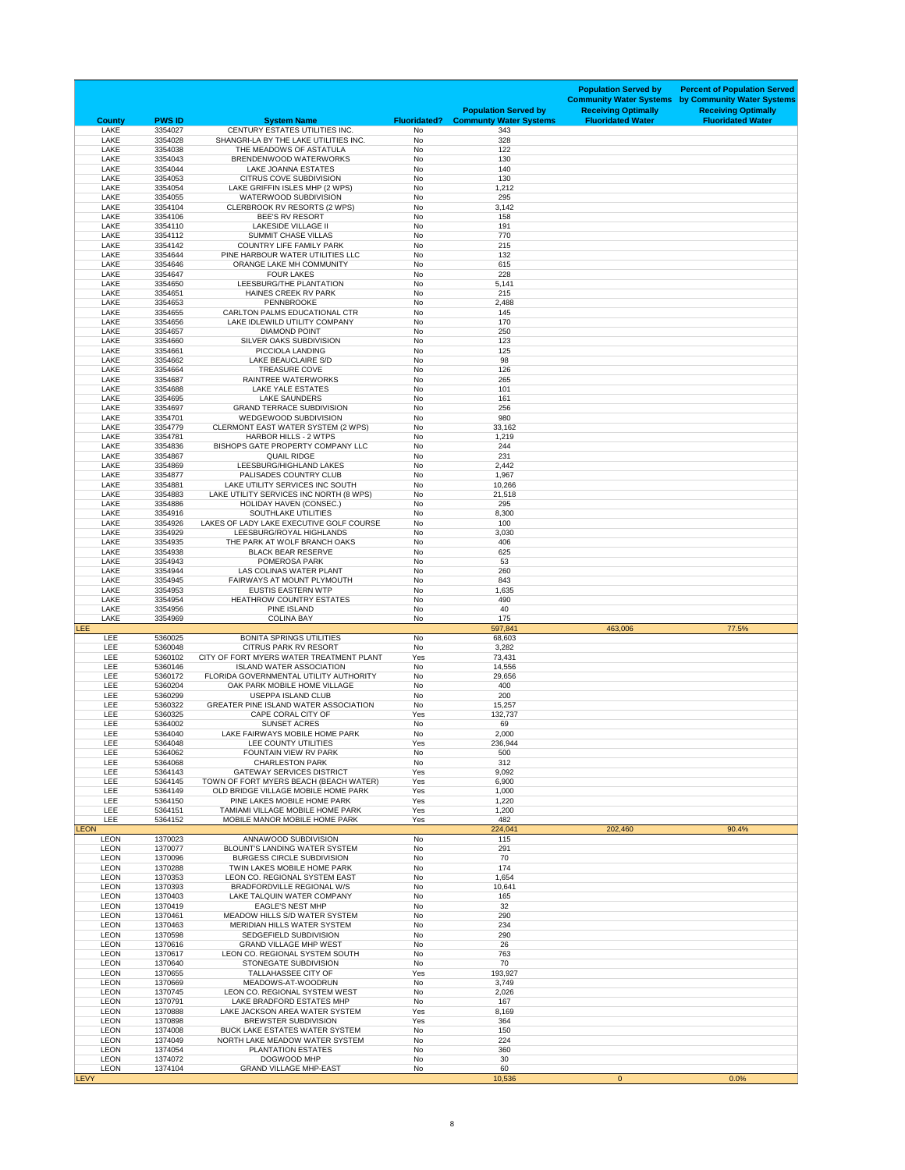| <b>County</b>              | <b>PWS ID</b>      | <b>System Name</b>                                                         | <b>Fluoridated?</b> | <b>Population Served by</b><br><b>Communty Water Systems</b> | <b>Population Served by</b><br><b>Community Water Systems</b><br><b>Receiving Optimally</b><br><b>Fluoridated Water</b> | <b>Percent of Population Served</b><br>by Community Water Systems<br><b>Receiving Optimally</b><br><b>Fluoridated Water</b> |
|----------------------------|--------------------|----------------------------------------------------------------------------|---------------------|--------------------------------------------------------------|-------------------------------------------------------------------------------------------------------------------------|-----------------------------------------------------------------------------------------------------------------------------|
| <b>LAKE</b>                | 3354027            | CENTURY ESTATES UTILITIES INC.                                             | No                  | 343                                                          |                                                                                                                         |                                                                                                                             |
| <b>LAKE</b><br><b>LAKE</b> | 3354028<br>3354038 | SHANGRI-LA BY THE LAKE UTILITIES INC.<br>THE MEADOWS OF ASTATULA           | No<br>No            | 328<br>122                                                   |                                                                                                                         |                                                                                                                             |
| <b>LAKE</b>                | 3354043            | BRENDENWOOD WATERWORKS                                                     | No                  | 130                                                          |                                                                                                                         |                                                                                                                             |
| <b>LAKE</b><br><b>LAKE</b> | 3354044<br>3354053 | <b>LAKE JOANNA ESTATES</b><br><b>CITRUS COVE SUBDIVISION</b>               | No<br>No            | 140<br>130                                                   |                                                                                                                         |                                                                                                                             |
| <b>LAKE</b>                | 3354054            | LAKE GRIFFIN ISLES MHP (2 WPS)                                             | No                  | 1,212                                                        |                                                                                                                         |                                                                                                                             |
| <b>LAKE</b>                | 3354055            | <b>WATERWOOD SUBDIVISION</b>                                               | No                  | 295                                                          |                                                                                                                         |                                                                                                                             |
| <b>LAKE</b><br><b>LAKE</b> | 3354104<br>3354106 | CLERBROOK RV RESORTS (2 WPS)<br><b>BEE'S RV RESORT</b>                     | No<br>No            | 3,142<br>158                                                 |                                                                                                                         |                                                                                                                             |
| <b>LAKE</b>                | 3354110            | <b>LAKESIDE VILLAGE II</b>                                                 | No                  | 191                                                          |                                                                                                                         |                                                                                                                             |
| <b>LAKE</b><br><b>LAKE</b> | 3354112<br>3354142 | <b>SUMMIT CHASE VILLAS</b><br><b>COUNTRY LIFE FAMILY PARK</b>              | No<br>No            | 770<br>215                                                   |                                                                                                                         |                                                                                                                             |
| <b>LAKE</b>                | 3354644            | PINE HARBOUR WATER UTILITIES LLC                                           | No                  | 132                                                          |                                                                                                                         |                                                                                                                             |
| <b>LAKE</b>                | 3354646            | ORANGE LAKE MH COMMUNITY                                                   | No                  | 615                                                          |                                                                                                                         |                                                                                                                             |
| <b>LAKE</b><br><b>LAKE</b> | 3354647<br>3354650 | <b>FOUR LAKES</b><br>LEESBURG/THE PLANTATION                               | No<br><b>No</b>     | 228<br>5,141                                                 |                                                                                                                         |                                                                                                                             |
| <b>LAKE</b>                | 3354651            | HAINES CREEK RV PARK                                                       | No                  | 215                                                          |                                                                                                                         |                                                                                                                             |
| <b>LAKE</b><br><b>LAKE</b> | 3354653<br>3354655 | <b>PENNBROOKE</b><br><b>CARLTON PALMS EDUCATIONAL CTR</b>                  | No<br>No            | 2,488<br>145                                                 |                                                                                                                         |                                                                                                                             |
| <b>LAKE</b>                | 3354656            | LAKE IDLEWILD UTILITY COMPANY                                              | No                  | 170                                                          |                                                                                                                         |                                                                                                                             |
| <b>LAKE</b>                | 3354657            | <b>DIAMOND POINT</b>                                                       | No                  | 250                                                          |                                                                                                                         |                                                                                                                             |
| <b>LAKE</b><br><b>LAKE</b> | 3354660<br>3354661 | <b>SILVER OAKS SUBDIVISION</b><br>PICCIOLA LANDING                         | No<br>No            | 123<br>125                                                   |                                                                                                                         |                                                                                                                             |
| <b>LAKE</b>                | 3354662            | LAKE BEAUCLAIRE S/D                                                        | No                  | 98                                                           |                                                                                                                         |                                                                                                                             |
| <b>LAKE</b><br><b>LAKE</b> | 3354664<br>3354687 | <b>TREASURE COVE</b><br><b>RAINTREE WATERWORKS</b>                         | No<br>No            | 126<br>265                                                   |                                                                                                                         |                                                                                                                             |
| <b>LAKE</b>                | 3354688            | <b>LAKE YALE ESTATES</b>                                                   | No                  | 101                                                          |                                                                                                                         |                                                                                                                             |
| <b>LAKE</b>                | 3354695            | <b>LAKE SAUNDERS</b>                                                       | No                  | 161                                                          |                                                                                                                         |                                                                                                                             |
| <b>LAKE</b><br><b>LAKE</b> | 3354697<br>3354701 | <b>GRAND TERRACE SUBDIVISION</b><br><b>WEDGEWOOD SUBDIVISION</b>           | No<br>No            | 256<br>980                                                   |                                                                                                                         |                                                                                                                             |
| <b>LAKE</b>                | 3354779            | <b>CLERMONT EAST WATER SYSTEM (2 WPS)</b>                                  | No                  | 33,162                                                       |                                                                                                                         |                                                                                                                             |
| <b>LAKE</b>                | 3354781            | <b>HARBOR HILLS - 2 WTPS</b>                                               | No                  | 1,219                                                        |                                                                                                                         |                                                                                                                             |
| <b>LAKE</b><br><b>LAKE</b> | 3354836<br>3354867 | BISHOPS GATE PROPERTY COMPANY LLC<br><b>QUAIL RIDGE</b>                    | No<br>No            | 244<br>231                                                   |                                                                                                                         |                                                                                                                             |
| <b>LAKE</b>                | 3354869            | LEESBURG/HIGHLAND LAKES                                                    | No                  | 2,442                                                        |                                                                                                                         |                                                                                                                             |
| <b>LAKE</b><br><b>LAKE</b> | 3354877<br>3354881 | PALISADES COUNTRY CLUB<br>LAKE UTILITY SERVICES INC SOUTH                  | No<br>No            | 1,967<br>10,266                                              |                                                                                                                         |                                                                                                                             |
| <b>LAKE</b>                | 3354883            | LAKE UTILITY SERVICES INC NORTH (8 WPS)                                    | No                  | 21,518                                                       |                                                                                                                         |                                                                                                                             |
| <b>LAKE</b>                | 3354886            | <b>HOLIDAY HAVEN (CONSEC.)</b>                                             | No                  | 295                                                          |                                                                                                                         |                                                                                                                             |
| <b>LAKE</b><br><b>LAKE</b> | 3354916<br>3354926 | SOUTHLAKE UTILITIES<br>LAKES OF LADY LAKE EXECUTIVE GOLF COURSE            | <b>No</b><br>No     | 8,300<br>100                                                 |                                                                                                                         |                                                                                                                             |
| <b>LAKE</b>                | 3354929            | LEESBURG/ROYAL HIGHLANDS                                                   | No                  | 3,030                                                        |                                                                                                                         |                                                                                                                             |
| <b>LAKE</b><br><b>LAKE</b> | 3354935<br>3354938 | THE PARK AT WOLF BRANCH OAKS<br><b>BLACK BEAR RESERVE</b>                  | No<br>No            | 406<br>625                                                   |                                                                                                                         |                                                                                                                             |
| <b>LAKE</b>                | 3354943            | POMEROSA PARK                                                              | No                  | 53                                                           |                                                                                                                         |                                                                                                                             |
| <b>LAKE</b>                | 3354944            | LAS COLINAS WATER PLANT                                                    | <b>No</b>           | 260                                                          |                                                                                                                         |                                                                                                                             |
| <b>LAKE</b><br><b>LAKE</b> | 3354945<br>3354953 | <b>FAIRWAYS AT MOUNT PLYMOUTH</b><br><b>EUSTIS EASTERN WTP</b>             | No<br>No            | 843<br>1,635                                                 |                                                                                                                         |                                                                                                                             |
| <b>LAKE</b>                | 3354954            | <b>HEATHROW COUNTRY ESTATES</b>                                            | <b>No</b>           | 490                                                          |                                                                                                                         |                                                                                                                             |
| <b>LAKE</b><br><b>LAKE</b> | 3354956<br>3354969 | <b>PINE ISLAND</b><br><b>COLINA BAY</b>                                    | No<br>No            | 40<br>175                                                    |                                                                                                                         |                                                                                                                             |
| <b>LEE</b>                 |                    |                                                                            |                     | 597,841                                                      | 463,006                                                                                                                 | 77.5%                                                                                                                       |
| <b>LEE</b><br><b>LEE</b>   | 5360025<br>5360048 | <b>BONITA SPRINGS UTILITIES</b><br><b>CITRUS PARK RV RESORT</b>            | No<br>No            | 68,603<br>3,282                                              |                                                                                                                         |                                                                                                                             |
| <b>LEE</b>                 | 5360102            | CITY OF FORT MYERS WATER TREATMENT PLANT                                   | Yes                 | 73,431                                                       |                                                                                                                         |                                                                                                                             |
| <b>LEE</b>                 | 5360146            | <b>ISLAND WATER ASSOCIATION</b>                                            | No                  | 14,556                                                       |                                                                                                                         |                                                                                                                             |
| <b>LEE</b><br><b>LEE</b>   | 5360172<br>5360204 | FLORIDA GOVERNMENTAL UTILITY AUTHORITY<br>OAK PARK MOBILE HOME VILLAGE     | No<br>No            | 29,656<br>400                                                |                                                                                                                         |                                                                                                                             |
| <b>LEE</b>                 | 5360299            | <b>USEPPA ISLAND CLUB</b>                                                  | No                  | 200                                                          |                                                                                                                         |                                                                                                                             |
| <b>LEE</b><br><b>LEE</b>   | 5360322<br>5360325 | <b>GREATER PINE ISLAND WATER ASSOCIATION</b><br>CAPE CORAL CITY OF         | No<br>Yes           | 15,257<br>132,737                                            |                                                                                                                         |                                                                                                                             |
| <b>LEE</b>                 | 5364002            | <b>SUNSET ACRES</b>                                                        | No                  | 69                                                           |                                                                                                                         |                                                                                                                             |
| <b>LEE</b>                 | 5364040            | LAKE FAIRWAYS MOBILE HOME PARK                                             | No                  | 2,000                                                        |                                                                                                                         |                                                                                                                             |
| <b>LEE</b><br><b>LEE</b>   | 5364048<br>5364062 | LEE COUNTY UTILITIES<br>FOUNTAIN VIEW RV PARK                              | Yes<br>No           | 236,944<br>500                                               |                                                                                                                         |                                                                                                                             |
| <b>LEE</b>                 | 5364068            | <b>CHARLESTON PARK</b>                                                     | No                  | 312                                                          |                                                                                                                         |                                                                                                                             |
| <b>LEE</b><br><b>LEE</b>   | 5364143<br>5364145 | <b>GATEWAY SERVICES DISTRICT</b><br>TOWN OF FORT MYERS BEACH (BEACH WATER) | Yes<br>Yes          | 9,092<br>6,900                                               |                                                                                                                         |                                                                                                                             |
| <b>LEE</b>                 | 5364149            | OLD BRIDGE VILLAGE MOBILE HOME PARK                                        | Yes                 | 1,000                                                        |                                                                                                                         |                                                                                                                             |
| <b>LEE</b>                 | 5364150            | PINE LAKES MOBILE HOME PARK                                                | Yes                 | 1,220                                                        |                                                                                                                         |                                                                                                                             |
| <b>LEE</b><br><b>LEE</b>   | 5364151<br>5364152 | TAMIAMI VILLAGE MOBILE HOME PARK<br>MOBILE MANOR MOBILE HOME PARK          | Yes<br>Yes          | 1,200<br>482                                                 |                                                                                                                         |                                                                                                                             |
| <b>LEON</b>                |                    |                                                                            |                     | 224,041                                                      | 202,460                                                                                                                 | 90.4%                                                                                                                       |
| <b>LEON</b><br><b>LEON</b> | 1370023<br>1370077 | ANNAWOOD SUBDIVISION<br><b>BLOUNT'S LANDING WATER SYSTEM</b>               | No<br>No            | 115<br>291                                                   |                                                                                                                         |                                                                                                                             |
| <b>LEON</b>                | 1370096            | <b>BURGESS CIRCLE SUBDIVISION</b>                                          | No                  | 70                                                           |                                                                                                                         |                                                                                                                             |
| <b>LEON</b><br><b>LEON</b> | 1370288<br>1370353 | TWIN LAKES MOBILE HOME PARK<br>LEON CO. REGIONAL SYSTEM EAST               | No<br><b>No</b>     | 174<br>1,654                                                 |                                                                                                                         |                                                                                                                             |
| <b>LEON</b>                | 1370393            | <b>BRADFORDVILLE REGIONAL W/S</b>                                          | No                  | 10,641                                                       |                                                                                                                         |                                                                                                                             |
| <b>LEON</b>                | 1370403            | LAKE TALQUIN WATER COMPANY                                                 | No                  | 165                                                          |                                                                                                                         |                                                                                                                             |
| <b>LEON</b><br><b>LEON</b> | 1370419<br>1370461 | <b>EAGLE'S NEST MHP</b><br>MEADOW HILLS S/D WATER SYSTEM                   | No<br>No            | 32<br>290                                                    |                                                                                                                         |                                                                                                                             |
| <b>LEON</b>                | 1370463            | MERIDIAN HILLS WATER SYSTEM                                                | No                  | 234                                                          |                                                                                                                         |                                                                                                                             |
| <b>LEON</b><br><b>LEON</b> | 1370598<br>1370616 | SEDGEFIELD SUBDIVISION<br><b>GRAND VILLAGE MHP WEST</b>                    | No<br>No            | 290<br>26                                                    |                                                                                                                         |                                                                                                                             |
| <b>LEON</b>                | 1370617            | LEON CO. REGIONAL SYSTEM SOUTH                                             | No                  | 763                                                          |                                                                                                                         |                                                                                                                             |
| <b>LEON</b>                | 1370640            | STONEGATE SUBDIVISION                                                      | No                  | 70                                                           |                                                                                                                         |                                                                                                                             |
| <b>LEON</b><br><b>LEON</b> | 1370655<br>1370669 | <b>TALLAHASSEE CITY OF</b><br>MEADOWS-AT-WOODRUN                           | Yes<br>No           | 193,927<br>3,749                                             |                                                                                                                         |                                                                                                                             |
| <b>LEON</b>                | 1370745            | LEON CO. REGIONAL SYSTEM WEST                                              | No                  | 2,026                                                        |                                                                                                                         |                                                                                                                             |
| <b>LEON</b><br><b>LEON</b> | 1370791<br>1370888 | LAKE BRADFORD ESTATES MHP<br>LAKE JACKSON AREA WATER SYSTEM                | No<br>Yes           | 167<br>8,169                                                 |                                                                                                                         |                                                                                                                             |
| <b>LEON</b>                | 1370898            | <b>BREWSTER SUBDIVISION</b>                                                | Yes                 | 364                                                          |                                                                                                                         |                                                                                                                             |
| <b>LEON</b>                | 1374008            | <b>BUCK LAKE ESTATES WATER SYSTEM</b>                                      | No                  | 150                                                          |                                                                                                                         |                                                                                                                             |
| <b>LEON</b><br><b>LEON</b> | 1374049<br>1374054 | NORTH LAKE MEADOW WATER SYSTEM<br><b>PLANTATION ESTATES</b>                | No<br>No            | 224<br>360                                                   |                                                                                                                         |                                                                                                                             |
| <b>LEON</b>                | 1374072            | DOGWOOD MHP                                                                | No                  | 30                                                           |                                                                                                                         |                                                                                                                             |
| <b>LEON</b><br><b>LEVY</b> | 1374104            | <b>GRAND VILLAGE MHP-EAST</b>                                              | No                  | 60<br>10,536                                                 | $\overline{0}$                                                                                                          | 0.0%                                                                                                                        |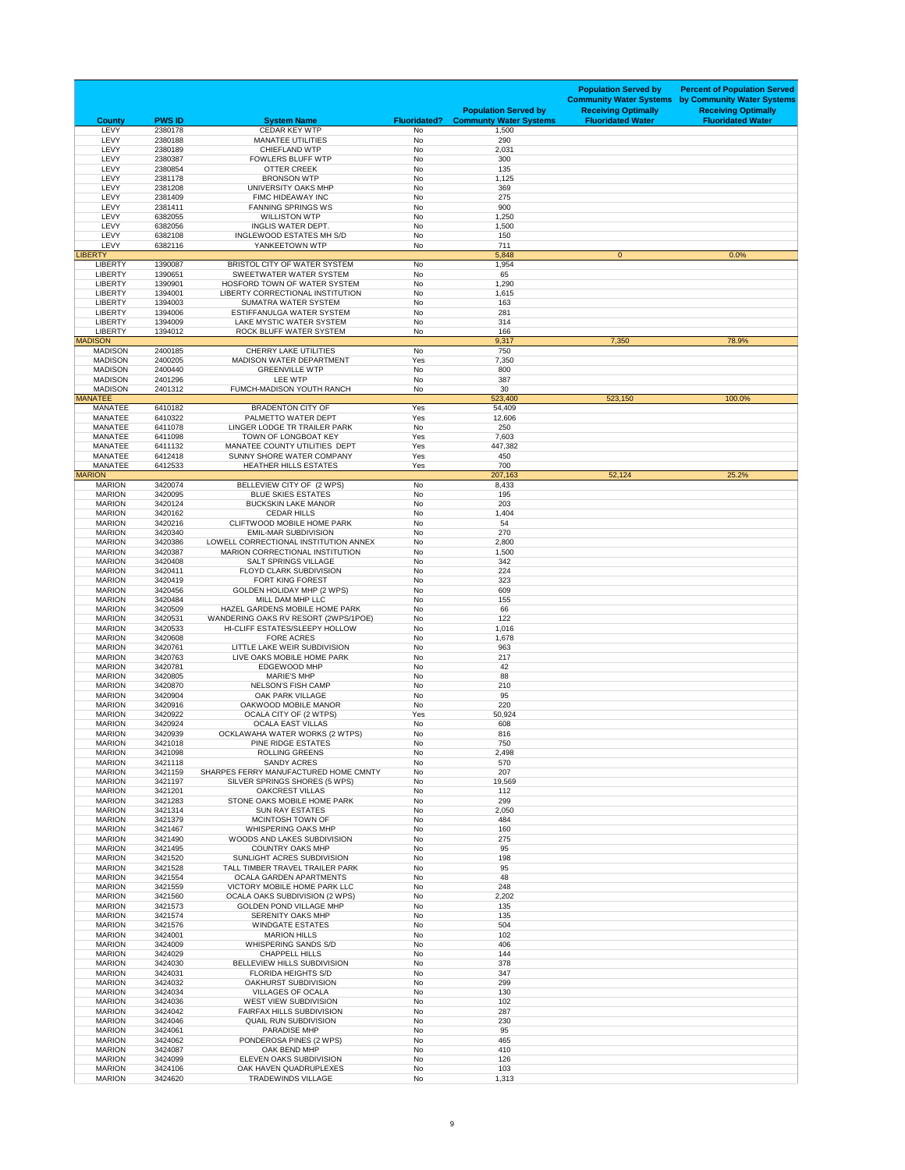| <b>County</b>                    | <b>PWS ID</b>      | <b>System Name</b>                                                              | <b>Fluoridated?</b>    | <b>Population Served by</b><br><b>Communty Water Systems</b> | <b>Population Served by</b><br><b>Community Water Systems</b><br><b>Receiving Optimally</b><br><b>Fluoridated Water</b> | <b>Percent of Population Served</b><br>by Community Water Systems<br><b>Receiving Optimally</b><br><b>Fluoridated Water</b> |
|----------------------------------|--------------------|---------------------------------------------------------------------------------|------------------------|--------------------------------------------------------------|-------------------------------------------------------------------------------------------------------------------------|-----------------------------------------------------------------------------------------------------------------------------|
| LEVY                             | 2380178            | <b>CEDAR KEY WTP</b>                                                            | No                     | 1,500                                                        |                                                                                                                         |                                                                                                                             |
| LEVY<br>LEVY                     | 2380188<br>2380189 | <b>MANATEE UTILITIES</b><br><b>CHIEFLAND WTP</b>                                | <b>No</b><br>No        | 290<br>2,031                                                 |                                                                                                                         |                                                                                                                             |
| LEVY                             | 2380387            | <b>FOWLERS BLUFF WTP</b>                                                        | No                     | 300                                                          |                                                                                                                         |                                                                                                                             |
| LEVY                             | 2380854            | <b>OTTER CREEK</b>                                                              | <b>No</b>              | 135                                                          |                                                                                                                         |                                                                                                                             |
| LEVY<br>LEVY                     | 2381178<br>2381208 | <b>BRONSON WTP</b><br>UNIVERSITY OAKS MHP                                       | No<br><b>No</b>        | 1,125<br>369                                                 |                                                                                                                         |                                                                                                                             |
| LEVY                             | 2381409            | FIMC HIDEAWAY INC                                                               | <b>No</b>              | 275                                                          |                                                                                                                         |                                                                                                                             |
| LEVY                             | 2381411            | <b>FANNING SPRINGS WS</b>                                                       | No                     | 900                                                          |                                                                                                                         |                                                                                                                             |
| LEVY<br>LEVY                     | 6382055<br>6382056 | <b>WILLISTON WTP</b><br>INGLIS WATER DEPT.                                      | No<br>No               | 1,250<br>1,500                                               |                                                                                                                         |                                                                                                                             |
| LEVY                             | 6382108            | <b>INGLEWOOD ESTATES MH S/D</b>                                                 | No                     | 150                                                          |                                                                                                                         |                                                                                                                             |
| <b>LEVY</b><br><b>LIBERTY</b>    | 6382116            | YANKEETOWN WTP                                                                  | No                     | 711<br>5,848                                                 | $\overline{0}$                                                                                                          | 0.0%                                                                                                                        |
| <b>LIBERTY</b>                   | 1390087            | BRISTOL CITY OF WATER SYSTEM                                                    | No                     | 1,954                                                        |                                                                                                                         |                                                                                                                             |
| <b>LIBERTY</b>                   | 1390651            | <b>SWEETWATER WATER SYSTEM</b>                                                  | No                     | 65                                                           |                                                                                                                         |                                                                                                                             |
| <b>LIBERTY</b><br><b>LIBERTY</b> | 1390901<br>1394001 | HOSFORD TOWN OF WATER SYSTEM<br><b>LIBERTY CORRECTIONAL INSTITUTION</b>         | <b>No</b><br>No        | 1,290<br>1,615                                               |                                                                                                                         |                                                                                                                             |
| <b>LIBERTY</b>                   | 1394003            | SUMATRA WATER SYSTEM                                                            | <b>No</b>              | 163                                                          |                                                                                                                         |                                                                                                                             |
| <b>LIBERTY</b>                   | 1394006            | ESTIFFANULGA WATER SYSTEM                                                       | <b>No</b>              | 281                                                          |                                                                                                                         |                                                                                                                             |
| <b>LIBERTY</b><br><b>LIBERTY</b> | 1394009<br>1394012 | LAKE MYSTIC WATER SYSTEM<br>ROCK BLUFF WATER SYSTEM                             | <b>No</b><br>No        | 314<br>166                                                   |                                                                                                                         |                                                                                                                             |
| <b>MADISON</b>                   |                    |                                                                                 |                        | 9,317                                                        | 7,350                                                                                                                   | 78.9%                                                                                                                       |
| <b>MADISON</b>                   | 2400185            | <b>CHERRY LAKE UTILITIES</b>                                                    | No                     | 750                                                          |                                                                                                                         |                                                                                                                             |
| <b>MADISON</b><br><b>MADISON</b> | 2400205<br>2400440 | MADISON WATER DEPARTMENT<br><b>GREENVILLE WTP</b>                               | Yes<br>No              | 7,350<br>800                                                 |                                                                                                                         |                                                                                                                             |
| <b>MADISON</b>                   | 2401296            | <b>LEE WTP</b>                                                                  | No                     | 387                                                          |                                                                                                                         |                                                                                                                             |
| <b>MADISON</b>                   | 2401312            | FUMCH-MADISON YOUTH RANCH                                                       | No                     | 30                                                           |                                                                                                                         |                                                                                                                             |
| <b>MANATEE</b><br><b>MANATEE</b> | 6410182            | <b>BRADENTON CITY OF</b>                                                        | Yes                    | 523,400<br>54,409                                            | 523,150                                                                                                                 | 100.0%                                                                                                                      |
| <b>MANATEE</b>                   | 6410322            | PALMETTO WATER DEPT                                                             | Yes                    | 12,606                                                       |                                                                                                                         |                                                                                                                             |
| <b>MANATEE</b>                   | 6411078            | LINGER LODGE TR TRAILER PARK<br>TOWN OF LONGBOAT KEY                            | No                     | 250                                                          |                                                                                                                         |                                                                                                                             |
| <b>MANATEE</b><br><b>MANATEE</b> | 6411098<br>6411132 | MANATEE COUNTY UTILITIES DEPT                                                   | Yes<br>Yes             | 7,603<br>447,382                                             |                                                                                                                         |                                                                                                                             |
| <b>MANATEE</b>                   | 6412418            | SUNNY SHORE WATER COMPANY                                                       | Yes                    | 450                                                          |                                                                                                                         |                                                                                                                             |
| <b>MANATEE</b><br><b>MARION</b>  | 6412533            | <b>HEATHER HILLS ESTATES</b>                                                    | Yes                    | 700<br>207,163                                               | 52,124                                                                                                                  | 25.2%                                                                                                                       |
| <b>MARION</b>                    | 3420074            | BELLEVIEW CITY OF (2 WPS)                                                       | No                     | 8,433                                                        |                                                                                                                         |                                                                                                                             |
| <b>MARION</b>                    | 3420095            | <b>BLUE SKIES ESTATES</b>                                                       | No                     | 195                                                          |                                                                                                                         |                                                                                                                             |
| <b>MARION</b><br><b>MARION</b>   | 3420124<br>3420162 | <b>BUCKSKIN LAKE MANOR</b><br><b>CEDAR HILLS</b>                                | <b>No</b><br>No        | 203<br>1,404                                                 |                                                                                                                         |                                                                                                                             |
| <b>MARION</b>                    | 3420216            | <b>CLIFTWOOD MOBILE HOME PARK</b>                                               | No                     | 54                                                           |                                                                                                                         |                                                                                                                             |
| <b>MARION</b>                    | 3420340            | <b>EMIL-MAR SUBDIVISION</b>                                                     | No                     | 270                                                          |                                                                                                                         |                                                                                                                             |
| <b>MARION</b><br><b>MARION</b>   | 3420386<br>3420387 | LOWELL CORRECTIONAL INSTITUTION ANNEX<br><b>MARION CORRECTIONAL INSTITUTION</b> | No<br><b>No</b>        | 2,800<br>1,500                                               |                                                                                                                         |                                                                                                                             |
| <b>MARION</b>                    | 3420408            | <b>SALT SPRINGS VILLAGE</b>                                                     | No                     | 342                                                          |                                                                                                                         |                                                                                                                             |
| <b>MARION</b>                    | 3420411            | <b>FLOYD CLARK SUBDIVISION</b>                                                  | No                     | 224                                                          |                                                                                                                         |                                                                                                                             |
| <b>MARION</b><br><b>MARION</b>   | 3420419<br>3420456 | <b>FORT KING FOREST</b><br><b>GOLDEN HOLIDAY MHP (2 WPS)</b>                    | <b>No</b><br>No        | 323<br>609                                                   |                                                                                                                         |                                                                                                                             |
| <b>MARION</b>                    | 3420484            | MILL DAM MHP LLC                                                                | <b>No</b>              | 155                                                          |                                                                                                                         |                                                                                                                             |
| <b>MARION</b><br><b>MARION</b>   | 3420509<br>3420531 | HAZEL GARDENS MOBILE HOME PARK                                                  | <b>No</b>              | 66<br>122                                                    |                                                                                                                         |                                                                                                                             |
| <b>MARION</b>                    | 3420533            | WANDERING OAKS RV RESORT (2WPS/1POE)<br>HI-CLIFF ESTATES/SLEEPY HOLLOW          | No<br>No               | 1,016                                                        |                                                                                                                         |                                                                                                                             |
| <b>MARION</b>                    | 3420608            | <b>FORE ACRES</b>                                                               | <b>No</b>              | 1,678                                                        |                                                                                                                         |                                                                                                                             |
| <b>MARION</b><br><b>MARION</b>   | 3420761<br>3420763 | LITTLE LAKE WEIR SUBDIVISION<br>LIVE OAKS MOBILE HOME PARK                      | <b>No</b><br>No        | 963<br>217                                                   |                                                                                                                         |                                                                                                                             |
| <b>MARION</b>                    | 3420781            | <b>EDGEWOOD MHP</b>                                                             | <b>No</b>              | 42                                                           |                                                                                                                         |                                                                                                                             |
| <b>MARION</b>                    | 3420805            | <b>MARIE'S MHP</b>                                                              | <b>No</b>              | 88                                                           |                                                                                                                         |                                                                                                                             |
| <b>MARION</b><br><b>MARION</b>   | 3420870<br>3420904 | <b>NELSON'S FISH CAMP</b><br><b>OAK PARK VILLAGE</b>                            | No<br><b>No</b>        | 210<br>95                                                    |                                                                                                                         |                                                                                                                             |
| <b>MARION</b>                    | 3420916            | OAKWOOD MOBILE MANOR                                                            | <b>No</b>              | 220                                                          |                                                                                                                         |                                                                                                                             |
| <b>MARION</b><br><b>MARION</b>   | 3420922<br>3420924 | OCALA CITY OF (2 WTPS)<br><b>OCALA EAST VILLAS</b>                              | Yes<br>No              | 50,924<br>608                                                |                                                                                                                         |                                                                                                                             |
| <b>MARION</b>                    | 3420939            | OCKLAWAHA WATER WORKS (2 WTPS)                                                  | <b>No</b>              | 816                                                          |                                                                                                                         |                                                                                                                             |
| <b>MARION</b>                    | 3421018            | PINE RIDGE ESTATES                                                              | No                     | 750                                                          |                                                                                                                         |                                                                                                                             |
| <b>MARION</b><br><b>MARION</b>   | 3421098<br>3421118 | <b>ROLLING GREENS</b><br><b>SANDY ACRES</b>                                     | <b>No</b><br><b>No</b> | 2,498<br>570                                                 |                                                                                                                         |                                                                                                                             |
| <b>MARION</b>                    | 3421159            | SHARPES FERRY MANUFACTURED HOME CMNTY                                           | <b>No</b>              | 207                                                          |                                                                                                                         |                                                                                                                             |
| <b>MARION</b>                    | 3421197            | SILVER SPRINGS SHORES (5 WPS)                                                   | No                     | 19,569                                                       |                                                                                                                         |                                                                                                                             |
| <b>MARION</b><br><b>MARION</b>   | 3421201<br>3421283 | <b>OAKCREST VILLAS</b><br>STONE OAKS MOBILE HOME PARK                           | No<br><b>No</b>        | 112<br>299                                                   |                                                                                                                         |                                                                                                                             |
| <b>MARION</b>                    | 3421314            | <b>SUN RAY ESTATES</b>                                                          | <b>No</b>              | 2,050                                                        |                                                                                                                         |                                                                                                                             |
| <b>MARION</b>                    | 3421379            | MCINTOSH TOWN OF                                                                | No                     | 484                                                          |                                                                                                                         |                                                                                                                             |
| <b>MARION</b><br><b>MARION</b>   | 3421467<br>3421490 | <b>WHISPERING OAKS MHP</b><br>WOODS AND LAKES SUBDIVISION                       | <b>No</b><br>No        | 160<br>275                                                   |                                                                                                                         |                                                                                                                             |
| <b>MARION</b>                    | 3421495            | <b>COUNTRY OAKS MHP</b>                                                         | No                     | 95                                                           |                                                                                                                         |                                                                                                                             |
| <b>MARION</b><br><b>MARION</b>   | 3421520<br>3421528 | SUNLIGHT ACRES SUBDIVISION<br>TALL TIMBER TRAVEL TRAILER PARK                   | <b>No</b><br>No        | 198<br>95                                                    |                                                                                                                         |                                                                                                                             |
| <b>MARION</b>                    | 3421554            | <b>OCALA GARDEN APARTMENTS</b>                                                  | No                     | 48                                                           |                                                                                                                         |                                                                                                                             |
| <b>MARION</b>                    | 3421559            | VICTORY MOBILE HOME PARK LLC                                                    | No                     | 248                                                          |                                                                                                                         |                                                                                                                             |
| <b>MARION</b><br><b>MARION</b>   | 3421560<br>3421573 | <b>OCALA OAKS SUBDIVISION (2 WPS)</b><br><b>GOLDEN POND VILLAGE MHP</b>         | <b>No</b><br>No        | 2,202<br>135                                                 |                                                                                                                         |                                                                                                                             |
| <b>MARION</b>                    | 3421574            | <b>SERENITY OAKS MHP</b>                                                        | <b>No</b>              | 135                                                          |                                                                                                                         |                                                                                                                             |
| <b>MARION</b>                    | 3421576            | <b>WINDGATE ESTATES</b>                                                         | No                     | 504                                                          |                                                                                                                         |                                                                                                                             |
| <b>MARION</b><br><b>MARION</b>   | 3424001<br>3424009 | <b>MARION HILLS</b><br><b>WHISPERING SANDS S/D</b>                              | No<br><b>No</b>        | 102<br>406                                                   |                                                                                                                         |                                                                                                                             |
| <b>MARION</b>                    | 3424029            | <b>CHAPPELL HILLS</b>                                                           | No                     | 144                                                          |                                                                                                                         |                                                                                                                             |
| <b>MARION</b>                    | 3424030            | BELLEVIEW HILLS SUBDIVISION                                                     | <b>No</b>              | 378                                                          |                                                                                                                         |                                                                                                                             |
| <b>MARION</b><br><b>MARION</b>   | 3424031<br>3424032 | <b>FLORIDA HEIGHTS S/D</b><br><b>OAKHURST SUBDIVISION</b>                       | <b>No</b><br><b>No</b> | 347<br>299                                                   |                                                                                                                         |                                                                                                                             |
| <b>MARION</b>                    | 3424034            | <b>VILLAGES OF OCALA</b>                                                        | No                     | 130                                                          |                                                                                                                         |                                                                                                                             |
| <b>MARION</b><br><b>MARION</b>   | 3424036<br>3424042 | <b>WEST VIEW SUBDIVISION</b><br><b>FAIRFAX HILLS SUBDIVISION</b>                | <b>No</b>              | 102<br>287                                                   |                                                                                                                         |                                                                                                                             |
| <b>MARION</b>                    | 3424046            | <b>QUAIL RUN SUBDIVISION</b>                                                    | No<br><b>No</b>        | 230                                                          |                                                                                                                         |                                                                                                                             |
| <b>MARION</b>                    | 3424061            | <b>PARADISE MHP</b>                                                             | No                     | 95                                                           |                                                                                                                         |                                                                                                                             |
| <b>MARION</b><br><b>MARION</b>   | 3424062<br>3424087 | PONDEROSA PINES (2 WPS)<br>OAK BEND MHP                                         | No<br><b>No</b>        | 465<br>410                                                   |                                                                                                                         |                                                                                                                             |
| <b>MARION</b>                    | 3424099            | ELEVEN OAKS SUBDIVISION                                                         | No                     | 126                                                          |                                                                                                                         |                                                                                                                             |
| <b>MARION</b>                    | 3424106            | OAK HAVEN QUADRUPLEXES                                                          | No                     | 103                                                          |                                                                                                                         |                                                                                                                             |
| <b>MARION</b>                    | 3424620            | <b>TRADEWINDS VILLAGE</b>                                                       | No                     | 1,313                                                        |                                                                                                                         |                                                                                                                             |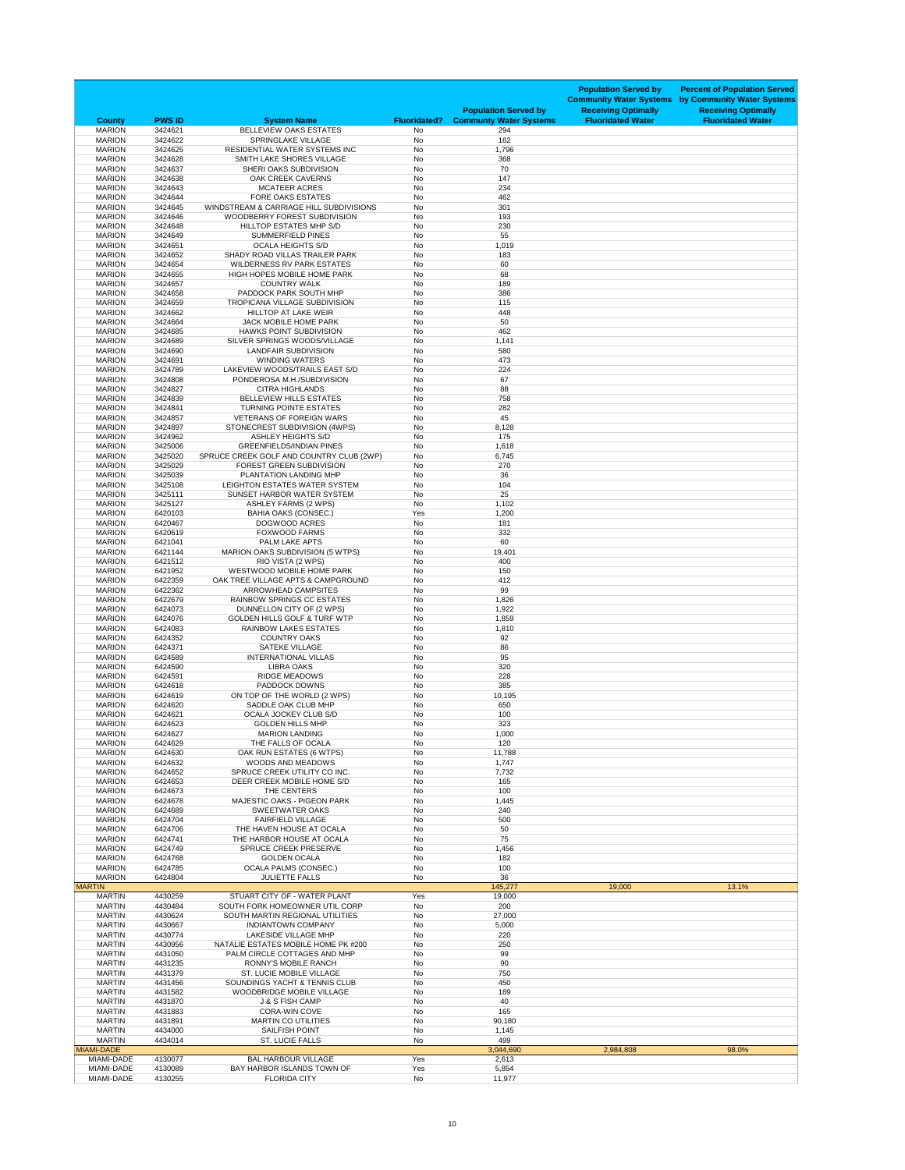| <b>County</b>                      | <b>PWS ID</b>      | <b>System Name</b>                                                          | <b>Fluoridated?</b> | <b>Population Served by</b><br><b>Communty Water Systems</b> | <b>Population Served by</b><br><b>Community Water Systems</b><br><b>Receiving Optimally</b><br><b>Fluoridated Water</b> | <b>Percent of Population Served</b><br>by Community Water Systems<br><b>Receiving Optimally</b><br><b>Fluoridated Water</b> |
|------------------------------------|--------------------|-----------------------------------------------------------------------------|---------------------|--------------------------------------------------------------|-------------------------------------------------------------------------------------------------------------------------|-----------------------------------------------------------------------------------------------------------------------------|
| <b>MARION</b>                      | 3424621            | BELLEVIEW OAKS ESTATES<br>SPRINGLAKE VILLAGE                                | <b>No</b>           | 294<br>162                                                   |                                                                                                                         |                                                                                                                             |
| <b>MARION</b><br><b>MARION</b>     | 3424622<br>3424625 | RESIDENTIAL WATER SYSTEMS INC                                               | No<br>No            | 1,796                                                        |                                                                                                                         |                                                                                                                             |
| <b>MARION</b>                      | 3424628            | SMITH LAKE SHORES VILLAGE                                                   | No                  | 368                                                          |                                                                                                                         |                                                                                                                             |
| <b>MARION</b><br><b>MARION</b>     | 3424637<br>3424638 | SHERI OAKS SUBDIVISION<br><b>OAK CREEK CAVERNS</b>                          | No<br><b>No</b>     | 70<br>147                                                    |                                                                                                                         |                                                                                                                             |
| <b>MARION</b>                      | 3424643            | <b>MCATEER ACRES</b>                                                        | No                  | 234                                                          |                                                                                                                         |                                                                                                                             |
| <b>MARION</b><br><b>MARION</b>     | 3424644<br>3424645 | <b>FORE OAKS ESTATES</b><br>WINDSTREAM & CARRIAGE HILL SUBDIVISIONS         | No<br>No            | 462<br>301                                                   |                                                                                                                         |                                                                                                                             |
| <b>MARION</b>                      | 3424646            | WOODBERRY FOREST SUBDIVISION                                                | No                  | 193                                                          |                                                                                                                         |                                                                                                                             |
| <b>MARION</b><br><b>MARION</b>     | 3424648<br>3424649 | HILLTOP ESTATES MHP S/D<br><b>SUMMERFIELD PINES</b>                         | No<br>No            | 230<br>55                                                    |                                                                                                                         |                                                                                                                             |
| <b>MARION</b>                      | 3424651            | <b>OCALA HEIGHTS S/D</b>                                                    | <b>No</b>           | 1,019                                                        |                                                                                                                         |                                                                                                                             |
| <b>MARION</b><br><b>MARION</b>     | 3424652<br>3424654 | <b>SHADY ROAD VILLAS TRAILER PARK</b><br><b>WILDERNESS RV PARK ESTATES</b>  | No<br>No            | 183<br>60                                                    |                                                                                                                         |                                                                                                                             |
| <b>MARION</b>                      | 3424655            | HIGH HOPES MOBILE HOME PARK                                                 | No                  | 68                                                           |                                                                                                                         |                                                                                                                             |
| <b>MARION</b><br><b>MARION</b>     | 3424657<br>3424658 | <b>COUNTRY WALK</b><br>PADDOCK PARK SOUTH MHP                               | No<br>No            | 189<br>386                                                   |                                                                                                                         |                                                                                                                             |
| <b>MARION</b>                      | 3424659            | TROPICANA VILLAGE SUBDIVISION                                               | No                  | 115                                                          |                                                                                                                         |                                                                                                                             |
| <b>MARION</b>                      | 3424662            | <b>HILLTOP AT LAKE WEIR</b>                                                 | No                  | 448                                                          |                                                                                                                         |                                                                                                                             |
| <b>MARION</b><br><b>MARION</b>     | 3424664<br>3424685 | JACK MOBILE HOME PARK<br><b>HAWKS POINT SUBDIVISION</b>                     | No<br>No            | 50<br>462                                                    |                                                                                                                         |                                                                                                                             |
| <b>MARION</b>                      | 3424689            | SILVER SPRINGS WOODS/VILLAGE                                                | <b>No</b>           | 1,141                                                        |                                                                                                                         |                                                                                                                             |
| <b>MARION</b><br><b>MARION</b>     | 3424690<br>3424691 | <b>LANDFAIR SUBDIVISION</b><br><b>WINDING WATERS</b>                        | No<br>No            | 580<br>473                                                   |                                                                                                                         |                                                                                                                             |
| <b>MARION</b>                      | 3424789            | LAKEVIEW WOODS/TRAILS EAST S/D                                              | <b>No</b>           | 224                                                          |                                                                                                                         |                                                                                                                             |
| <b>MARION</b><br><b>MARION</b>     | 3424808<br>3424827 | PONDEROSA M.H./SUBDIVISION<br><b>CITRA HIGHLANDS</b>                        | No<br>No            | 67<br>88                                                     |                                                                                                                         |                                                                                                                             |
| <b>MARION</b>                      | 3424839            | BELLEVIEW HILLS ESTATES                                                     | No                  | 758                                                          |                                                                                                                         |                                                                                                                             |
| <b>MARION</b>                      | 3424841            | <b>TURNING POINTE ESTATES</b>                                               | No                  | 282                                                          |                                                                                                                         |                                                                                                                             |
| <b>MARION</b><br><b>MARION</b>     | 3424857<br>3424897 | <b>VETERANS OF FOREIGN WARS</b><br>STONECREST SUBDIVISION (4WPS)            | No<br>No            | 45<br>8,128                                                  |                                                                                                                         |                                                                                                                             |
| <b>MARION</b>                      | 3424962            | <b>ASHLEY HEIGHTS S/D</b>                                                   | No                  | 175                                                          |                                                                                                                         |                                                                                                                             |
| <b>MARION</b><br><b>MARION</b>     | 3425006<br>3425020 | <b>GREENFIELDS/INDIAN PINES</b><br>SPRUCE CREEK GOLF AND COUNTRY CLUB (2WP) | No<br>No            | 1,618<br>6,745                                               |                                                                                                                         |                                                                                                                             |
| <b>MARION</b>                      | 3425029            | <b>FOREST GREEN SUBDIVISION</b>                                             | No                  | 270                                                          |                                                                                                                         |                                                                                                                             |
| <b>MARION</b><br><b>MARION</b>     | 3425039<br>3425108 | PLANTATION LANDING MHP<br>LEIGHTON ESTATES WATER SYSTEM                     | No<br>No            | 36<br>104                                                    |                                                                                                                         |                                                                                                                             |
| <b>MARION</b>                      | 3425111            | SUNSET HARBOR WATER SYSTEM                                                  | No                  | 25                                                           |                                                                                                                         |                                                                                                                             |
| <b>MARION</b><br><b>MARION</b>     | 3425127<br>6420103 | <b>ASHLEY FARMS (2 WPS)</b><br><b>BAHIA OAKS (CONSEC.)</b>                  | No<br>Yes           | 1,102<br>1,200                                               |                                                                                                                         |                                                                                                                             |
| <b>MARION</b>                      | 6420467            | DOGWOOD ACRES                                                               | No                  | 181                                                          |                                                                                                                         |                                                                                                                             |
| <b>MARION</b>                      | 6420619            | <b>FOXWOOD FARMS</b>                                                        | No                  | 332<br>60                                                    |                                                                                                                         |                                                                                                                             |
| <b>MARION</b><br><b>MARION</b>     | 6421041<br>6421144 | PALM LAKE APTS<br><b>MARION OAKS SUBDIVISION (5 WTPS)</b>                   | No<br>No            | 19,401                                                       |                                                                                                                         |                                                                                                                             |
| <b>MARION</b>                      | 6421512            | RIO VISTA (2 WPS)                                                           | No                  | 400                                                          |                                                                                                                         |                                                                                                                             |
| <b>MARION</b><br><b>MARION</b>     | 6421952<br>6422359 | <b>WESTWOOD MOBILE HOME PARK</b><br>OAK TREE VILLAGE APTS & CAMPGROUND      | No<br>No            | 150<br>412                                                   |                                                                                                                         |                                                                                                                             |
| <b>MARION</b>                      | 6422362            | <b>ARROWHEAD CAMPSITES</b>                                                  | No                  | 99                                                           |                                                                                                                         |                                                                                                                             |
| <b>MARION</b><br><b>MARION</b>     | 6422679<br>6424073 | <b>RAINBOW SPRINGS CC ESTATES</b><br>DUNNELLON CITY OF (2 WPS)              | No<br>No            | 1,826<br>1,922                                               |                                                                                                                         |                                                                                                                             |
| <b>MARION</b>                      | 6424076            | <b>GOLDEN HILLS GOLF &amp; TURF WTP</b>                                     | No                  | 1,859                                                        |                                                                                                                         |                                                                                                                             |
| <b>MARION</b><br><b>MARION</b>     | 6424083<br>6424352 | <b>RAINBOW LAKES ESTATES</b><br><b>COUNTRY OAKS</b>                         | No<br>No            | 1,810<br>92                                                  |                                                                                                                         |                                                                                                                             |
| <b>MARION</b>                      | 6424371            | <b>SATEKE VILLAGE</b>                                                       | No                  | 86                                                           |                                                                                                                         |                                                                                                                             |
| <b>MARION</b>                      | 6424589            | <b>INTERNATIONAL VILLAS</b>                                                 | No                  | 95                                                           |                                                                                                                         |                                                                                                                             |
| <b>MARION</b><br><b>MARION</b>     | 6424590<br>6424591 | <b>LIBRA OAKS</b><br><b>RIDGE MEADOWS</b>                                   | No<br>No            | 320<br>228                                                   |                                                                                                                         |                                                                                                                             |
| <b>MARION</b>                      | 6424618            | <b>PADDOCK DOWNS</b>                                                        | No                  | 385                                                          |                                                                                                                         |                                                                                                                             |
| <b>MARION</b><br><b>MARION</b>     | 6424619<br>6424620 | ON TOP OF THE WORLD (2 WPS)<br>SADDLE OAK CLUB MHP                          | No<br>No            | 10,195<br>650                                                |                                                                                                                         |                                                                                                                             |
| <b>MARION</b>                      | 6424621            | <b>OCALA JOCKEY CLUB S/D</b>                                                | No                  | 100                                                          |                                                                                                                         |                                                                                                                             |
| <b>MARION</b><br><b>MARION</b>     | 6424623<br>6424627 | <b>GOLDEN HILLS MHP</b><br><b>MARION LANDING</b>                            | No<br>No            | 323<br>1,000                                                 |                                                                                                                         |                                                                                                                             |
| <b>MARION</b>                      | 6424629            | THE FALLS OF OCALA                                                          | No                  | 120                                                          |                                                                                                                         |                                                                                                                             |
| <b>MARION</b>                      | 6424630            | OAK RUN ESTATES (6 WTPS)<br><b>WOODS AND MEADOWS</b>                        | No                  | 11,788                                                       |                                                                                                                         |                                                                                                                             |
| <b>MARION</b><br><b>MARION</b>     | 6424632<br>6424652 | SPRUCE CREEK UTILITY CO INC.                                                | No<br>No            | 1,747<br>7,732                                               |                                                                                                                         |                                                                                                                             |
| <b>MARION</b>                      | 6424653            | DEER CREEK MOBILE HOME S/D                                                  | No                  | 165                                                          |                                                                                                                         |                                                                                                                             |
| <b>MARION</b><br><b>MARION</b>     | 6424673<br>6424678 | THE CENTERS<br><b>MAJESTIC OAKS - PIGEON PARK</b>                           | No<br>No            | 100<br>1,445                                                 |                                                                                                                         |                                                                                                                             |
| <b>MARION</b>                      | 6424689            | <b>SWEETWATER OAKS</b>                                                      | No                  | 240                                                          |                                                                                                                         |                                                                                                                             |
| <b>MARION</b><br><b>MARION</b>     | 6424704<br>6424706 | <b>FAIRFIELD VILLAGE</b><br>THE HAVEN HOUSE AT OCALA                        | No<br>No            | 500<br>50                                                    |                                                                                                                         |                                                                                                                             |
| <b>MARION</b>                      | 6424741            | THE HARBOR HOUSE AT OCALA                                                   | No                  | 75                                                           |                                                                                                                         |                                                                                                                             |
| <b>MARION</b><br><b>MARION</b>     | 6424749<br>6424768 | <b>SPRUCE CREEK PRESERVE</b><br><b>GOLDEN OCALA</b>                         | No<br>No            | 1,456<br>182                                                 |                                                                                                                         |                                                                                                                             |
| <b>MARION</b>                      | 6424785            | <b>OCALA PALMS (CONSEC.)</b>                                                | No                  | 100                                                          |                                                                                                                         |                                                                                                                             |
| <b>MARION</b><br><b>MARTIN</b>     | 6424804            | <b>JULIETTE FALLS</b>                                                       | No                  | 36<br>145,277                                                | 19,000                                                                                                                  | 13.1%                                                                                                                       |
| <b>MARTIN</b>                      | 4430259            | STUART CITY OF - WATER PLANT                                                | Yes                 | 19,000                                                       |                                                                                                                         |                                                                                                                             |
| <b>MARTIN</b>                      | 4430484            | SOUTH FORK HOMEOWNER UTIL CORP                                              | No                  | 200                                                          |                                                                                                                         |                                                                                                                             |
| <b>MARTIN</b><br><b>MARTIN</b>     | 4430624<br>4430667 | SOUTH MARTIN REGIONAL UTILITIES<br><b>INDIANTOWN COMPANY</b>                | No<br>No            | 27,000<br>5,000                                              |                                                                                                                         |                                                                                                                             |
| <b>MARTIN</b>                      | 4430774            | <b>LAKESIDE VILLAGE MHP</b>                                                 | No                  | 220                                                          |                                                                                                                         |                                                                                                                             |
| <b>MARTIN</b><br><b>MARTIN</b>     | 4430956<br>4431050 | NATALIE ESTATES MOBILE HOME PK #200<br>PALM CIRCLE COTTAGES AND MHP         | No<br>No            | 250<br>99                                                    |                                                                                                                         |                                                                                                                             |
| <b>MARTIN</b>                      | 4431235            | <b>RONNY'S MOBILE RANCH</b>                                                 | No                  | 90                                                           |                                                                                                                         |                                                                                                                             |
| <b>MARTIN</b><br><b>MARTIN</b>     | 4431379<br>4431456 | <b>ST. LUCIE MOBILE VILLAGE</b><br>SOUNDINGS YACHT & TENNIS CLUB            | No<br>No            | 750<br>450                                                   |                                                                                                                         |                                                                                                                             |
| <b>MARTIN</b>                      | 4431582            | WOODBRIDGE MOBILE VILLAGE                                                   | No                  | 189                                                          |                                                                                                                         |                                                                                                                             |
| <b>MARTIN</b><br><b>MARTIN</b>     | 4431870<br>4431883 | J & S FISH CAMP<br><b>CORA-WIN COVE</b>                                     | No<br>No            | 40<br>165                                                    |                                                                                                                         |                                                                                                                             |
| <b>MARTIN</b>                      | 4431891            | <b>MARTIN CO UTILITIES</b>                                                  | No                  | 90,180                                                       |                                                                                                                         |                                                                                                                             |
| <b>MARTIN</b>                      | 4434000            | <b>SAILFISH POINT</b>                                                       | No                  | 1,145                                                        |                                                                                                                         |                                                                                                                             |
| <b>MARTIN</b><br><b>MIAMI-DADE</b> | 4434014            | <b>ST. LUCIE FALLS</b>                                                      | No                  | 499<br>3,044,690                                             | 2,984,808                                                                                                               | 98.0%                                                                                                                       |
| MIAMI-DADE                         | 4130077            | <b>BAL HARBOUR VILLAGE</b>                                                  | Yes                 | 2,613                                                        |                                                                                                                         |                                                                                                                             |
| MIAMI-DADE<br>MIAMI-DADE           | 4130089<br>4130255 | BAY HARBOR ISLANDS TOWN OF<br><b>FLORIDA CITY</b>                           | Yes<br>No           | 5,854<br>11,977                                              |                                                                                                                         |                                                                                                                             |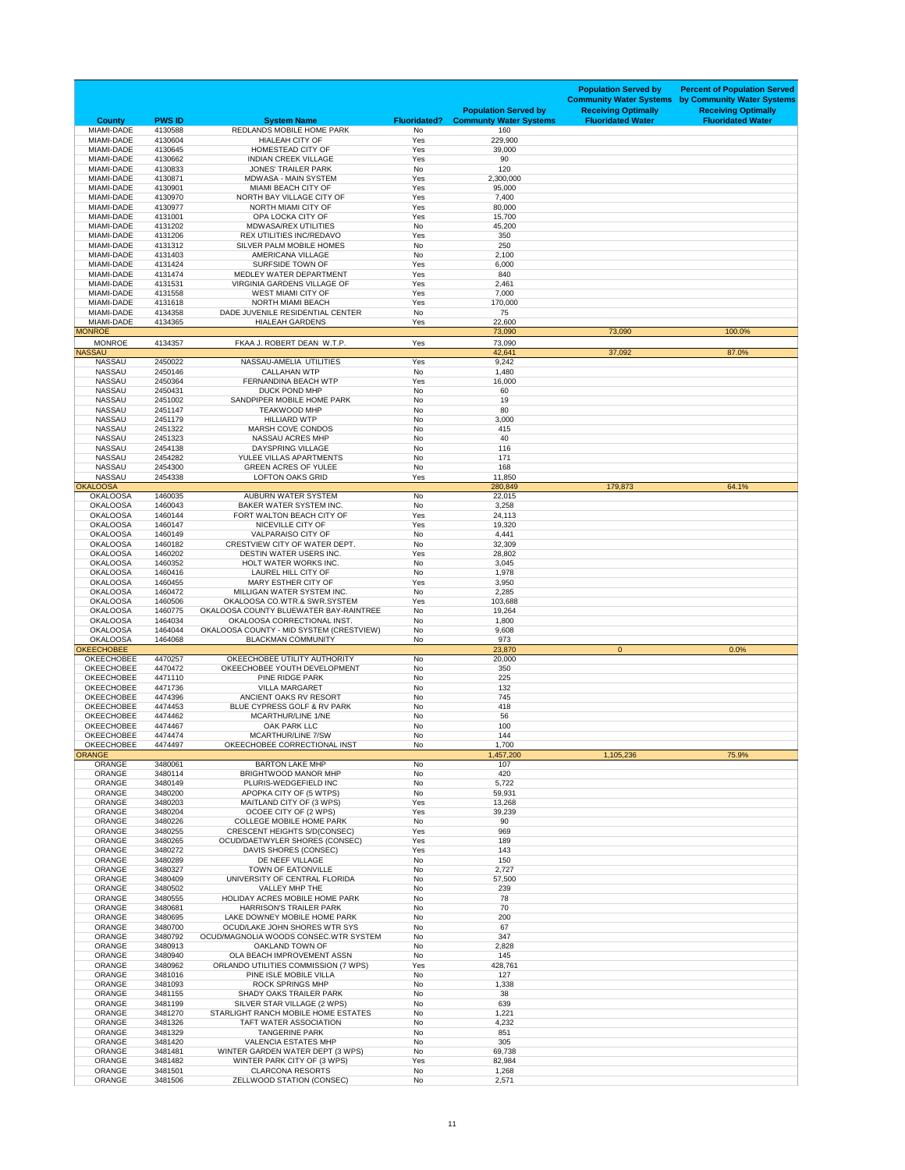| Yes<br>229,900<br><b>MIAMI-DADE</b><br>4130604<br><b>HIALEAH CITY OF</b><br>4130645<br><b>HOMESTEAD CITY OF</b><br>Yes<br><b>MIAMI-DADE</b><br>39,000<br><b>INDIAN CREEK VILLAGE</b><br>Yes<br><b>MIAMI-DADE</b><br>4130662<br>90<br><b>No</b><br>4130833<br>120<br><b>MIAMI-DADE</b><br><b>JONES' TRAILER PARK</b><br><b>MIAMI-DADE</b><br>4130871<br><b>MDWASA - MAIN SYSTEM</b><br>Yes<br>2,300,000<br><b>MIAMI-DADE</b><br>4130901<br><b>MIAMI BEACH CITY OF</b><br>Yes<br>95,000<br>4130970<br>Yes<br><b>MIAMI-DADE</b><br>NORTH BAY VILLAGE CITY OF<br>7,400<br><b>MIAMI-DADE</b><br>NORTH MIAMI CITY OF<br>Yes<br>4130977<br>80,000<br>Yes<br>MIAMI-DADE<br>4131001<br>OPA LOCKA CITY OF<br>15,700<br>MIAMI-DADE<br>4131202<br><b>No</b><br><b>MDWASA/REX UTILITIES</b><br>45,200<br><b>MIAMI-DADE</b><br>4131206<br>Yes<br><b>REX UTILITIES INC/REDAVO</b><br>350<br><b>MIAMI-DADE</b><br>4131312<br>SILVER PALM MOBILE HOMES<br><b>No</b><br>250<br>4131403<br><b>No</b><br><b>MIAMI-DADE</b><br><b>AMERICANA VILLAGE</b><br>2,100<br>Yes<br><b>MIAMI-DADE</b><br>4131424<br><b>SURFSIDE TOWN OF</b><br>6,000<br>MIAMI-DADE<br>4131474<br>MEDLEY WATER DEPARTMENT<br>Yes<br>840<br>4131531<br>Yes<br><b>MIAMI-DADE</b><br><b>VIRGINIA GARDENS VILLAGE OF</b><br>2,461<br><b>MIAMI-DADE</b><br>4131558<br><b>WEST MIAMI CITY OF</b><br>Yes<br>7,000<br><b>NORTH MIAMI BEACH</b><br>Yes<br><b>MIAMI-DADE</b><br>4131618<br>170,000<br>75<br>MIAMI-DADE<br>4134358<br>DADE JUVENILE RESIDENTIAL CENTER<br><b>No</b><br>Yes<br><b>MIAMI-DADE</b><br>4134365<br><b>HIALEAH GARDENS</b><br>22,600<br><b>MONROE</b><br>73,090<br>73,090<br>100.0%<br><b>MONROE</b><br>FKAA J. ROBERT DEAN W.T.P.<br>Yes<br>4134357<br>73,090<br><b>NASSAU</b><br>37,092<br>42,641<br>87.0%<br>2450022<br>NASSAU-AMELIA UTILITIES<br><b>NASSAU</b><br>Yes<br>9,242<br><b>NASSAU</b><br><b>No</b><br>2450146<br><b>CALLAHAN WTP</b><br>1,480<br>Yes<br><b>NASSAU</b><br>2450364<br>FERNANDINA BEACH WTP<br>16,000<br><b>NASSAU</b><br>2450431<br>DUCK POND MHP<br><b>No</b><br>60<br><b>NASSAU</b><br>2451002<br>SANDPIPER MOBILE HOME PARK<br>19<br>No<br><b>NASSAU</b><br>2451147<br>80<br><b>TEAKWOOD MHP</b><br>No<br><b>NASSAU</b><br>2451179<br><b>HILLIARD WTP</b><br>3,000<br>No<br><b>NASSAU</b><br>2451322<br><b>MARSH COVE CONDOS</b><br>No<br>415<br><b>NASSAU</b><br>2451323<br>40<br><b>NASSAU ACRES MHP</b><br>No<br><b>NASSAU</b><br>2454138<br>DAYSPRING VILLAGE<br>No<br>116<br><b>NASSAU</b><br>2454282<br>YULEE VILLAS APARTMENTS<br>No<br>171<br><b>NASSAU</b><br>2454300<br><b>GREEN ACRES OF YULEE</b><br>No<br>168<br><b>NASSAU</b><br>2454338<br><b>LOFTON OAKS GRID</b><br>Yes<br>11,850<br><b>OKALOOSA</b><br>280,849<br>179,873<br>64.1%<br><b>OKALOOSA</b><br>1460035<br><b>AUBURN WATER SYSTEM</b><br>No<br>22,015<br><b>BAKER WATER SYSTEM INC.</b><br><b>OKALOOSA</b><br>1460043<br>No<br>3,258<br><b>OKALOOSA</b><br>1460144<br>FORT WALTON BEACH CITY OF<br>Yes<br>24,113<br><b>OKALOOSA</b><br>1460147<br>NICEVILLE CITY OF<br>Yes<br>19,320<br><b>OKALOOSA</b><br>1460149<br><b>VALPARAISO CITY OF</b><br>4,441<br>No<br><b>OKALOOSA</b><br>1460182<br>CRESTVIEW CITY OF WATER DEPT.<br>No<br>32,309<br><b>OKALOOSA</b><br><b>DESTIN WATER USERS INC.</b><br>Yes<br>1460202<br>28,802<br><b>OKALOOSA</b><br>HOLT WATER WORKS INC.<br>1460352<br>No<br>3,045<br><b>OKALOOSA</b><br>1460416<br><b>LAUREL HILL CITY OF</b><br>No<br>1,978<br><b>OKALOOSA</b><br>1460455<br><b>MARY ESTHER CITY OF</b><br>Yes<br>3,950<br><b>OKALOOSA</b><br>1460472<br>MILLIGAN WATER SYSTEM INC.<br>No<br>2,285<br><b>OKALOOSA</b><br>OKALOOSA CO.WTR.& SWR.SYSTEM<br>1460506<br>Yes<br>103,688<br><b>OKALOOSA</b><br>OKALOOSA COUNTY BLUEWATER BAY-RAINTREE<br>No<br>1460775<br>19,264<br><b>OKALOOSA</b><br>1464034<br>OKALOOSA CORRECTIONAL INST.<br>No<br>1,800<br><b>OKALOOSA</b><br>OKALOOSA COUNTY - MID SYSTEM (CRESTVIEW)<br>No<br>1464044<br>9,608<br><b>OKALOOSA</b><br><b>BLACKMAN COMMUNITY</b><br>No<br>973<br>1464068<br><b>OKEECHOBEE</b><br>23,870<br>$\overline{0}$<br>0.0%<br>OKEECHOBEE UTILITY AUTHORITY<br><b>OKEECHOBEE</b><br>4470257<br>No<br>20,000<br><b>OKEECHOBEE</b><br>4470472<br>OKEECHOBEE YOUTH DEVELOPMENT<br>No<br>350<br>PINE RIDGE PARK<br><b>No</b><br><b>OKEECHOBEE</b><br>4471110<br>225<br><b>OKEECHOBEE</b><br>4471736<br><b>VILLA MARGARET</b><br>No<br>132<br><b>OKEECHOBEE</b><br>745<br>4474396<br>ANCIENT OAKS RV RESORT<br>No | <b>Population Served by</b><br><b>Community Water Systems</b><br><b>Receiving Optimally</b><br><b>Fluoridated Water</b> | <b>Population Served by</b><br><b>Communty Water Systems</b> | <b>Fluoridated?</b> | <b>System Name</b>                    | <b>PWS ID</b> | <b>County</b> |
|----------------------------------------------------------------------------------------------------------------------------------------------------------------------------------------------------------------------------------------------------------------------------------------------------------------------------------------------------------------------------------------------------------------------------------------------------------------------------------------------------------------------------------------------------------------------------------------------------------------------------------------------------------------------------------------------------------------------------------------------------------------------------------------------------------------------------------------------------------------------------------------------------------------------------------------------------------------------------------------------------------------------------------------------------------------------------------------------------------------------------------------------------------------------------------------------------------------------------------------------------------------------------------------------------------------------------------------------------------------------------------------------------------------------------------------------------------------------------------------------------------------------------------------------------------------------------------------------------------------------------------------------------------------------------------------------------------------------------------------------------------------------------------------------------------------------------------------------------------------------------------------------------------------------------------------------------------------------------------------------------------------------------------------------------------------------------------------------------------------------------------------------------------------------------------------------------------------------------------------------------------------------------------------------------------------------------------------------------------------------------------------------------------------------------------------------------------------------------------------------------------------------------------------------------------------------------------------------------------------------------------------------------------------------------------------------------------------------------------------------------------------------------------------------------------------------------------------------------------------------------------------------------------------------------------------------------------------------------------------------------------------------------------------------------------------------------------------------------------------------------------------------------------------------------------------------------------------------------------------------------------------------------------------------------------------------------------------------------------------------------------------------------------------------------------------------------------------------------------------------------------------------------------------------------------------------------------------------------------------------------------------------------------------------------------------------------------------------------------------------------------------------------------------------------------------------------------------------------------------------------------------------------------------------------------------------------------------------------------------------------------------------------------------------------------------------------------------------------------------------------------------------------------------------------------------------------------------------------------------------------------------------------------------------------------------------------------------------------------------------------------------------------------------------------------------------------------------------------------|-------------------------------------------------------------------------------------------------------------------------|--------------------------------------------------------------|---------------------|---------------------------------------|---------------|---------------|
|                                                                                                                                                                                                                                                                                                                                                                                                                                                                                                                                                                                                                                                                                                                                                                                                                                                                                                                                                                                                                                                                                                                                                                                                                                                                                                                                                                                                                                                                                                                                                                                                                                                                                                                                                                                                                                                                                                                                                                                                                                                                                                                                                                                                                                                                                                                                                                                                                                                                                                                                                                                                                                                                                                                                                                                                                                                                                                                                                                                                                                                                                                                                                                                                                                                                                                                                                                                                                                                                                                                                                                                                                                                                                                                                                                                                                                                                                                                                                                                                                                                                                                                                                                                                                                                                                                                                                                                                                                                                                  |                                                                                                                         | 160                                                          | <b>No</b>           | REDLANDS MOBILE HOME PARK             | 4130588       | MIAMI-DADE    |
|                                                                                                                                                                                                                                                                                                                                                                                                                                                                                                                                                                                                                                                                                                                                                                                                                                                                                                                                                                                                                                                                                                                                                                                                                                                                                                                                                                                                                                                                                                                                                                                                                                                                                                                                                                                                                                                                                                                                                                                                                                                                                                                                                                                                                                                                                                                                                                                                                                                                                                                                                                                                                                                                                                                                                                                                                                                                                                                                                                                                                                                                                                                                                                                                                                                                                                                                                                                                                                                                                                                                                                                                                                                                                                                                                                                                                                                                                                                                                                                                                                                                                                                                                                                                                                                                                                                                                                                                                                                                                  |                                                                                                                         |                                                              |                     |                                       |               |               |
|                                                                                                                                                                                                                                                                                                                                                                                                                                                                                                                                                                                                                                                                                                                                                                                                                                                                                                                                                                                                                                                                                                                                                                                                                                                                                                                                                                                                                                                                                                                                                                                                                                                                                                                                                                                                                                                                                                                                                                                                                                                                                                                                                                                                                                                                                                                                                                                                                                                                                                                                                                                                                                                                                                                                                                                                                                                                                                                                                                                                                                                                                                                                                                                                                                                                                                                                                                                                                                                                                                                                                                                                                                                                                                                                                                                                                                                                                                                                                                                                                                                                                                                                                                                                                                                                                                                                                                                                                                                                                  |                                                                                                                         |                                                              |                     |                                       |               |               |
|                                                                                                                                                                                                                                                                                                                                                                                                                                                                                                                                                                                                                                                                                                                                                                                                                                                                                                                                                                                                                                                                                                                                                                                                                                                                                                                                                                                                                                                                                                                                                                                                                                                                                                                                                                                                                                                                                                                                                                                                                                                                                                                                                                                                                                                                                                                                                                                                                                                                                                                                                                                                                                                                                                                                                                                                                                                                                                                                                                                                                                                                                                                                                                                                                                                                                                                                                                                                                                                                                                                                                                                                                                                                                                                                                                                                                                                                                                                                                                                                                                                                                                                                                                                                                                                                                                                                                                                                                                                                                  |                                                                                                                         |                                                              |                     |                                       |               |               |
|                                                                                                                                                                                                                                                                                                                                                                                                                                                                                                                                                                                                                                                                                                                                                                                                                                                                                                                                                                                                                                                                                                                                                                                                                                                                                                                                                                                                                                                                                                                                                                                                                                                                                                                                                                                                                                                                                                                                                                                                                                                                                                                                                                                                                                                                                                                                                                                                                                                                                                                                                                                                                                                                                                                                                                                                                                                                                                                                                                                                                                                                                                                                                                                                                                                                                                                                                                                                                                                                                                                                                                                                                                                                                                                                                                                                                                                                                                                                                                                                                                                                                                                                                                                                                                                                                                                                                                                                                                                                                  |                                                                                                                         |                                                              |                     |                                       |               |               |
|                                                                                                                                                                                                                                                                                                                                                                                                                                                                                                                                                                                                                                                                                                                                                                                                                                                                                                                                                                                                                                                                                                                                                                                                                                                                                                                                                                                                                                                                                                                                                                                                                                                                                                                                                                                                                                                                                                                                                                                                                                                                                                                                                                                                                                                                                                                                                                                                                                                                                                                                                                                                                                                                                                                                                                                                                                                                                                                                                                                                                                                                                                                                                                                                                                                                                                                                                                                                                                                                                                                                                                                                                                                                                                                                                                                                                                                                                                                                                                                                                                                                                                                                                                                                                                                                                                                                                                                                                                                                                  |                                                                                                                         |                                                              |                     |                                       |               |               |
|                                                                                                                                                                                                                                                                                                                                                                                                                                                                                                                                                                                                                                                                                                                                                                                                                                                                                                                                                                                                                                                                                                                                                                                                                                                                                                                                                                                                                                                                                                                                                                                                                                                                                                                                                                                                                                                                                                                                                                                                                                                                                                                                                                                                                                                                                                                                                                                                                                                                                                                                                                                                                                                                                                                                                                                                                                                                                                                                                                                                                                                                                                                                                                                                                                                                                                                                                                                                                                                                                                                                                                                                                                                                                                                                                                                                                                                                                                                                                                                                                                                                                                                                                                                                                                                                                                                                                                                                                                                                                  |                                                                                                                         |                                                              |                     |                                       |               |               |
|                                                                                                                                                                                                                                                                                                                                                                                                                                                                                                                                                                                                                                                                                                                                                                                                                                                                                                                                                                                                                                                                                                                                                                                                                                                                                                                                                                                                                                                                                                                                                                                                                                                                                                                                                                                                                                                                                                                                                                                                                                                                                                                                                                                                                                                                                                                                                                                                                                                                                                                                                                                                                                                                                                                                                                                                                                                                                                                                                                                                                                                                                                                                                                                                                                                                                                                                                                                                                                                                                                                                                                                                                                                                                                                                                                                                                                                                                                                                                                                                                                                                                                                                                                                                                                                                                                                                                                                                                                                                                  |                                                                                                                         |                                                              |                     |                                       |               |               |
|                                                                                                                                                                                                                                                                                                                                                                                                                                                                                                                                                                                                                                                                                                                                                                                                                                                                                                                                                                                                                                                                                                                                                                                                                                                                                                                                                                                                                                                                                                                                                                                                                                                                                                                                                                                                                                                                                                                                                                                                                                                                                                                                                                                                                                                                                                                                                                                                                                                                                                                                                                                                                                                                                                                                                                                                                                                                                                                                                                                                                                                                                                                                                                                                                                                                                                                                                                                                                                                                                                                                                                                                                                                                                                                                                                                                                                                                                                                                                                                                                                                                                                                                                                                                                                                                                                                                                                                                                                                                                  |                                                                                                                         |                                                              |                     |                                       |               |               |
|                                                                                                                                                                                                                                                                                                                                                                                                                                                                                                                                                                                                                                                                                                                                                                                                                                                                                                                                                                                                                                                                                                                                                                                                                                                                                                                                                                                                                                                                                                                                                                                                                                                                                                                                                                                                                                                                                                                                                                                                                                                                                                                                                                                                                                                                                                                                                                                                                                                                                                                                                                                                                                                                                                                                                                                                                                                                                                                                                                                                                                                                                                                                                                                                                                                                                                                                                                                                                                                                                                                                                                                                                                                                                                                                                                                                                                                                                                                                                                                                                                                                                                                                                                                                                                                                                                                                                                                                                                                                                  |                                                                                                                         |                                                              |                     |                                       |               |               |
|                                                                                                                                                                                                                                                                                                                                                                                                                                                                                                                                                                                                                                                                                                                                                                                                                                                                                                                                                                                                                                                                                                                                                                                                                                                                                                                                                                                                                                                                                                                                                                                                                                                                                                                                                                                                                                                                                                                                                                                                                                                                                                                                                                                                                                                                                                                                                                                                                                                                                                                                                                                                                                                                                                                                                                                                                                                                                                                                                                                                                                                                                                                                                                                                                                                                                                                                                                                                                                                                                                                                                                                                                                                                                                                                                                                                                                                                                                                                                                                                                                                                                                                                                                                                                                                                                                                                                                                                                                                                                  |                                                                                                                         |                                                              |                     |                                       |               |               |
|                                                                                                                                                                                                                                                                                                                                                                                                                                                                                                                                                                                                                                                                                                                                                                                                                                                                                                                                                                                                                                                                                                                                                                                                                                                                                                                                                                                                                                                                                                                                                                                                                                                                                                                                                                                                                                                                                                                                                                                                                                                                                                                                                                                                                                                                                                                                                                                                                                                                                                                                                                                                                                                                                                                                                                                                                                                                                                                                                                                                                                                                                                                                                                                                                                                                                                                                                                                                                                                                                                                                                                                                                                                                                                                                                                                                                                                                                                                                                                                                                                                                                                                                                                                                                                                                                                                                                                                                                                                                                  |                                                                                                                         |                                                              |                     |                                       |               |               |
|                                                                                                                                                                                                                                                                                                                                                                                                                                                                                                                                                                                                                                                                                                                                                                                                                                                                                                                                                                                                                                                                                                                                                                                                                                                                                                                                                                                                                                                                                                                                                                                                                                                                                                                                                                                                                                                                                                                                                                                                                                                                                                                                                                                                                                                                                                                                                                                                                                                                                                                                                                                                                                                                                                                                                                                                                                                                                                                                                                                                                                                                                                                                                                                                                                                                                                                                                                                                                                                                                                                                                                                                                                                                                                                                                                                                                                                                                                                                                                                                                                                                                                                                                                                                                                                                                                                                                                                                                                                                                  |                                                                                                                         |                                                              |                     |                                       |               |               |
|                                                                                                                                                                                                                                                                                                                                                                                                                                                                                                                                                                                                                                                                                                                                                                                                                                                                                                                                                                                                                                                                                                                                                                                                                                                                                                                                                                                                                                                                                                                                                                                                                                                                                                                                                                                                                                                                                                                                                                                                                                                                                                                                                                                                                                                                                                                                                                                                                                                                                                                                                                                                                                                                                                                                                                                                                                                                                                                                                                                                                                                                                                                                                                                                                                                                                                                                                                                                                                                                                                                                                                                                                                                                                                                                                                                                                                                                                                                                                                                                                                                                                                                                                                                                                                                                                                                                                                                                                                                                                  |                                                                                                                         |                                                              |                     |                                       |               |               |
|                                                                                                                                                                                                                                                                                                                                                                                                                                                                                                                                                                                                                                                                                                                                                                                                                                                                                                                                                                                                                                                                                                                                                                                                                                                                                                                                                                                                                                                                                                                                                                                                                                                                                                                                                                                                                                                                                                                                                                                                                                                                                                                                                                                                                                                                                                                                                                                                                                                                                                                                                                                                                                                                                                                                                                                                                                                                                                                                                                                                                                                                                                                                                                                                                                                                                                                                                                                                                                                                                                                                                                                                                                                                                                                                                                                                                                                                                                                                                                                                                                                                                                                                                                                                                                                                                                                                                                                                                                                                                  |                                                                                                                         |                                                              |                     |                                       |               |               |
|                                                                                                                                                                                                                                                                                                                                                                                                                                                                                                                                                                                                                                                                                                                                                                                                                                                                                                                                                                                                                                                                                                                                                                                                                                                                                                                                                                                                                                                                                                                                                                                                                                                                                                                                                                                                                                                                                                                                                                                                                                                                                                                                                                                                                                                                                                                                                                                                                                                                                                                                                                                                                                                                                                                                                                                                                                                                                                                                                                                                                                                                                                                                                                                                                                                                                                                                                                                                                                                                                                                                                                                                                                                                                                                                                                                                                                                                                                                                                                                                                                                                                                                                                                                                                                                                                                                                                                                                                                                                                  |                                                                                                                         |                                                              |                     |                                       |               |               |
|                                                                                                                                                                                                                                                                                                                                                                                                                                                                                                                                                                                                                                                                                                                                                                                                                                                                                                                                                                                                                                                                                                                                                                                                                                                                                                                                                                                                                                                                                                                                                                                                                                                                                                                                                                                                                                                                                                                                                                                                                                                                                                                                                                                                                                                                                                                                                                                                                                                                                                                                                                                                                                                                                                                                                                                                                                                                                                                                                                                                                                                                                                                                                                                                                                                                                                                                                                                                                                                                                                                                                                                                                                                                                                                                                                                                                                                                                                                                                                                                                                                                                                                                                                                                                                                                                                                                                                                                                                                                                  |                                                                                                                         |                                                              |                     |                                       |               |               |
|                                                                                                                                                                                                                                                                                                                                                                                                                                                                                                                                                                                                                                                                                                                                                                                                                                                                                                                                                                                                                                                                                                                                                                                                                                                                                                                                                                                                                                                                                                                                                                                                                                                                                                                                                                                                                                                                                                                                                                                                                                                                                                                                                                                                                                                                                                                                                                                                                                                                                                                                                                                                                                                                                                                                                                                                                                                                                                                                                                                                                                                                                                                                                                                                                                                                                                                                                                                                                                                                                                                                                                                                                                                                                                                                                                                                                                                                                                                                                                                                                                                                                                                                                                                                                                                                                                                                                                                                                                                                                  |                                                                                                                         |                                                              |                     |                                       |               |               |
|                                                                                                                                                                                                                                                                                                                                                                                                                                                                                                                                                                                                                                                                                                                                                                                                                                                                                                                                                                                                                                                                                                                                                                                                                                                                                                                                                                                                                                                                                                                                                                                                                                                                                                                                                                                                                                                                                                                                                                                                                                                                                                                                                                                                                                                                                                                                                                                                                                                                                                                                                                                                                                                                                                                                                                                                                                                                                                                                                                                                                                                                                                                                                                                                                                                                                                                                                                                                                                                                                                                                                                                                                                                                                                                                                                                                                                                                                                                                                                                                                                                                                                                                                                                                                                                                                                                                                                                                                                                                                  |                                                                                                                         |                                                              |                     |                                       |               |               |
|                                                                                                                                                                                                                                                                                                                                                                                                                                                                                                                                                                                                                                                                                                                                                                                                                                                                                                                                                                                                                                                                                                                                                                                                                                                                                                                                                                                                                                                                                                                                                                                                                                                                                                                                                                                                                                                                                                                                                                                                                                                                                                                                                                                                                                                                                                                                                                                                                                                                                                                                                                                                                                                                                                                                                                                                                                                                                                                                                                                                                                                                                                                                                                                                                                                                                                                                                                                                                                                                                                                                                                                                                                                                                                                                                                                                                                                                                                                                                                                                                                                                                                                                                                                                                                                                                                                                                                                                                                                                                  |                                                                                                                         |                                                              |                     |                                       |               |               |
|                                                                                                                                                                                                                                                                                                                                                                                                                                                                                                                                                                                                                                                                                                                                                                                                                                                                                                                                                                                                                                                                                                                                                                                                                                                                                                                                                                                                                                                                                                                                                                                                                                                                                                                                                                                                                                                                                                                                                                                                                                                                                                                                                                                                                                                                                                                                                                                                                                                                                                                                                                                                                                                                                                                                                                                                                                                                                                                                                                                                                                                                                                                                                                                                                                                                                                                                                                                                                                                                                                                                                                                                                                                                                                                                                                                                                                                                                                                                                                                                                                                                                                                                                                                                                                                                                                                                                                                                                                                                                  |                                                                                                                         |                                                              |                     |                                       |               |               |
|                                                                                                                                                                                                                                                                                                                                                                                                                                                                                                                                                                                                                                                                                                                                                                                                                                                                                                                                                                                                                                                                                                                                                                                                                                                                                                                                                                                                                                                                                                                                                                                                                                                                                                                                                                                                                                                                                                                                                                                                                                                                                                                                                                                                                                                                                                                                                                                                                                                                                                                                                                                                                                                                                                                                                                                                                                                                                                                                                                                                                                                                                                                                                                                                                                                                                                                                                                                                                                                                                                                                                                                                                                                                                                                                                                                                                                                                                                                                                                                                                                                                                                                                                                                                                                                                                                                                                                                                                                                                                  |                                                                                                                         |                                                              |                     |                                       |               |               |
|                                                                                                                                                                                                                                                                                                                                                                                                                                                                                                                                                                                                                                                                                                                                                                                                                                                                                                                                                                                                                                                                                                                                                                                                                                                                                                                                                                                                                                                                                                                                                                                                                                                                                                                                                                                                                                                                                                                                                                                                                                                                                                                                                                                                                                                                                                                                                                                                                                                                                                                                                                                                                                                                                                                                                                                                                                                                                                                                                                                                                                                                                                                                                                                                                                                                                                                                                                                                                                                                                                                                                                                                                                                                                                                                                                                                                                                                                                                                                                                                                                                                                                                                                                                                                                                                                                                                                                                                                                                                                  |                                                                                                                         |                                                              |                     |                                       |               |               |
|                                                                                                                                                                                                                                                                                                                                                                                                                                                                                                                                                                                                                                                                                                                                                                                                                                                                                                                                                                                                                                                                                                                                                                                                                                                                                                                                                                                                                                                                                                                                                                                                                                                                                                                                                                                                                                                                                                                                                                                                                                                                                                                                                                                                                                                                                                                                                                                                                                                                                                                                                                                                                                                                                                                                                                                                                                                                                                                                                                                                                                                                                                                                                                                                                                                                                                                                                                                                                                                                                                                                                                                                                                                                                                                                                                                                                                                                                                                                                                                                                                                                                                                                                                                                                                                                                                                                                                                                                                                                                  |                                                                                                                         |                                                              |                     |                                       |               |               |
|                                                                                                                                                                                                                                                                                                                                                                                                                                                                                                                                                                                                                                                                                                                                                                                                                                                                                                                                                                                                                                                                                                                                                                                                                                                                                                                                                                                                                                                                                                                                                                                                                                                                                                                                                                                                                                                                                                                                                                                                                                                                                                                                                                                                                                                                                                                                                                                                                                                                                                                                                                                                                                                                                                                                                                                                                                                                                                                                                                                                                                                                                                                                                                                                                                                                                                                                                                                                                                                                                                                                                                                                                                                                                                                                                                                                                                                                                                                                                                                                                                                                                                                                                                                                                                                                                                                                                                                                                                                                                  |                                                                                                                         |                                                              |                     |                                       |               |               |
|                                                                                                                                                                                                                                                                                                                                                                                                                                                                                                                                                                                                                                                                                                                                                                                                                                                                                                                                                                                                                                                                                                                                                                                                                                                                                                                                                                                                                                                                                                                                                                                                                                                                                                                                                                                                                                                                                                                                                                                                                                                                                                                                                                                                                                                                                                                                                                                                                                                                                                                                                                                                                                                                                                                                                                                                                                                                                                                                                                                                                                                                                                                                                                                                                                                                                                                                                                                                                                                                                                                                                                                                                                                                                                                                                                                                                                                                                                                                                                                                                                                                                                                                                                                                                                                                                                                                                                                                                                                                                  |                                                                                                                         |                                                              |                     |                                       |               |               |
|                                                                                                                                                                                                                                                                                                                                                                                                                                                                                                                                                                                                                                                                                                                                                                                                                                                                                                                                                                                                                                                                                                                                                                                                                                                                                                                                                                                                                                                                                                                                                                                                                                                                                                                                                                                                                                                                                                                                                                                                                                                                                                                                                                                                                                                                                                                                                                                                                                                                                                                                                                                                                                                                                                                                                                                                                                                                                                                                                                                                                                                                                                                                                                                                                                                                                                                                                                                                                                                                                                                                                                                                                                                                                                                                                                                                                                                                                                                                                                                                                                                                                                                                                                                                                                                                                                                                                                                                                                                                                  |                                                                                                                         |                                                              |                     |                                       |               |               |
|                                                                                                                                                                                                                                                                                                                                                                                                                                                                                                                                                                                                                                                                                                                                                                                                                                                                                                                                                                                                                                                                                                                                                                                                                                                                                                                                                                                                                                                                                                                                                                                                                                                                                                                                                                                                                                                                                                                                                                                                                                                                                                                                                                                                                                                                                                                                                                                                                                                                                                                                                                                                                                                                                                                                                                                                                                                                                                                                                                                                                                                                                                                                                                                                                                                                                                                                                                                                                                                                                                                                                                                                                                                                                                                                                                                                                                                                                                                                                                                                                                                                                                                                                                                                                                                                                                                                                                                                                                                                                  |                                                                                                                         |                                                              |                     |                                       |               |               |
|                                                                                                                                                                                                                                                                                                                                                                                                                                                                                                                                                                                                                                                                                                                                                                                                                                                                                                                                                                                                                                                                                                                                                                                                                                                                                                                                                                                                                                                                                                                                                                                                                                                                                                                                                                                                                                                                                                                                                                                                                                                                                                                                                                                                                                                                                                                                                                                                                                                                                                                                                                                                                                                                                                                                                                                                                                                                                                                                                                                                                                                                                                                                                                                                                                                                                                                                                                                                                                                                                                                                                                                                                                                                                                                                                                                                                                                                                                                                                                                                                                                                                                                                                                                                                                                                                                                                                                                                                                                                                  |                                                                                                                         |                                                              |                     |                                       |               |               |
|                                                                                                                                                                                                                                                                                                                                                                                                                                                                                                                                                                                                                                                                                                                                                                                                                                                                                                                                                                                                                                                                                                                                                                                                                                                                                                                                                                                                                                                                                                                                                                                                                                                                                                                                                                                                                                                                                                                                                                                                                                                                                                                                                                                                                                                                                                                                                                                                                                                                                                                                                                                                                                                                                                                                                                                                                                                                                                                                                                                                                                                                                                                                                                                                                                                                                                                                                                                                                                                                                                                                                                                                                                                                                                                                                                                                                                                                                                                                                                                                                                                                                                                                                                                                                                                                                                                                                                                                                                                                                  |                                                                                                                         |                                                              |                     |                                       |               |               |
|                                                                                                                                                                                                                                                                                                                                                                                                                                                                                                                                                                                                                                                                                                                                                                                                                                                                                                                                                                                                                                                                                                                                                                                                                                                                                                                                                                                                                                                                                                                                                                                                                                                                                                                                                                                                                                                                                                                                                                                                                                                                                                                                                                                                                                                                                                                                                                                                                                                                                                                                                                                                                                                                                                                                                                                                                                                                                                                                                                                                                                                                                                                                                                                                                                                                                                                                                                                                                                                                                                                                                                                                                                                                                                                                                                                                                                                                                                                                                                                                                                                                                                                                                                                                                                                                                                                                                                                                                                                                                  |                                                                                                                         |                                                              |                     |                                       |               |               |
|                                                                                                                                                                                                                                                                                                                                                                                                                                                                                                                                                                                                                                                                                                                                                                                                                                                                                                                                                                                                                                                                                                                                                                                                                                                                                                                                                                                                                                                                                                                                                                                                                                                                                                                                                                                                                                                                                                                                                                                                                                                                                                                                                                                                                                                                                                                                                                                                                                                                                                                                                                                                                                                                                                                                                                                                                                                                                                                                                                                                                                                                                                                                                                                                                                                                                                                                                                                                                                                                                                                                                                                                                                                                                                                                                                                                                                                                                                                                                                                                                                                                                                                                                                                                                                                                                                                                                                                                                                                                                  |                                                                                                                         |                                                              |                     |                                       |               |               |
|                                                                                                                                                                                                                                                                                                                                                                                                                                                                                                                                                                                                                                                                                                                                                                                                                                                                                                                                                                                                                                                                                                                                                                                                                                                                                                                                                                                                                                                                                                                                                                                                                                                                                                                                                                                                                                                                                                                                                                                                                                                                                                                                                                                                                                                                                                                                                                                                                                                                                                                                                                                                                                                                                                                                                                                                                                                                                                                                                                                                                                                                                                                                                                                                                                                                                                                                                                                                                                                                                                                                                                                                                                                                                                                                                                                                                                                                                                                                                                                                                                                                                                                                                                                                                                                                                                                                                                                                                                                                                  |                                                                                                                         |                                                              |                     |                                       |               |               |
|                                                                                                                                                                                                                                                                                                                                                                                                                                                                                                                                                                                                                                                                                                                                                                                                                                                                                                                                                                                                                                                                                                                                                                                                                                                                                                                                                                                                                                                                                                                                                                                                                                                                                                                                                                                                                                                                                                                                                                                                                                                                                                                                                                                                                                                                                                                                                                                                                                                                                                                                                                                                                                                                                                                                                                                                                                                                                                                                                                                                                                                                                                                                                                                                                                                                                                                                                                                                                                                                                                                                                                                                                                                                                                                                                                                                                                                                                                                                                                                                                                                                                                                                                                                                                                                                                                                                                                                                                                                                                  |                                                                                                                         |                                                              |                     |                                       |               |               |
|                                                                                                                                                                                                                                                                                                                                                                                                                                                                                                                                                                                                                                                                                                                                                                                                                                                                                                                                                                                                                                                                                                                                                                                                                                                                                                                                                                                                                                                                                                                                                                                                                                                                                                                                                                                                                                                                                                                                                                                                                                                                                                                                                                                                                                                                                                                                                                                                                                                                                                                                                                                                                                                                                                                                                                                                                                                                                                                                                                                                                                                                                                                                                                                                                                                                                                                                                                                                                                                                                                                                                                                                                                                                                                                                                                                                                                                                                                                                                                                                                                                                                                                                                                                                                                                                                                                                                                                                                                                                                  |                                                                                                                         |                                                              |                     |                                       |               |               |
|                                                                                                                                                                                                                                                                                                                                                                                                                                                                                                                                                                                                                                                                                                                                                                                                                                                                                                                                                                                                                                                                                                                                                                                                                                                                                                                                                                                                                                                                                                                                                                                                                                                                                                                                                                                                                                                                                                                                                                                                                                                                                                                                                                                                                                                                                                                                                                                                                                                                                                                                                                                                                                                                                                                                                                                                                                                                                                                                                                                                                                                                                                                                                                                                                                                                                                                                                                                                                                                                                                                                                                                                                                                                                                                                                                                                                                                                                                                                                                                                                                                                                                                                                                                                                                                                                                                                                                                                                                                                                  |                                                                                                                         |                                                              |                     |                                       |               |               |
|                                                                                                                                                                                                                                                                                                                                                                                                                                                                                                                                                                                                                                                                                                                                                                                                                                                                                                                                                                                                                                                                                                                                                                                                                                                                                                                                                                                                                                                                                                                                                                                                                                                                                                                                                                                                                                                                                                                                                                                                                                                                                                                                                                                                                                                                                                                                                                                                                                                                                                                                                                                                                                                                                                                                                                                                                                                                                                                                                                                                                                                                                                                                                                                                                                                                                                                                                                                                                                                                                                                                                                                                                                                                                                                                                                                                                                                                                                                                                                                                                                                                                                                                                                                                                                                                                                                                                                                                                                                                                  |                                                                                                                         |                                                              |                     |                                       |               |               |
|                                                                                                                                                                                                                                                                                                                                                                                                                                                                                                                                                                                                                                                                                                                                                                                                                                                                                                                                                                                                                                                                                                                                                                                                                                                                                                                                                                                                                                                                                                                                                                                                                                                                                                                                                                                                                                                                                                                                                                                                                                                                                                                                                                                                                                                                                                                                                                                                                                                                                                                                                                                                                                                                                                                                                                                                                                                                                                                                                                                                                                                                                                                                                                                                                                                                                                                                                                                                                                                                                                                                                                                                                                                                                                                                                                                                                                                                                                                                                                                                                                                                                                                                                                                                                                                                                                                                                                                                                                                                                  |                                                                                                                         |                                                              |                     |                                       |               |               |
|                                                                                                                                                                                                                                                                                                                                                                                                                                                                                                                                                                                                                                                                                                                                                                                                                                                                                                                                                                                                                                                                                                                                                                                                                                                                                                                                                                                                                                                                                                                                                                                                                                                                                                                                                                                                                                                                                                                                                                                                                                                                                                                                                                                                                                                                                                                                                                                                                                                                                                                                                                                                                                                                                                                                                                                                                                                                                                                                                                                                                                                                                                                                                                                                                                                                                                                                                                                                                                                                                                                                                                                                                                                                                                                                                                                                                                                                                                                                                                                                                                                                                                                                                                                                                                                                                                                                                                                                                                                                                  |                                                                                                                         |                                                              |                     |                                       |               |               |
|                                                                                                                                                                                                                                                                                                                                                                                                                                                                                                                                                                                                                                                                                                                                                                                                                                                                                                                                                                                                                                                                                                                                                                                                                                                                                                                                                                                                                                                                                                                                                                                                                                                                                                                                                                                                                                                                                                                                                                                                                                                                                                                                                                                                                                                                                                                                                                                                                                                                                                                                                                                                                                                                                                                                                                                                                                                                                                                                                                                                                                                                                                                                                                                                                                                                                                                                                                                                                                                                                                                                                                                                                                                                                                                                                                                                                                                                                                                                                                                                                                                                                                                                                                                                                                                                                                                                                                                                                                                                                  |                                                                                                                         |                                                              |                     |                                       |               |               |
|                                                                                                                                                                                                                                                                                                                                                                                                                                                                                                                                                                                                                                                                                                                                                                                                                                                                                                                                                                                                                                                                                                                                                                                                                                                                                                                                                                                                                                                                                                                                                                                                                                                                                                                                                                                                                                                                                                                                                                                                                                                                                                                                                                                                                                                                                                                                                                                                                                                                                                                                                                                                                                                                                                                                                                                                                                                                                                                                                                                                                                                                                                                                                                                                                                                                                                                                                                                                                                                                                                                                                                                                                                                                                                                                                                                                                                                                                                                                                                                                                                                                                                                                                                                                                                                                                                                                                                                                                                                                                  |                                                                                                                         |                                                              |                     |                                       |               |               |
|                                                                                                                                                                                                                                                                                                                                                                                                                                                                                                                                                                                                                                                                                                                                                                                                                                                                                                                                                                                                                                                                                                                                                                                                                                                                                                                                                                                                                                                                                                                                                                                                                                                                                                                                                                                                                                                                                                                                                                                                                                                                                                                                                                                                                                                                                                                                                                                                                                                                                                                                                                                                                                                                                                                                                                                                                                                                                                                                                                                                                                                                                                                                                                                                                                                                                                                                                                                                                                                                                                                                                                                                                                                                                                                                                                                                                                                                                                                                                                                                                                                                                                                                                                                                                                                                                                                                                                                                                                                                                  |                                                                                                                         |                                                              |                     |                                       |               |               |
|                                                                                                                                                                                                                                                                                                                                                                                                                                                                                                                                                                                                                                                                                                                                                                                                                                                                                                                                                                                                                                                                                                                                                                                                                                                                                                                                                                                                                                                                                                                                                                                                                                                                                                                                                                                                                                                                                                                                                                                                                                                                                                                                                                                                                                                                                                                                                                                                                                                                                                                                                                                                                                                                                                                                                                                                                                                                                                                                                                                                                                                                                                                                                                                                                                                                                                                                                                                                                                                                                                                                                                                                                                                                                                                                                                                                                                                                                                                                                                                                                                                                                                                                                                                                                                                                                                                                                                                                                                                                                  |                                                                                                                         |                                                              |                     |                                       |               |               |
|                                                                                                                                                                                                                                                                                                                                                                                                                                                                                                                                                                                                                                                                                                                                                                                                                                                                                                                                                                                                                                                                                                                                                                                                                                                                                                                                                                                                                                                                                                                                                                                                                                                                                                                                                                                                                                                                                                                                                                                                                                                                                                                                                                                                                                                                                                                                                                                                                                                                                                                                                                                                                                                                                                                                                                                                                                                                                                                                                                                                                                                                                                                                                                                                                                                                                                                                                                                                                                                                                                                                                                                                                                                                                                                                                                                                                                                                                                                                                                                                                                                                                                                                                                                                                                                                                                                                                                                                                                                                                  |                                                                                                                         |                                                              |                     |                                       |               |               |
|                                                                                                                                                                                                                                                                                                                                                                                                                                                                                                                                                                                                                                                                                                                                                                                                                                                                                                                                                                                                                                                                                                                                                                                                                                                                                                                                                                                                                                                                                                                                                                                                                                                                                                                                                                                                                                                                                                                                                                                                                                                                                                                                                                                                                                                                                                                                                                                                                                                                                                                                                                                                                                                                                                                                                                                                                                                                                                                                                                                                                                                                                                                                                                                                                                                                                                                                                                                                                                                                                                                                                                                                                                                                                                                                                                                                                                                                                                                                                                                                                                                                                                                                                                                                                                                                                                                                                                                                                                                                                  |                                                                                                                         |                                                              |                     |                                       |               |               |
|                                                                                                                                                                                                                                                                                                                                                                                                                                                                                                                                                                                                                                                                                                                                                                                                                                                                                                                                                                                                                                                                                                                                                                                                                                                                                                                                                                                                                                                                                                                                                                                                                                                                                                                                                                                                                                                                                                                                                                                                                                                                                                                                                                                                                                                                                                                                                                                                                                                                                                                                                                                                                                                                                                                                                                                                                                                                                                                                                                                                                                                                                                                                                                                                                                                                                                                                                                                                                                                                                                                                                                                                                                                                                                                                                                                                                                                                                                                                                                                                                                                                                                                                                                                                                                                                                                                                                                                                                                                                                  |                                                                                                                         |                                                              |                     |                                       |               |               |
|                                                                                                                                                                                                                                                                                                                                                                                                                                                                                                                                                                                                                                                                                                                                                                                                                                                                                                                                                                                                                                                                                                                                                                                                                                                                                                                                                                                                                                                                                                                                                                                                                                                                                                                                                                                                                                                                                                                                                                                                                                                                                                                                                                                                                                                                                                                                                                                                                                                                                                                                                                                                                                                                                                                                                                                                                                                                                                                                                                                                                                                                                                                                                                                                                                                                                                                                                                                                                                                                                                                                                                                                                                                                                                                                                                                                                                                                                                                                                                                                                                                                                                                                                                                                                                                                                                                                                                                                                                                                                  |                                                                                                                         |                                                              |                     |                                       |               |               |
|                                                                                                                                                                                                                                                                                                                                                                                                                                                                                                                                                                                                                                                                                                                                                                                                                                                                                                                                                                                                                                                                                                                                                                                                                                                                                                                                                                                                                                                                                                                                                                                                                                                                                                                                                                                                                                                                                                                                                                                                                                                                                                                                                                                                                                                                                                                                                                                                                                                                                                                                                                                                                                                                                                                                                                                                                                                                                                                                                                                                                                                                                                                                                                                                                                                                                                                                                                                                                                                                                                                                                                                                                                                                                                                                                                                                                                                                                                                                                                                                                                                                                                                                                                                                                                                                                                                                                                                                                                                                                  |                                                                                                                         |                                                              |                     |                                       |               |               |
| 418<br><b>OKEECHOBEE</b><br>4474453<br><b>BLUE CYPRESS GOLF &amp; RV PARK</b><br><b>No</b>                                                                                                                                                                                                                                                                                                                                                                                                                                                                                                                                                                                                                                                                                                                                                                                                                                                                                                                                                                                                                                                                                                                                                                                                                                                                                                                                                                                                                                                                                                                                                                                                                                                                                                                                                                                                                                                                                                                                                                                                                                                                                                                                                                                                                                                                                                                                                                                                                                                                                                                                                                                                                                                                                                                                                                                                                                                                                                                                                                                                                                                                                                                                                                                                                                                                                                                                                                                                                                                                                                                                                                                                                                                                                                                                                                                                                                                                                                                                                                                                                                                                                                                                                                                                                                                                                                                                                                                       |                                                                                                                         |                                                              |                     |                                       |               |               |
| 56<br><b>OKEECHOBEE</b><br>4474462<br><b>MCARTHUR/LINE 1/NE</b><br>No                                                                                                                                                                                                                                                                                                                                                                                                                                                                                                                                                                                                                                                                                                                                                                                                                                                                                                                                                                                                                                                                                                                                                                                                                                                                                                                                                                                                                                                                                                                                                                                                                                                                                                                                                                                                                                                                                                                                                                                                                                                                                                                                                                                                                                                                                                                                                                                                                                                                                                                                                                                                                                                                                                                                                                                                                                                                                                                                                                                                                                                                                                                                                                                                                                                                                                                                                                                                                                                                                                                                                                                                                                                                                                                                                                                                                                                                                                                                                                                                                                                                                                                                                                                                                                                                                                                                                                                                            |                                                                                                                         |                                                              |                     |                                       |               |               |
| <b>OKEECHOBEE</b><br>4474467<br><b>OAK PARK LLC</b><br>100<br>No                                                                                                                                                                                                                                                                                                                                                                                                                                                                                                                                                                                                                                                                                                                                                                                                                                                                                                                                                                                                                                                                                                                                                                                                                                                                                                                                                                                                                                                                                                                                                                                                                                                                                                                                                                                                                                                                                                                                                                                                                                                                                                                                                                                                                                                                                                                                                                                                                                                                                                                                                                                                                                                                                                                                                                                                                                                                                                                                                                                                                                                                                                                                                                                                                                                                                                                                                                                                                                                                                                                                                                                                                                                                                                                                                                                                                                                                                                                                                                                                                                                                                                                                                                                                                                                                                                                                                                                                                 |                                                                                                                         |                                                              |                     |                                       |               |               |
| 4474474<br>MCARTHUR/LINE 7/SW<br><b>OKEECHOBEE</b><br>No<br>144<br><b>OKEECHOBEE</b><br>4474497<br>OKEECHOBEE CORRECTIONAL INST<br>No<br>1,700                                                                                                                                                                                                                                                                                                                                                                                                                                                                                                                                                                                                                                                                                                                                                                                                                                                                                                                                                                                                                                                                                                                                                                                                                                                                                                                                                                                                                                                                                                                                                                                                                                                                                                                                                                                                                                                                                                                                                                                                                                                                                                                                                                                                                                                                                                                                                                                                                                                                                                                                                                                                                                                                                                                                                                                                                                                                                                                                                                                                                                                                                                                                                                                                                                                                                                                                                                                                                                                                                                                                                                                                                                                                                                                                                                                                                                                                                                                                                                                                                                                                                                                                                                                                                                                                                                                                   |                                                                                                                         |                                                              |                     |                                       |               |               |
| <b>ORANGE</b><br>1,457,200<br>1,105,236<br>75.9%                                                                                                                                                                                                                                                                                                                                                                                                                                                                                                                                                                                                                                                                                                                                                                                                                                                                                                                                                                                                                                                                                                                                                                                                                                                                                                                                                                                                                                                                                                                                                                                                                                                                                                                                                                                                                                                                                                                                                                                                                                                                                                                                                                                                                                                                                                                                                                                                                                                                                                                                                                                                                                                                                                                                                                                                                                                                                                                                                                                                                                                                                                                                                                                                                                                                                                                                                                                                                                                                                                                                                                                                                                                                                                                                                                                                                                                                                                                                                                                                                                                                                                                                                                                                                                                                                                                                                                                                                                 |                                                                                                                         |                                                              |                     |                                       |               |               |
| <b>BARTON LAKE MHP</b><br><b>ORANGE</b><br>3480061<br>No<br>107                                                                                                                                                                                                                                                                                                                                                                                                                                                                                                                                                                                                                                                                                                                                                                                                                                                                                                                                                                                                                                                                                                                                                                                                                                                                                                                                                                                                                                                                                                                                                                                                                                                                                                                                                                                                                                                                                                                                                                                                                                                                                                                                                                                                                                                                                                                                                                                                                                                                                                                                                                                                                                                                                                                                                                                                                                                                                                                                                                                                                                                                                                                                                                                                                                                                                                                                                                                                                                                                                                                                                                                                                                                                                                                                                                                                                                                                                                                                                                                                                                                                                                                                                                                                                                                                                                                                                                                                                  |                                                                                                                         |                                                              |                     |                                       |               |               |
| <b>ORANGE</b><br>3480114<br><b>BRIGHTWOOD MANOR MHP</b><br>No<br>420                                                                                                                                                                                                                                                                                                                                                                                                                                                                                                                                                                                                                                                                                                                                                                                                                                                                                                                                                                                                                                                                                                                                                                                                                                                                                                                                                                                                                                                                                                                                                                                                                                                                                                                                                                                                                                                                                                                                                                                                                                                                                                                                                                                                                                                                                                                                                                                                                                                                                                                                                                                                                                                                                                                                                                                                                                                                                                                                                                                                                                                                                                                                                                                                                                                                                                                                                                                                                                                                                                                                                                                                                                                                                                                                                                                                                                                                                                                                                                                                                                                                                                                                                                                                                                                                                                                                                                                                             |                                                                                                                         |                                                              |                     |                                       |               |               |
| <b>ORANGE</b><br>3480149<br>PLURIS-WEDGEFIELD INC<br>5,722<br>No<br><b>ORANGE</b><br>3480200<br>APOPKA CITY OF (5 WTPS)<br>No<br>59,931                                                                                                                                                                                                                                                                                                                                                                                                                                                                                                                                                                                                                                                                                                                                                                                                                                                                                                                                                                                                                                                                                                                                                                                                                                                                                                                                                                                                                                                                                                                                                                                                                                                                                                                                                                                                                                                                                                                                                                                                                                                                                                                                                                                                                                                                                                                                                                                                                                                                                                                                                                                                                                                                                                                                                                                                                                                                                                                                                                                                                                                                                                                                                                                                                                                                                                                                                                                                                                                                                                                                                                                                                                                                                                                                                                                                                                                                                                                                                                                                                                                                                                                                                                                                                                                                                                                                          |                                                                                                                         |                                                              |                     |                                       |               |               |
| <b>ORANGE</b><br>3480203<br>MAITLAND CITY OF (3 WPS)<br>Yes<br>13,268                                                                                                                                                                                                                                                                                                                                                                                                                                                                                                                                                                                                                                                                                                                                                                                                                                                                                                                                                                                                                                                                                                                                                                                                                                                                                                                                                                                                                                                                                                                                                                                                                                                                                                                                                                                                                                                                                                                                                                                                                                                                                                                                                                                                                                                                                                                                                                                                                                                                                                                                                                                                                                                                                                                                                                                                                                                                                                                                                                                                                                                                                                                                                                                                                                                                                                                                                                                                                                                                                                                                                                                                                                                                                                                                                                                                                                                                                                                                                                                                                                                                                                                                                                                                                                                                                                                                                                                                            |                                                                                                                         |                                                              |                     |                                       |               |               |
| OCOEE CITY OF (2 WPS)<br><b>ORANGE</b><br>3480204<br>39,239<br>Yes                                                                                                                                                                                                                                                                                                                                                                                                                                                                                                                                                                                                                                                                                                                                                                                                                                                                                                                                                                                                                                                                                                                                                                                                                                                                                                                                                                                                                                                                                                                                                                                                                                                                                                                                                                                                                                                                                                                                                                                                                                                                                                                                                                                                                                                                                                                                                                                                                                                                                                                                                                                                                                                                                                                                                                                                                                                                                                                                                                                                                                                                                                                                                                                                                                                                                                                                                                                                                                                                                                                                                                                                                                                                                                                                                                                                                                                                                                                                                                                                                                                                                                                                                                                                                                                                                                                                                                                                               |                                                                                                                         |                                                              |                     |                                       |               |               |
| <b>COLLEGE MOBILE HOME PARK</b><br><b>ORANGE</b><br>3480226<br>No<br>90                                                                                                                                                                                                                                                                                                                                                                                                                                                                                                                                                                                                                                                                                                                                                                                                                                                                                                                                                                                                                                                                                                                                                                                                                                                                                                                                                                                                                                                                                                                                                                                                                                                                                                                                                                                                                                                                                                                                                                                                                                                                                                                                                                                                                                                                                                                                                                                                                                                                                                                                                                                                                                                                                                                                                                                                                                                                                                                                                                                                                                                                                                                                                                                                                                                                                                                                                                                                                                                                                                                                                                                                                                                                                                                                                                                                                                                                                                                                                                                                                                                                                                                                                                                                                                                                                                                                                                                                          |                                                                                                                         |                                                              |                     |                                       |               |               |
| <b>ORANGE</b><br>3480255<br><b>CRESCENT HEIGHTS S/D(CONSEC)</b><br>Yes<br>969<br><b>ORANGE</b><br>3480265<br><b>OCUD/DAETWYLER SHORES (CONSEC)</b><br>189<br>Yes                                                                                                                                                                                                                                                                                                                                                                                                                                                                                                                                                                                                                                                                                                                                                                                                                                                                                                                                                                                                                                                                                                                                                                                                                                                                                                                                                                                                                                                                                                                                                                                                                                                                                                                                                                                                                                                                                                                                                                                                                                                                                                                                                                                                                                                                                                                                                                                                                                                                                                                                                                                                                                                                                                                                                                                                                                                                                                                                                                                                                                                                                                                                                                                                                                                                                                                                                                                                                                                                                                                                                                                                                                                                                                                                                                                                                                                                                                                                                                                                                                                                                                                                                                                                                                                                                                                 |                                                                                                                         |                                                              |                     |                                       |               |               |
| <b>ORANGE</b><br>3480272<br>DAVIS SHORES (CONSEC)<br>Yes<br>143                                                                                                                                                                                                                                                                                                                                                                                                                                                                                                                                                                                                                                                                                                                                                                                                                                                                                                                                                                                                                                                                                                                                                                                                                                                                                                                                                                                                                                                                                                                                                                                                                                                                                                                                                                                                                                                                                                                                                                                                                                                                                                                                                                                                                                                                                                                                                                                                                                                                                                                                                                                                                                                                                                                                                                                                                                                                                                                                                                                                                                                                                                                                                                                                                                                                                                                                                                                                                                                                                                                                                                                                                                                                                                                                                                                                                                                                                                                                                                                                                                                                                                                                                                                                                                                                                                                                                                                                                  |                                                                                                                         |                                                              |                     |                                       |               |               |
| <b>ORANGE</b><br>3480289<br>DE NEEF VILLAGE<br>No<br>150                                                                                                                                                                                                                                                                                                                                                                                                                                                                                                                                                                                                                                                                                                                                                                                                                                                                                                                                                                                                                                                                                                                                                                                                                                                                                                                                                                                                                                                                                                                                                                                                                                                                                                                                                                                                                                                                                                                                                                                                                                                                                                                                                                                                                                                                                                                                                                                                                                                                                                                                                                                                                                                                                                                                                                                                                                                                                                                                                                                                                                                                                                                                                                                                                                                                                                                                                                                                                                                                                                                                                                                                                                                                                                                                                                                                                                                                                                                                                                                                                                                                                                                                                                                                                                                                                                                                                                                                                         |                                                                                                                         |                                                              |                     |                                       |               |               |
| <b>ORANGE</b><br>3480327<br><b>TOWN OF EATONVILLE</b><br>2,727<br>No                                                                                                                                                                                                                                                                                                                                                                                                                                                                                                                                                                                                                                                                                                                                                                                                                                                                                                                                                                                                                                                                                                                                                                                                                                                                                                                                                                                                                                                                                                                                                                                                                                                                                                                                                                                                                                                                                                                                                                                                                                                                                                                                                                                                                                                                                                                                                                                                                                                                                                                                                                                                                                                                                                                                                                                                                                                                                                                                                                                                                                                                                                                                                                                                                                                                                                                                                                                                                                                                                                                                                                                                                                                                                                                                                                                                                                                                                                                                                                                                                                                                                                                                                                                                                                                                                                                                                                                                             |                                                                                                                         |                                                              |                     |                                       |               |               |
|                                                                                                                                                                                                                                                                                                                                                                                                                                                                                                                                                                                                                                                                                                                                                                                                                                                                                                                                                                                                                                                                                                                                                                                                                                                                                                                                                                                                                                                                                                                                                                                                                                                                                                                                                                                                                                                                                                                                                                                                                                                                                                                                                                                                                                                                                                                                                                                                                                                                                                                                                                                                                                                                                                                                                                                                                                                                                                                                                                                                                                                                                                                                                                                                                                                                                                                                                                                                                                                                                                                                                                                                                                                                                                                                                                                                                                                                                                                                                                                                                                                                                                                                                                                                                                                                                                                                                                                                                                                                                  |                                                                                                                         |                                                              |                     |                                       |               |               |
| <b>ORANGE</b><br>3480555<br><b>HOLIDAY ACRES MOBILE HOME PARK</b><br><b>No</b><br>78                                                                                                                                                                                                                                                                                                                                                                                                                                                                                                                                                                                                                                                                                                                                                                                                                                                                                                                                                                                                                                                                                                                                                                                                                                                                                                                                                                                                                                                                                                                                                                                                                                                                                                                                                                                                                                                                                                                                                                                                                                                                                                                                                                                                                                                                                                                                                                                                                                                                                                                                                                                                                                                                                                                                                                                                                                                                                                                                                                                                                                                                                                                                                                                                                                                                                                                                                                                                                                                                                                                                                                                                                                                                                                                                                                                                                                                                                                                                                                                                                                                                                                                                                                                                                                                                                                                                                                                             |                                                                                                                         | 57,500                                                       | No                  | UNIVERSITY OF CENTRAL FLORIDA         | 3480409       | ORANGE        |
| <b>ORANGE</b><br>3480681<br><b>HARRISON'S TRAILER PARK</b><br>70<br>No                                                                                                                                                                                                                                                                                                                                                                                                                                                                                                                                                                                                                                                                                                                                                                                                                                                                                                                                                                                                                                                                                                                                                                                                                                                                                                                                                                                                                                                                                                                                                                                                                                                                                                                                                                                                                                                                                                                                                                                                                                                                                                                                                                                                                                                                                                                                                                                                                                                                                                                                                                                                                                                                                                                                                                                                                                                                                                                                                                                                                                                                                                                                                                                                                                                                                                                                                                                                                                                                                                                                                                                                                                                                                                                                                                                                                                                                                                                                                                                                                                                                                                                                                                                                                                                                                                                                                                                                           |                                                                                                                         | 239                                                          | No                  | <b>VALLEY MHP THE</b>                 | 3480502       | <b>ORANGE</b> |
| <b>ORANGE</b><br>3480695<br>LAKE DOWNEY MOBILE HOME PARK<br>200<br>No                                                                                                                                                                                                                                                                                                                                                                                                                                                                                                                                                                                                                                                                                                                                                                                                                                                                                                                                                                                                                                                                                                                                                                                                                                                                                                                                                                                                                                                                                                                                                                                                                                                                                                                                                                                                                                                                                                                                                                                                                                                                                                                                                                                                                                                                                                                                                                                                                                                                                                                                                                                                                                                                                                                                                                                                                                                                                                                                                                                                                                                                                                                                                                                                                                                                                                                                                                                                                                                                                                                                                                                                                                                                                                                                                                                                                                                                                                                                                                                                                                                                                                                                                                                                                                                                                                                                                                                                            |                                                                                                                         |                                                              |                     |                                       |               |               |
|                                                                                                                                                                                                                                                                                                                                                                                                                                                                                                                                                                                                                                                                                                                                                                                                                                                                                                                                                                                                                                                                                                                                                                                                                                                                                                                                                                                                                                                                                                                                                                                                                                                                                                                                                                                                                                                                                                                                                                                                                                                                                                                                                                                                                                                                                                                                                                                                                                                                                                                                                                                                                                                                                                                                                                                                                                                                                                                                                                                                                                                                                                                                                                                                                                                                                                                                                                                                                                                                                                                                                                                                                                                                                                                                                                                                                                                                                                                                                                                                                                                                                                                                                                                                                                                                                                                                                                                                                                                                                  |                                                                                                                         |                                                              |                     |                                       |               |               |
| <b>ORANGE</b><br>3480913<br>OAKLAND TOWN OF<br>2,828<br>No                                                                                                                                                                                                                                                                                                                                                                                                                                                                                                                                                                                                                                                                                                                                                                                                                                                                                                                                                                                                                                                                                                                                                                                                                                                                                                                                                                                                                                                                                                                                                                                                                                                                                                                                                                                                                                                                                                                                                                                                                                                                                                                                                                                                                                                                                                                                                                                                                                                                                                                                                                                                                                                                                                                                                                                                                                                                                                                                                                                                                                                                                                                                                                                                                                                                                                                                                                                                                                                                                                                                                                                                                                                                                                                                                                                                                                                                                                                                                                                                                                                                                                                                                                                                                                                                                                                                                                                                                       |                                                                                                                         | 67                                                           | <b>No</b>           | OCUD/LAKE JOHN SHORES WTR SYS         | 3480700       | <b>ORANGE</b> |
| ORANGE<br><b>No</b><br>145<br>3480940<br>OLA BEACH IMPROVEMENT ASSN                                                                                                                                                                                                                                                                                                                                                                                                                                                                                                                                                                                                                                                                                                                                                                                                                                                                                                                                                                                                                                                                                                                                                                                                                                                                                                                                                                                                                                                                                                                                                                                                                                                                                                                                                                                                                                                                                                                                                                                                                                                                                                                                                                                                                                                                                                                                                                                                                                                                                                                                                                                                                                                                                                                                                                                                                                                                                                                                                                                                                                                                                                                                                                                                                                                                                                                                                                                                                                                                                                                                                                                                                                                                                                                                                                                                                                                                                                                                                                                                                                                                                                                                                                                                                                                                                                                                                                                                              |                                                                                                                         | 347                                                          | <b>No</b>           | OCUD/MAGNOLIA WOODS CONSEC.WTR SYSTEM | 3480792       | <b>ORANGE</b> |
| <b>ORANGE</b><br><b>ORLANDO UTILITIES COMMISSION (7 WPS)</b><br>3480962<br>Yes<br>428,761                                                                                                                                                                                                                                                                                                                                                                                                                                                                                                                                                                                                                                                                                                                                                                                                                                                                                                                                                                                                                                                                                                                                                                                                                                                                                                                                                                                                                                                                                                                                                                                                                                                                                                                                                                                                                                                                                                                                                                                                                                                                                                                                                                                                                                                                                                                                                                                                                                                                                                                                                                                                                                                                                                                                                                                                                                                                                                                                                                                                                                                                                                                                                                                                                                                                                                                                                                                                                                                                                                                                                                                                                                                                                                                                                                                                                                                                                                                                                                                                                                                                                                                                                                                                                                                                                                                                                                                        |                                                                                                                         |                                                              |                     |                                       |               |               |
| No                                                                                                                                                                                                                                                                                                                                                                                                                                                                                                                                                                                                                                                                                                                                                                                                                                                                                                                                                                                                                                                                                                                                                                                                                                                                                                                                                                                                                                                                                                                                                                                                                                                                                                                                                                                                                                                                                                                                                                                                                                                                                                                                                                                                                                                                                                                                                                                                                                                                                                                                                                                                                                                                                                                                                                                                                                                                                                                                                                                                                                                                                                                                                                                                                                                                                                                                                                                                                                                                                                                                                                                                                                                                                                                                                                                                                                                                                                                                                                                                                                                                                                                                                                                                                                                                                                                                                                                                                                                                               |                                                                                                                         |                                                              |                     |                                       |               |               |
|                                                                                                                                                                                                                                                                                                                                                                                                                                                                                                                                                                                                                                                                                                                                                                                                                                                                                                                                                                                                                                                                                                                                                                                                                                                                                                                                                                                                                                                                                                                                                                                                                                                                                                                                                                                                                                                                                                                                                                                                                                                                                                                                                                                                                                                                                                                                                                                                                                                                                                                                                                                                                                                                                                                                                                                                                                                                                                                                                                                                                                                                                                                                                                                                                                                                                                                                                                                                                                                                                                                                                                                                                                                                                                                                                                                                                                                                                                                                                                                                                                                                                                                                                                                                                                                                                                                                                                                                                                                                                  |                                                                                                                         | 127                                                          |                     | PINE ISLE MOBILE VILLA                | 3481016       | <b>ORANGE</b> |
| No<br><b>ORANGE</b><br>SILVER STAR VILLAGE (2 WPS)<br>639<br>3481199                                                                                                                                                                                                                                                                                                                                                                                                                                                                                                                                                                                                                                                                                                                                                                                                                                                                                                                                                                                                                                                                                                                                                                                                                                                                                                                                                                                                                                                                                                                                                                                                                                                                                                                                                                                                                                                                                                                                                                                                                                                                                                                                                                                                                                                                                                                                                                                                                                                                                                                                                                                                                                                                                                                                                                                                                                                                                                                                                                                                                                                                                                                                                                                                                                                                                                                                                                                                                                                                                                                                                                                                                                                                                                                                                                                                                                                                                                                                                                                                                                                                                                                                                                                                                                                                                                                                                                                                             |                                                                                                                         | 1,338                                                        | <b>No</b>           | <b>ROCK SPRINGS MHP</b>               | 3481093       | <b>ORANGE</b> |
| STARLIGHT RANCH MOBILE HOME ESTATES<br>No<br><b>ORANGE</b><br>3481270<br>1,221                                                                                                                                                                                                                                                                                                                                                                                                                                                                                                                                                                                                                                                                                                                                                                                                                                                                                                                                                                                                                                                                                                                                                                                                                                                                                                                                                                                                                                                                                                                                                                                                                                                                                                                                                                                                                                                                                                                                                                                                                                                                                                                                                                                                                                                                                                                                                                                                                                                                                                                                                                                                                                                                                                                                                                                                                                                                                                                                                                                                                                                                                                                                                                                                                                                                                                                                                                                                                                                                                                                                                                                                                                                                                                                                                                                                                                                                                                                                                                                                                                                                                                                                                                                                                                                                                                                                                                                                   |                                                                                                                         | 38                                                           | No                  | SHADY OAKS TRAILER PARK               | 3481155       | ORANGE        |
| <b>ORANGE</b><br>3481326<br><b>TAFT WATER ASSOCIATION</b><br>No<br>4,232                                                                                                                                                                                                                                                                                                                                                                                                                                                                                                                                                                                                                                                                                                                                                                                                                                                                                                                                                                                                                                                                                                                                                                                                                                                                                                                                                                                                                                                                                                                                                                                                                                                                                                                                                                                                                                                                                                                                                                                                                                                                                                                                                                                                                                                                                                                                                                                                                                                                                                                                                                                                                                                                                                                                                                                                                                                                                                                                                                                                                                                                                                                                                                                                                                                                                                                                                                                                                                                                                                                                                                                                                                                                                                                                                                                                                                                                                                                                                                                                                                                                                                                                                                                                                                                                                                                                                                                                         |                                                                                                                         |                                                              |                     |                                       |               |               |
|                                                                                                                                                                                                                                                                                                                                                                                                                                                                                                                                                                                                                                                                                                                                                                                                                                                                                                                                                                                                                                                                                                                                                                                                                                                                                                                                                                                                                                                                                                                                                                                                                                                                                                                                                                                                                                                                                                                                                                                                                                                                                                                                                                                                                                                                                                                                                                                                                                                                                                                                                                                                                                                                                                                                                                                                                                                                                                                                                                                                                                                                                                                                                                                                                                                                                                                                                                                                                                                                                                                                                                                                                                                                                                                                                                                                                                                                                                                                                                                                                                                                                                                                                                                                                                                                                                                                                                                                                                                                                  |                                                                                                                         |                                                              |                     |                                       |               |               |
|                                                                                                                                                                                                                                                                                                                                                                                                                                                                                                                                                                                                                                                                                                                                                                                                                                                                                                                                                                                                                                                                                                                                                                                                                                                                                                                                                                                                                                                                                                                                                                                                                                                                                                                                                                                                                                                                                                                                                                                                                                                                                                                                                                                                                                                                                                                                                                                                                                                                                                                                                                                                                                                                                                                                                                                                                                                                                                                                                                                                                                                                                                                                                                                                                                                                                                                                                                                                                                                                                                                                                                                                                                                                                                                                                                                                                                                                                                                                                                                                                                                                                                                                                                                                                                                                                                                                                                                                                                                                                  |                                                                                                                         | 851                                                          | No                  | <b>TANGERINE PARK</b>                 | 3481329       | <b>ORANGE</b> |
| 3481420<br><b>VALENCIA ESTATES MHP</b><br><b>ORANGE</b><br>WINTER GARDEN WATER DEPT (3 WPS)<br>No<br>69,738<br>3481481                                                                                                                                                                                                                                                                                                                                                                                                                                                                                                                                                                                                                                                                                                                                                                                                                                                                                                                                                                                                                                                                                                                                                                                                                                                                                                                                                                                                                                                                                                                                                                                                                                                                                                                                                                                                                                                                                                                                                                                                                                                                                                                                                                                                                                                                                                                                                                                                                                                                                                                                                                                                                                                                                                                                                                                                                                                                                                                                                                                                                                                                                                                                                                                                                                                                                                                                                                                                                                                                                                                                                                                                                                                                                                                                                                                                                                                                                                                                                                                                                                                                                                                                                                                                                                                                                                                                                           |                                                                                                                         | 305                                                          | No                  |                                       |               | <b>ORANGE</b> |
| <b>ORANGE</b><br>Yes<br>3481482<br>WINTER PARK CITY OF (3 WPS)<br>82,984<br><b>ORANGE</b><br><b>CLARCONA RESORTS</b><br>3481501<br>No<br>1,268                                                                                                                                                                                                                                                                                                                                                                                                                                                                                                                                                                                                                                                                                                                                                                                                                                                                                                                                                                                                                                                                                                                                                                                                                                                                                                                                                                                                                                                                                                                                                                                                                                                                                                                                                                                                                                                                                                                                                                                                                                                                                                                                                                                                                                                                                                                                                                                                                                                                                                                                                                                                                                                                                                                                                                                                                                                                                                                                                                                                                                                                                                                                                                                                                                                                                                                                                                                                                                                                                                                                                                                                                                                                                                                                                                                                                                                                                                                                                                                                                                                                                                                                                                                                                                                                                                                                   |                                                                                                                         |                                                              |                     |                                       |               |               |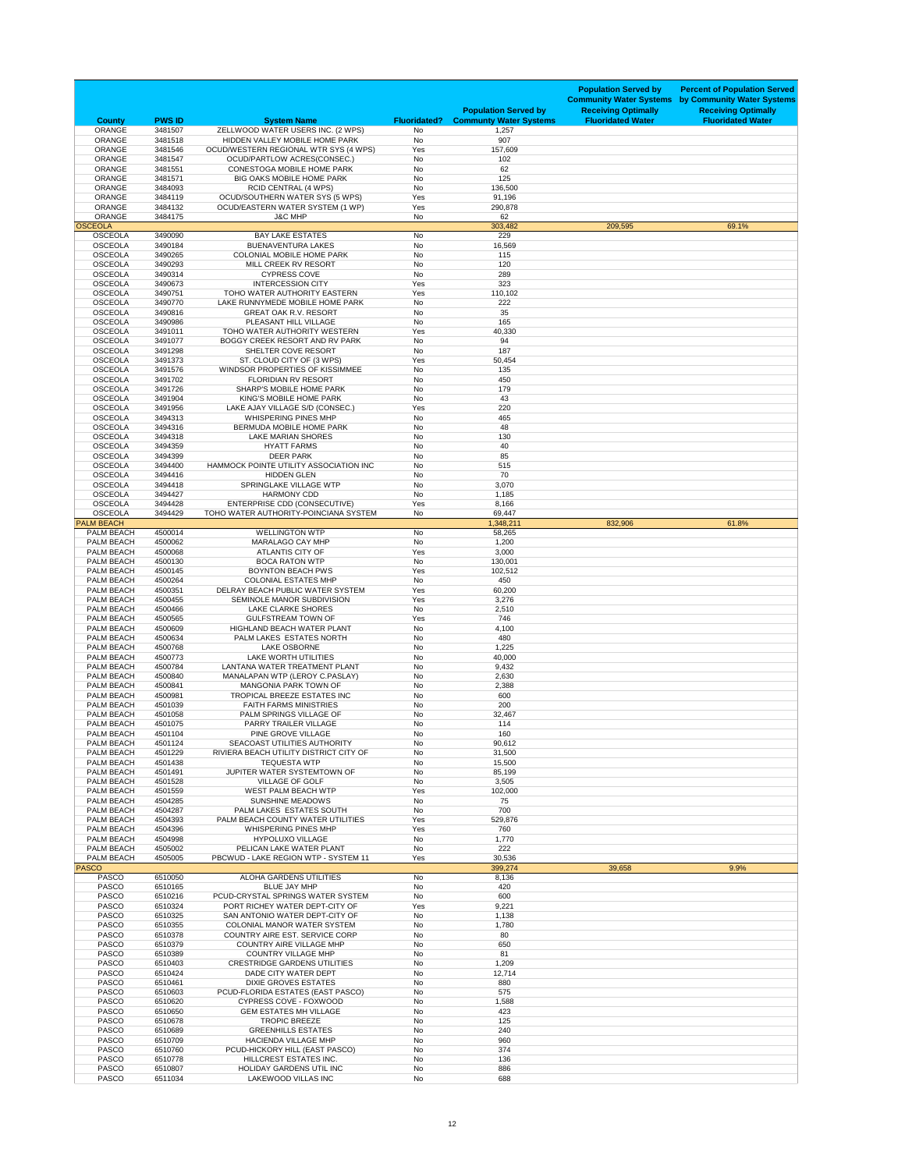| <b>County</b>                          | <b>PWS ID</b>      | <b>System Name</b>                                                           | <b>Fluoridated?</b> | <b>Population Served by</b><br><b>Communty Water Systems</b> | <b>Population Served by</b><br><b>Community Water Systems</b><br><b>Receiving Optimally</b><br><b>Fluoridated Water</b> | <b>Percent of Population Served</b><br>by Community Water Systems<br><b>Receiving Optimally</b><br><b>Fluoridated Water</b> |
|----------------------------------------|--------------------|------------------------------------------------------------------------------|---------------------|--------------------------------------------------------------|-------------------------------------------------------------------------------------------------------------------------|-----------------------------------------------------------------------------------------------------------------------------|
| <b>ORANGE</b>                          | 3481507            | ZELLWOOD WATER USERS INC. (2 WPS)                                            | No                  | 1,257                                                        |                                                                                                                         |                                                                                                                             |
| <b>ORANGE</b><br><b>ORANGE</b>         | 3481518<br>3481546 | HIDDEN VALLEY MOBILE HOME PARK<br>OCUD/WESTERN REGIONAL WTR SYS (4 WPS)      | <b>No</b><br>Yes    | 907<br>157,609                                               |                                                                                                                         |                                                                                                                             |
| <b>ORANGE</b>                          | 3481547            | OCUD/PARTLOW ACRES(CONSEC.)                                                  | No                  | 102                                                          |                                                                                                                         |                                                                                                                             |
| <b>ORANGE</b><br><b>ORANGE</b>         | 3481551<br>3481571 | <b>CONESTOGA MOBILE HOME PARK</b><br><b>BIG OAKS MOBILE HOME PARK</b>        | No<br>No            | 62<br>125                                                    |                                                                                                                         |                                                                                                                             |
| <b>ORANGE</b>                          | 3484093            | <b>RCID CENTRAL (4 WPS)</b>                                                  | No                  | 136,500                                                      |                                                                                                                         |                                                                                                                             |
| <b>ORANGE</b>                          | 3484119            | <b>OCUD/SOUTHERN WATER SYS (5 WPS)</b>                                       | Yes                 | 91,196                                                       |                                                                                                                         |                                                                                                                             |
| <b>ORANGE</b><br><b>ORANGE</b>         | 3484132<br>3484175 | OCUD/EASTERN WATER SYSTEM (1 WP)<br><b>J&amp;C MHP</b>                       | Yes<br>No           | 290,878<br>62                                                |                                                                                                                         |                                                                                                                             |
| <b>OSCEOLA</b>                         |                    |                                                                              |                     | 303,482                                                      | 209,595                                                                                                                 | 69.1%                                                                                                                       |
| <b>OSCEOLA</b>                         | 3490090            | <b>BAY LAKE ESTATES</b>                                                      | No                  | 229                                                          |                                                                                                                         |                                                                                                                             |
| <b>OSCEOLA</b><br><b>OSCEOLA</b>       | 3490184<br>3490265 | <b>BUENAVENTURA LAKES</b><br><b>COLONIAL MOBILE HOME PARK</b>                | No<br>No            | 16,569<br>115                                                |                                                                                                                         |                                                                                                                             |
| <b>OSCEOLA</b>                         | 3490293            | MILL CREEK RV RESORT                                                         | No                  | 120                                                          |                                                                                                                         |                                                                                                                             |
| <b>OSCEOLA</b>                         | 3490314            | <b>CYPRESS COVE</b>                                                          | No                  | 289                                                          |                                                                                                                         |                                                                                                                             |
| <b>OSCEOLA</b><br><b>OSCEOLA</b>       | 3490673<br>3490751 | <b>INTERCESSION CITY</b><br>TOHO WATER AUTHORITY EASTERN                     | Yes<br>Yes          | 323<br>110,102                                               |                                                                                                                         |                                                                                                                             |
| <b>OSCEOLA</b>                         | 3490770            | LAKE RUNNYMEDE MOBILE HOME PARK                                              | <b>No</b>           | 222                                                          |                                                                                                                         |                                                                                                                             |
| <b>OSCEOLA</b><br><b>OSCEOLA</b>       | 3490816<br>3490986 | <b>GREAT OAK R.V. RESORT</b><br>PLEASANT HILL VILLAGE                        | <b>No</b><br>No     | 35<br>165                                                    |                                                                                                                         |                                                                                                                             |
| <b>OSCEOLA</b>                         | 3491011            | TOHO WATER AUTHORITY WESTERN                                                 | Yes                 | 40,330                                                       |                                                                                                                         |                                                                                                                             |
| <b>OSCEOLA</b>                         | 3491077            | BOGGY CREEK RESORT AND RV PARK                                               | No                  | 94                                                           |                                                                                                                         |                                                                                                                             |
| <b>OSCEOLA</b><br><b>OSCEOLA</b>       | 3491298<br>3491373 | SHELTER COVE RESORT<br>ST. CLOUD CITY OF (3 WPS)                             | No<br>Yes           | 187<br>50,454                                                |                                                                                                                         |                                                                                                                             |
| <b>OSCEOLA</b>                         | 3491576            | WINDSOR PROPERTIES OF KISSIMMEE                                              | No                  | 135                                                          |                                                                                                                         |                                                                                                                             |
| <b>OSCEOLA</b>                         | 3491702            | <b>FLORIDIAN RV RESORT</b>                                                   | No                  | 450                                                          |                                                                                                                         |                                                                                                                             |
| <b>OSCEOLA</b><br><b>OSCEOLA</b>       | 3491726<br>3491904 | SHARP'S MOBILE HOME PARK<br>KING'S MOBILE HOME PARK                          | No<br>No            | 179<br>43                                                    |                                                                                                                         |                                                                                                                             |
| <b>OSCEOLA</b>                         | 3491956            | LAKE AJAY VILLAGE S/D (CONSEC.)                                              | Yes                 | 220                                                          |                                                                                                                         |                                                                                                                             |
| <b>OSCEOLA</b>                         | 3494313            | <b>WHISPERING PINES MHP</b>                                                  | No                  | 465                                                          |                                                                                                                         |                                                                                                                             |
| <b>OSCEOLA</b><br><b>OSCEOLA</b>       | 3494316<br>3494318 | BERMUDA MOBILE HOME PARK<br><b>LAKE MARIAN SHORES</b>                        | No<br>No            | 48<br>130                                                    |                                                                                                                         |                                                                                                                             |
| <b>OSCEOLA</b>                         | 3494359            | <b>HYATT FARMS</b>                                                           | <b>No</b>           | 40                                                           |                                                                                                                         |                                                                                                                             |
| <b>OSCEOLA</b>                         | 3494399            | <b>DEER PARK</b>                                                             | No                  | 85                                                           |                                                                                                                         |                                                                                                                             |
| <b>OSCEOLA</b><br><b>OSCEOLA</b>       | 3494400<br>3494416 | HAMMOCK POINTE UTILITY ASSOCIATION INC<br><b>HIDDEN GLEN</b>                 | No<br>No            | 515<br>70                                                    |                                                                                                                         |                                                                                                                             |
| <b>OSCEOLA</b>                         | 3494418            | SPRINGLAKE VILLAGE WTP                                                       | No                  | 3,070                                                        |                                                                                                                         |                                                                                                                             |
| <b>OSCEOLA</b>                         | 3494427            | <b>HARMONY CDD</b>                                                           | No                  | 1,185                                                        |                                                                                                                         |                                                                                                                             |
| <b>OSCEOLA</b><br><b>OSCEOLA</b>       | 3494428<br>3494429 | <b>ENTERPRISE CDD (CONSECUTIVE)</b><br>TOHO WATER AUTHORITY-POINCIANA SYSTEM | Yes<br>No           | 8,166<br>69,447                                              |                                                                                                                         |                                                                                                                             |
| <b>PALM BEACH</b>                      |                    |                                                                              |                     | 1,348,211                                                    | 832,906                                                                                                                 | 61.8%                                                                                                                       |
| <b>PALM BEACH</b><br><b>PALM BEACH</b> | 4500014<br>4500062 | <b>WELLINGTON WTP</b><br><b>MARALAGO CAY MHP</b>                             | No<br>No            | 58,265<br>1,200                                              |                                                                                                                         |                                                                                                                             |
| <b>PALM BEACH</b>                      | 4500068            | <b>ATLANTIS CITY OF</b>                                                      | Yes                 | 3,000                                                        |                                                                                                                         |                                                                                                                             |
| PALM BEACH                             | 4500130            | <b>BOCA RATON WTP</b>                                                        | No                  | 130,001                                                      |                                                                                                                         |                                                                                                                             |
| <b>PALM BEACH</b><br><b>PALM BEACH</b> | 4500145<br>4500264 | <b>BOYNTON BEACH PWS</b><br><b>COLONIAL ESTATES MHP</b>                      | Yes<br>No           | 102,512<br>450                                               |                                                                                                                         |                                                                                                                             |
| <b>PALM BEACH</b>                      | 4500351            | DELRAY BEACH PUBLIC WATER SYSTEM                                             | Yes                 | 60,200                                                       |                                                                                                                         |                                                                                                                             |
| PALM BEACH                             | 4500455            | SEMINOLE MANOR SUBDIVISION                                                   | Yes                 | 3,276                                                        |                                                                                                                         |                                                                                                                             |
| PALM BEACH<br><b>PALM BEACH</b>        | 4500466<br>4500565 | <b>LAKE CLARKE SHORES</b><br><b>GULFSTREAM TOWN OF</b>                       | No<br>Yes           | 2,510<br>746                                                 |                                                                                                                         |                                                                                                                             |
| <b>PALM BEACH</b>                      | 4500609            | HIGHLAND BEACH WATER PLANT                                                   | No                  | 4,100                                                        |                                                                                                                         |                                                                                                                             |
| <b>PALM BEACH</b>                      | 4500634            | PALM LAKES ESTATES NORTH                                                     | No                  | 480                                                          |                                                                                                                         |                                                                                                                             |
| <b>PALM BEACH</b><br>PALM BEACH        | 4500768<br>4500773 | <b>LAKE OSBORNE</b><br><b>LAKE WORTH UTILITIES</b>                           | No<br>No            | 1,225<br>40,000                                              |                                                                                                                         |                                                                                                                             |
| PALM BEACH                             | 4500784            | LANTANA WATER TREATMENT PLANT                                                | No                  | 9,432                                                        |                                                                                                                         |                                                                                                                             |
| <b>PALM BEACH</b><br><b>PALM BEACH</b> | 4500840<br>4500841 | MANALAPAN WTP (LEROY C.PASLAY)<br>MANGONIA PARK TOWN OF                      | No<br>No            | 2,630<br>2,388                                               |                                                                                                                         |                                                                                                                             |
| <b>PALM BEACH</b>                      | 4500981            | <b>TROPICAL BREEZE ESTATES INC</b>                                           | No                  | 600                                                          |                                                                                                                         |                                                                                                                             |
| <b>PALM BEACH</b>                      | 4501039            | <b>FAITH FARMS MINISTRIES</b>                                                | No                  | 200                                                          |                                                                                                                         |                                                                                                                             |
| <b>PALM BEACH</b><br><b>PALM BEACH</b> | 4501058<br>4501075 | PALM SPRINGS VILLAGE OF<br>PARRY TRAILER VILLAGE                             | No<br>No            | 32,467<br>114                                                |                                                                                                                         |                                                                                                                             |
| PALM BEACH                             | 4501104            | PINE GROVE VILLAGE                                                           | <b>No</b>           | 160                                                          |                                                                                                                         |                                                                                                                             |
| <b>PALM BEACH</b>                      | 4501124            | <b>SEACOAST UTILITIES AUTHORITY</b>                                          | No                  | 90,612                                                       |                                                                                                                         |                                                                                                                             |
| <b>PALM BEACH</b><br><b>PALM BEACH</b> | 4501229<br>4501438 | RIVIERA BEACH UTILITY DISTRICT CITY OF<br><b>TEQUESTA WTP</b>                | No<br>No            | 31,500<br>15,500                                             |                                                                                                                         |                                                                                                                             |
| <b>PALM BEACH</b>                      | 4501491            | JUPITER WATER SYSTEMTOWN OF                                                  | No                  | 85,199                                                       |                                                                                                                         |                                                                                                                             |
| <b>PALM BEACH</b>                      | 4501528            | <b>VILLAGE OF GOLF</b>                                                       | No                  | 3,505                                                        |                                                                                                                         |                                                                                                                             |
| <b>PALM BEACH</b><br>PALM BEACH        | 4501559<br>4504285 | <b>WEST PALM BEACH WTP</b><br><b>SUNSHINE MEADOWS</b>                        | Yes<br>No           | 102,000<br>75                                                |                                                                                                                         |                                                                                                                             |
| <b>PALM BEACH</b>                      | 4504287            | PALM LAKES ESTATES SOUTH                                                     | No                  | 700                                                          |                                                                                                                         |                                                                                                                             |
| <b>PALM BEACH</b><br><b>PALM BEACH</b> | 4504393<br>4504396 | PALM BEACH COUNTY WATER UTILITIES<br><b>WHISPERING PINES MHP</b>             | Yes<br>Yes          | 529,876<br>760                                               |                                                                                                                         |                                                                                                                             |
| <b>PALM BEACH</b>                      | 4504998            | <b>HYPOLUXO VILLAGE</b>                                                      | No                  | 1,770                                                        |                                                                                                                         |                                                                                                                             |
| PALM BEACH                             | 4505002            | PELICAN LAKE WATER PLANT                                                     | No                  | 222                                                          |                                                                                                                         |                                                                                                                             |
| PALM BEACH<br><b>PASCO</b>             | 4505005            | PBCWUD - LAKE REGION WTP - SYSTEM 11                                         | Yes                 | 30,536<br>399,274                                            | 39,658                                                                                                                  | 9.9%                                                                                                                        |
| <b>PASCO</b>                           | 6510050            | <b>ALOHA GARDENS UTILITIES</b>                                               | No                  | 8,136                                                        |                                                                                                                         |                                                                                                                             |
| <b>PASCO</b>                           | 6510165            | <b>BLUE JAY MHP</b>                                                          | No                  | 420                                                          |                                                                                                                         |                                                                                                                             |
| <b>PASCO</b><br><b>PASCO</b>           | 6510216<br>6510324 | PCUD-CRYSTAL SPRINGS WATER SYSTEM<br>PORT RICHEY WATER DEPT-CITY OF          | No<br>Yes           | 600<br>9,221                                                 |                                                                                                                         |                                                                                                                             |
| <b>PASCO</b>                           | 6510325            | SAN ANTONIO WATER DEPT-CITY OF                                               | No                  | 1,138                                                        |                                                                                                                         |                                                                                                                             |
| <b>PASCO</b><br><b>PASCO</b>           | 6510355<br>6510378 | <b>COLONIAL MANOR WATER SYSTEM</b><br>COUNTRY AIRE EST. SERVICE CORP         | No<br>No            | 1,780<br>80                                                  |                                                                                                                         |                                                                                                                             |
| <b>PASCO</b>                           | 6510379            | <b>COUNTRY AIRE VILLAGE MHP</b>                                              | No                  | 650                                                          |                                                                                                                         |                                                                                                                             |
| <b>PASCO</b>                           | 6510389            | <b>COUNTRY VILLAGE MHP</b>                                                   | No                  | 81                                                           |                                                                                                                         |                                                                                                                             |
| <b>PASCO</b><br><b>PASCO</b>           | 6510403<br>6510424 | <b>CRESTRIDGE GARDENS UTILITIES</b><br>DADE CITY WATER DEPT                  | No<br>No            | 1,209<br>12,714                                              |                                                                                                                         |                                                                                                                             |
| <b>PASCO</b>                           | 6510461            | <b>DIXIE GROVES ESTATES</b>                                                  | No                  | 880                                                          |                                                                                                                         |                                                                                                                             |
| <b>PASCO</b>                           | 6510603            | PCUD-FLORIDA ESTATES (EAST PASCO)                                            | No                  | 575                                                          |                                                                                                                         |                                                                                                                             |
| <b>PASCO</b><br><b>PASCO</b>           | 6510620<br>6510650 | CYPRESS COVE - FOXWOOD<br><b>GEM ESTATES MH VILLAGE</b>                      | No<br>No            | 1,588<br>423                                                 |                                                                                                                         |                                                                                                                             |
| <b>PASCO</b>                           | 6510678            | <b>TROPIC BREEZE</b>                                                         | No                  | 125                                                          |                                                                                                                         |                                                                                                                             |
| <b>PASCO</b>                           | 6510689            | <b>GREENHILLS ESTATES</b>                                                    | No                  | 240                                                          |                                                                                                                         |                                                                                                                             |
| <b>PASCO</b><br><b>PASCO</b>           | 6510709<br>6510760 | <b>HACIENDA VILLAGE MHP</b><br>PCUD-HICKORY HILL (EAST PASCO)                | No<br>No            | 960<br>374                                                   |                                                                                                                         |                                                                                                                             |
| <b>PASCO</b>                           | 6510778            | HILLCREST ESTATES INC.                                                       | No                  | 136                                                          |                                                                                                                         |                                                                                                                             |
| <b>PASCO</b>                           | 6510807            | <b>HOLIDAY GARDENS UTIL INC</b>                                              | No                  | 886                                                          |                                                                                                                         |                                                                                                                             |
| <b>PASCO</b>                           | 6511034            | LAKEWOOD VILLAS INC                                                          | No                  | 688                                                          |                                                                                                                         |                                                                                                                             |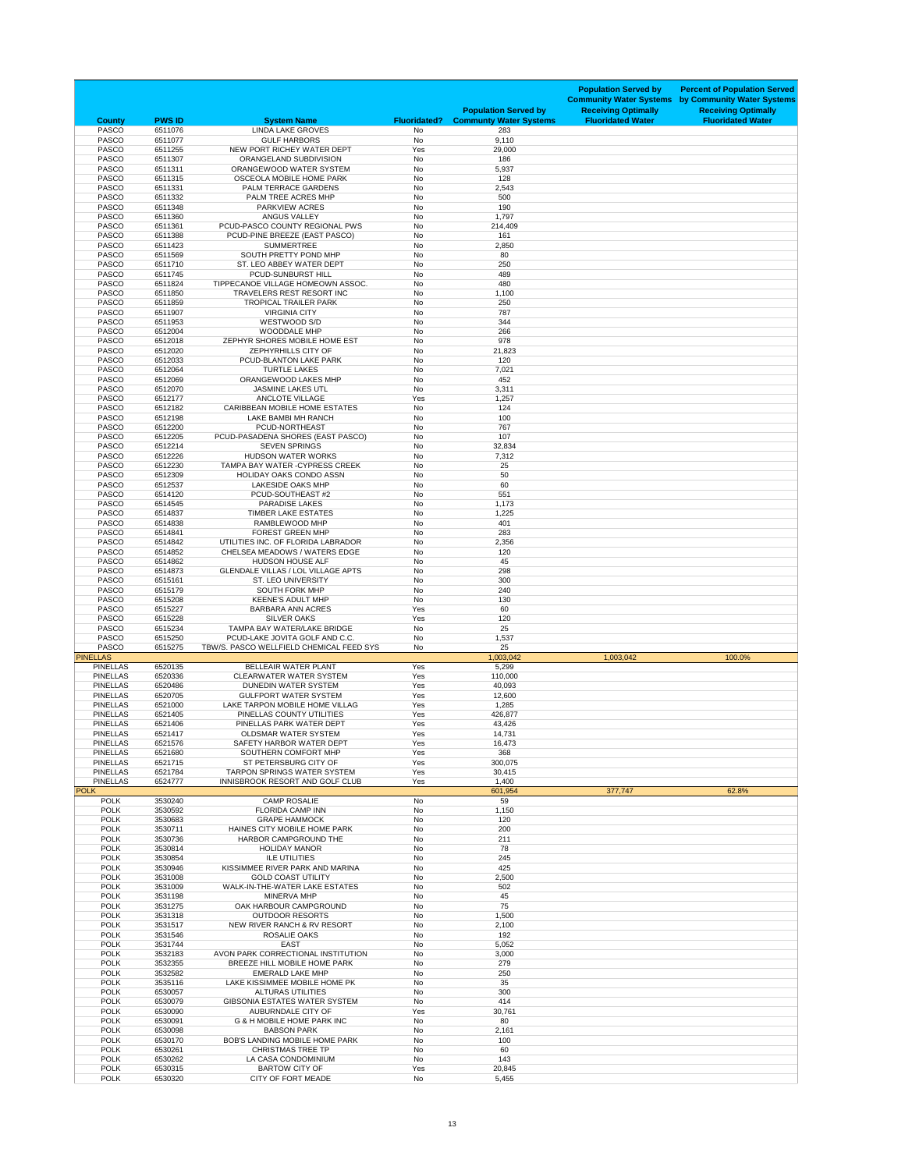| <b>County</b>                      | <b>PWS ID</b>      | <b>System Name</b>                                                         | <b>Fluoridated?</b> | <b>Population Served by</b><br><b>Communty Water Systems</b> | <b>Population Served by</b><br><b>Community Water Systems</b><br><b>Receiving Optimally</b><br><b>Fluoridated Water</b> | <b>Percent of Population Served</b><br>by Community Water Systems<br><b>Receiving Optimally</b><br><b>Fluoridated Water</b> |
|------------------------------------|--------------------|----------------------------------------------------------------------------|---------------------|--------------------------------------------------------------|-------------------------------------------------------------------------------------------------------------------------|-----------------------------------------------------------------------------------------------------------------------------|
| <b>PASCO</b>                       | 6511076            | <b>LINDA LAKE GROVES</b>                                                   | <b>No</b>           | 283                                                          |                                                                                                                         |                                                                                                                             |
| <b>PASCO</b><br><b>PASCO</b>       | 6511077<br>6511255 | <b>GULF HARBORS</b><br>NEW PORT RICHEY WATER DEPT                          | No<br>Yes           | 9,110<br>29,000                                              |                                                                                                                         |                                                                                                                             |
| <b>PASCO</b>                       | 6511307            | ORANGELAND SUBDIVISION                                                     | No                  | 186                                                          |                                                                                                                         |                                                                                                                             |
| <b>PASCO</b><br><b>PASCO</b>       | 6511311<br>6511315 | ORANGEWOOD WATER SYSTEM<br><b>OSCEOLA MOBILE HOME PARK</b>                 | No<br><b>No</b>     | 5,937<br>128                                                 |                                                                                                                         |                                                                                                                             |
| <b>PASCO</b>                       | 6511331            | PALM TERRACE GARDENS                                                       | No                  | 2,543                                                        |                                                                                                                         |                                                                                                                             |
| <b>PASCO</b>                       | 6511332            | PALM TREE ACRES MHP                                                        | No                  | 500                                                          |                                                                                                                         |                                                                                                                             |
| <b>PASCO</b><br><b>PASCO</b>       | 6511348<br>6511360 | <b>PARKVIEW ACRES</b><br><b>ANGUS VALLEY</b>                               | No<br>No            | 190<br>1,797                                                 |                                                                                                                         |                                                                                                                             |
| <b>PASCO</b>                       | 6511361            | PCUD-PASCO COUNTY REGIONAL PWS                                             | No                  | 214,409                                                      |                                                                                                                         |                                                                                                                             |
| <b>PASCO</b>                       | 6511388            | PCUD-PINE BREEZE (EAST PASCO)                                              | No                  | 161                                                          |                                                                                                                         |                                                                                                                             |
| <b>PASCO</b><br><b>PASCO</b>       | 6511423<br>6511569 | <b>SUMMERTREE</b><br>SOUTH PRETTY POND MHP                                 | No<br>No            | 2,850<br>80                                                  |                                                                                                                         |                                                                                                                             |
| <b>PASCO</b>                       | 6511710            | ST. LEO ABBEY WATER DEPT                                                   | No                  | 250                                                          |                                                                                                                         |                                                                                                                             |
| <b>PASCO</b>                       | 6511745<br>6511824 | PCUD-SUNBURST HILL<br>TIPPECANOE VILLAGE HOMEOWN ASSOC.                    | No<br>No            | 489<br>480                                                   |                                                                                                                         |                                                                                                                             |
| <b>PASCO</b><br><b>PASCO</b>       | 6511850            | TRAVELERS REST RESORT INC                                                  | No                  | 1,100                                                        |                                                                                                                         |                                                                                                                             |
| <b>PASCO</b>                       | 6511859            | <b>TROPICAL TRAILER PARK</b>                                               | No                  | 250                                                          |                                                                                                                         |                                                                                                                             |
| <b>PASCO</b><br><b>PASCO</b>       | 6511907<br>6511953 | <b>VIRGINIA CITY</b><br>WESTWOOD S/D                                       | No<br>No            | 787<br>344                                                   |                                                                                                                         |                                                                                                                             |
| <b>PASCO</b>                       | 6512004            | <b>WOODDALE MHP</b>                                                        | No                  | 266                                                          |                                                                                                                         |                                                                                                                             |
| <b>PASCO</b>                       | 6512018            | ZEPHYR SHORES MOBILE HOME EST                                              | No                  | 978                                                          |                                                                                                                         |                                                                                                                             |
| <b>PASCO</b><br><b>PASCO</b>       | 6512020<br>6512033 | ZEPHYRHILLS CITY OF<br>PCUD-BLANTON LAKE PARK                              | No<br>No            | 21,823<br>120                                                |                                                                                                                         |                                                                                                                             |
| <b>PASCO</b>                       | 6512064            | <b>TURTLE LAKES</b>                                                        | <b>No</b>           | 7,021                                                        |                                                                                                                         |                                                                                                                             |
| <b>PASCO</b>                       | 6512069            | ORANGEWOOD LAKES MHP                                                       | No                  | 452                                                          |                                                                                                                         |                                                                                                                             |
| <b>PASCO</b><br><b>PASCO</b>       | 6512070<br>6512177 | <b>JASMINE LAKES UTL</b><br><b>ANCLOTE VILLAGE</b>                         | No<br>Yes           | 3,311<br>1,257                                               |                                                                                                                         |                                                                                                                             |
| <b>PASCO</b>                       | 6512182            | <b>CARIBBEAN MOBILE HOME ESTATES</b>                                       | No                  | 124                                                          |                                                                                                                         |                                                                                                                             |
| <b>PASCO</b>                       | 6512198            | LAKE BAMBI MH RANCH                                                        | No                  | 100                                                          |                                                                                                                         |                                                                                                                             |
| <b>PASCO</b><br><b>PASCO</b>       | 6512200<br>6512205 | PCUD-NORTHEAST<br>PCUD-PASADENA SHORES (EAST PASCO)                        | No<br>No            | 767<br>107                                                   |                                                                                                                         |                                                                                                                             |
| <b>PASCO</b>                       | 6512214            | <b>SEVEN SPRINGS</b>                                                       | No                  | 32,834                                                       |                                                                                                                         |                                                                                                                             |
| <b>PASCO</b>                       | 6512226            | <b>HUDSON WATER WORKS</b>                                                  | No                  | 7,312                                                        |                                                                                                                         |                                                                                                                             |
| <b>PASCO</b><br><b>PASCO</b>       | 6512230<br>6512309 | TAMPA BAY WATER - CYPRESS CREEK<br><b>HOLIDAY OAKS CONDO ASSN</b>          | No<br>No            | 25<br>50                                                     |                                                                                                                         |                                                                                                                             |
| <b>PASCO</b>                       | 6512537            | <b>LAKESIDE OAKS MHP</b>                                                   | No                  | 60                                                           |                                                                                                                         |                                                                                                                             |
| <b>PASCO</b>                       | 6514120            | PCUD-SOUTHEAST #2                                                          | No                  | 551                                                          |                                                                                                                         |                                                                                                                             |
| <b>PASCO</b><br><b>PASCO</b>       | 6514545<br>6514837 | <b>PARADISE LAKES</b><br><b>TIMBER LAKE ESTATES</b>                        | No<br>No            | 1,173<br>1,225                                               |                                                                                                                         |                                                                                                                             |
| <b>PASCO</b>                       | 6514838            | RAMBLEWOOD MHP                                                             | No                  | 401                                                          |                                                                                                                         |                                                                                                                             |
| <b>PASCO</b>                       | 6514841            | <b>FOREST GREEN MHP</b>                                                    | No                  | 283                                                          |                                                                                                                         |                                                                                                                             |
| <b>PASCO</b><br><b>PASCO</b>       | 6514842<br>6514852 | UTILITIES INC. OF FLORIDA LABRADOR<br><b>CHELSEA MEADOWS / WATERS EDGE</b> | No<br>No            | 2,356<br>120                                                 |                                                                                                                         |                                                                                                                             |
| <b>PASCO</b>                       | 6514862            | <b>HUDSON HOUSE ALF</b>                                                    | No                  | 45                                                           |                                                                                                                         |                                                                                                                             |
| <b>PASCO</b><br><b>PASCO</b>       | 6514873<br>6515161 | <b>GLENDALE VILLAS / LOL VILLAGE APTS</b><br><b>ST. LEO UNIVERSITY</b>     | No                  | 298<br>300                                                   |                                                                                                                         |                                                                                                                             |
| <b>PASCO</b>                       | 6515179            | <b>SOUTH FORK MHP</b>                                                      | No<br>No            | 240                                                          |                                                                                                                         |                                                                                                                             |
| <b>PASCO</b>                       | 6515208            | <b>KEENE'S ADULT MHP</b>                                                   | No                  | 130                                                          |                                                                                                                         |                                                                                                                             |
| <b>PASCO</b><br><b>PASCO</b>       | 6515227<br>6515228 | <b>BARBARA ANN ACRES</b><br><b>SILVER OAKS</b>                             | Yes<br>Yes          | 60<br>120                                                    |                                                                                                                         |                                                                                                                             |
| <b>PASCO</b>                       | 6515234            | TAMPA BAY WATER/LAKE BRIDGE                                                | No                  | 25                                                           |                                                                                                                         |                                                                                                                             |
| <b>PASCO</b>                       | 6515250            | PCUD-LAKE JOVITA GOLF AND C.C.                                             | No                  | 1,537                                                        |                                                                                                                         |                                                                                                                             |
| <b>PASCO</b><br><b>PINELLAS</b>    | 6515275            | TBW/S. PASCO WELLFIELD CHEMICAL FEED SYS                                   | No                  | 25<br>1,003,042                                              | 1,003,042                                                                                                               | 100.0%                                                                                                                      |
| <b>PINELLAS</b>                    | 6520135            | <b>BELLEAIR WATER PLANT</b>                                                | Yes                 | 5,299                                                        |                                                                                                                         |                                                                                                                             |
| <b>PINELLAS</b>                    | 6520336            | <b>CLEARWATER WATER SYSTEM</b>                                             | Yes                 | 110,000                                                      |                                                                                                                         |                                                                                                                             |
| <b>PINELLAS</b><br><b>PINELLAS</b> | 6520486<br>6520705 | DUNEDIN WATER SYSTEM<br><b>GULFPORT WATER SYSTEM</b>                       | Yes<br>Yes          | 40,093<br>12,600                                             |                                                                                                                         |                                                                                                                             |
| <b>PINELLAS</b>                    | 6521000            | LAKE TARPON MOBILE HOME VILLAG                                             | Yes                 | 1,285                                                        |                                                                                                                         |                                                                                                                             |
| <b>PINELLAS</b>                    | 6521405            | PINELLAS COUNTY UTILITIES                                                  | Yes                 | 426,877                                                      |                                                                                                                         |                                                                                                                             |
| <b>PINELLAS</b><br><b>PINELLAS</b> | 6521406<br>6521417 | PINELLAS PARK WATER DEPT<br><b>OLDSMAR WATER SYSTEM</b>                    | Yes<br>Yes          | 43,426<br>14,731                                             |                                                                                                                         |                                                                                                                             |
| <b>PINELLAS</b>                    | 6521576            | SAFETY HARBOR WATER DEPT                                                   | Yes                 | 16,473                                                       |                                                                                                                         |                                                                                                                             |
| <b>PINELLAS</b>                    | 6521680            | SOUTHERN COMFORT MHP                                                       | Yes                 | 368                                                          |                                                                                                                         |                                                                                                                             |
| <b>PINELLAS</b><br><b>PINELLAS</b> | 6521715<br>6521784 | ST PETERSBURG CITY OF<br><b>TARPON SPRINGS WATER SYSTEM</b>                | Yes<br>Yes          | 300,075<br>30,415                                            |                                                                                                                         |                                                                                                                             |
| <b>PINELLAS</b>                    | 6524777            | INNISBROOK RESORT AND GOLF CLUB                                            | Yes                 | 1,400                                                        |                                                                                                                         |                                                                                                                             |
| <b>POLK</b><br><b>POLK</b>         | 3530240            | <b>CAMP ROSALIE</b>                                                        | No                  | 601,954<br>59                                                | 377,747                                                                                                                 | 62.8%                                                                                                                       |
| <b>POLK</b>                        | 3530592            | <b>FLORIDA CAMP INN</b>                                                    | No                  | 1,150                                                        |                                                                                                                         |                                                                                                                             |
| <b>POLK</b>                        | 3530683            | <b>GRAPE HAMMOCK</b>                                                       | No                  | 120                                                          |                                                                                                                         |                                                                                                                             |
| <b>POLK</b><br><b>POLK</b>         | 3530711<br>3530736 | HAINES CITY MOBILE HOME PARK<br>HARBOR CAMPGROUND THE                      | No<br>No            | 200<br>211                                                   |                                                                                                                         |                                                                                                                             |
| <b>POLK</b>                        | 3530814            | <b>HOLIDAY MANOR</b>                                                       | No                  | 78                                                           |                                                                                                                         |                                                                                                                             |
| <b>POLK</b>                        | 3530854            | <b>ILE UTILITIES</b>                                                       | No                  | 245                                                          |                                                                                                                         |                                                                                                                             |
| <b>POLK</b><br><b>POLK</b>         | 3530946<br>3531008 | KISSIMMEE RIVER PARK AND MARINA<br><b>GOLD COAST UTILITY</b>               | No<br>No            | 425<br>2,500                                                 |                                                                                                                         |                                                                                                                             |
| <b>POLK</b>                        | 3531009            | <b>WALK-IN-THE-WATER LAKE ESTATES</b>                                      | No                  | 502                                                          |                                                                                                                         |                                                                                                                             |
| <b>POLK</b>                        | 3531198            | <b>MINERVA MHP</b><br>OAK HARBOUR CAMPGROUND                               | No                  | 45<br>75                                                     |                                                                                                                         |                                                                                                                             |
| <b>POLK</b><br><b>POLK</b>         | 3531275<br>3531318 | <b>OUTDOOR RESORTS</b>                                                     | No<br>No            | 1,500                                                        |                                                                                                                         |                                                                                                                             |
| <b>POLK</b>                        | 3531517            | NEW RIVER RANCH & RV RESORT                                                | No                  | 2,100                                                        |                                                                                                                         |                                                                                                                             |
| <b>POLK</b><br><b>POLK</b>         | 3531546<br>3531744 | <b>ROSALIE OAKS</b><br><b>EAST</b>                                         | No<br>No            | 192<br>5,052                                                 |                                                                                                                         |                                                                                                                             |
| <b>POLK</b>                        | 3532183            | AVON PARK CORRECTIONAL INSTITUTION                                         | No                  | 3,000                                                        |                                                                                                                         |                                                                                                                             |
| <b>POLK</b>                        | 3532355            | BREEZE HILL MOBILE HOME PARK                                               | No                  | 279                                                          |                                                                                                                         |                                                                                                                             |
| <b>POLK</b><br><b>POLK</b>         | 3532582<br>3535116 | <b>EMERALD LAKE MHP</b><br>LAKE KISSIMMEE MOBILE HOME PK                   | <b>No</b><br>No     | 250<br>35                                                    |                                                                                                                         |                                                                                                                             |
| <b>POLK</b>                        | 6530057            | <b>ALTURAS UTILITIES</b>                                                   | No                  | 300                                                          |                                                                                                                         |                                                                                                                             |
| <b>POLK</b>                        | 6530079            | <b>GIBSONIA ESTATES WATER SYSTEM</b>                                       | No                  | 414                                                          |                                                                                                                         |                                                                                                                             |
| <b>POLK</b><br><b>POLK</b>         | 6530090<br>6530091 | AUBURNDALE CITY OF<br><b>G &amp; H MOBILE HOME PARK INC</b>                | Yes<br>No           | 30,761<br>80                                                 |                                                                                                                         |                                                                                                                             |
| <b>POLK</b>                        | 6530098            | <b>BABSON PARK</b>                                                         | No                  | 2,161                                                        |                                                                                                                         |                                                                                                                             |
| <b>POLK</b>                        | 6530170            | <b>BOB'S LANDING MOBILE HOME PARK</b>                                      | No                  | 100                                                          |                                                                                                                         |                                                                                                                             |
| <b>POLK</b><br><b>POLK</b>         | 6530261<br>6530262 | <b>CHRISTMAS TREE TP</b><br>LA CASA CONDOMINIUM                            | No<br>No            | 60<br>143                                                    |                                                                                                                         |                                                                                                                             |
| <b>POLK</b>                        | 6530315            | <b>BARTOW CITY OF</b>                                                      | Yes                 | 20,845                                                       |                                                                                                                         |                                                                                                                             |
| <b>POLK</b>                        | 6530320            | <b>CITY OF FORT MEADE</b>                                                  | No                  | 5,455                                                        |                                                                                                                         |                                                                                                                             |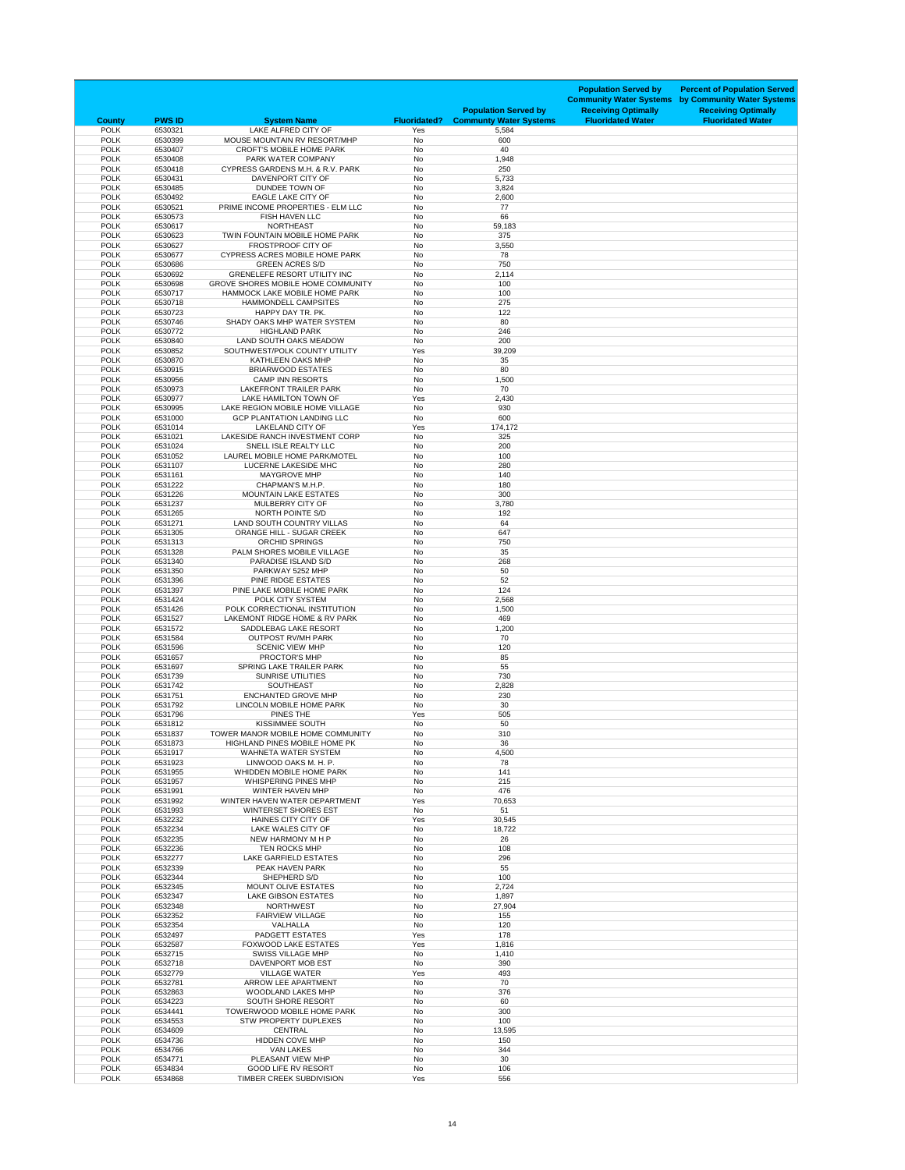| <b>County</b>              | <b>PWS ID</b>      | <b>System Name</b>                                                         | <b>Fluoridated?</b>    | <b>Population Served by</b><br><b>Communty Water Systems</b> | <b>Population Served by</b><br><b>Community Water Systems</b><br><b>Receiving Optimally</b><br><b>Fluoridated Water</b> | <b>Percent of Population Served</b><br>by Community Water Systems<br><b>Receiving Optimally</b><br><b>Fluoridated Water</b> |
|----------------------------|--------------------|----------------------------------------------------------------------------|------------------------|--------------------------------------------------------------|-------------------------------------------------------------------------------------------------------------------------|-----------------------------------------------------------------------------------------------------------------------------|
| <b>POLK</b>                | 6530321            | LAKE ALFRED CITY OF                                                        | Yes                    | 5,584                                                        |                                                                                                                         |                                                                                                                             |
| <b>POLK</b><br><b>POLK</b> | 6530399<br>6530407 | MOUSE MOUNTAIN RV RESORT/MHP<br><b>CROFT'S MOBILE HOME PARK</b>            | <b>No</b><br><b>No</b> | 600<br>40                                                    |                                                                                                                         |                                                                                                                             |
| <b>POLK</b>                | 6530408            | PARK WATER COMPANY                                                         | <b>No</b>              | 1,948                                                        |                                                                                                                         |                                                                                                                             |
| <b>POLK</b><br><b>POLK</b> | 6530418<br>6530431 | CYPRESS GARDENS M.H. & R.V. PARK<br>DAVENPORT CITY OF                      | <b>No</b><br><b>No</b> | 250<br>5,733                                                 |                                                                                                                         |                                                                                                                             |
| <b>POLK</b>                | 6530485            | <b>DUNDEE TOWN OF</b>                                                      | <b>No</b>              | 3,824                                                        |                                                                                                                         |                                                                                                                             |
| <b>POLK</b>                | 6530492            | <b>EAGLE LAKE CITY OF</b>                                                  | <b>No</b>              | 2,600                                                        |                                                                                                                         |                                                                                                                             |
| <b>POLK</b><br><b>POLK</b> | 6530521<br>6530573 | PRIME INCOME PROPERTIES - ELM LLC<br><b>FISH HAVEN LLC</b>                 | <b>No</b><br><b>No</b> | 77<br>66                                                     |                                                                                                                         |                                                                                                                             |
| <b>POLK</b>                | 6530617            | <b>NORTHEAST</b>                                                           | <b>No</b>              | 59,183                                                       |                                                                                                                         |                                                                                                                             |
| <b>POLK</b>                | 6530623            | TWIN FOUNTAIN MOBILE HOME PARK                                             | <b>No</b>              | 375                                                          |                                                                                                                         |                                                                                                                             |
| <b>POLK</b><br><b>POLK</b> | 6530627<br>6530677 | FROSTPROOF CITY OF<br><b>CYPRESS ACRES MOBILE HOME PARK</b>                | <b>No</b><br><b>No</b> | 3,550<br>78                                                  |                                                                                                                         |                                                                                                                             |
| <b>POLK</b>                | 6530686            | <b>GREEN ACRES S/D</b>                                                     | <b>No</b>              | 750                                                          |                                                                                                                         |                                                                                                                             |
| <b>POLK</b>                | 6530692            | <b>GRENELEFE RESORT UTILITY INC</b>                                        | <b>No</b>              | 2,114                                                        |                                                                                                                         |                                                                                                                             |
| <b>POLK</b><br><b>POLK</b> | 6530698<br>6530717 | <b>GROVE SHORES MOBILE HOME COMMUNITY</b><br>HAMMOCK LAKE MOBILE HOME PARK | <b>No</b><br><b>No</b> | 100<br>100                                                   |                                                                                                                         |                                                                                                                             |
| <b>POLK</b>                | 6530718            | HAMMONDELL CAMPSITES                                                       | <b>No</b>              | 275                                                          |                                                                                                                         |                                                                                                                             |
| <b>POLK</b><br><b>POLK</b> | 6530723<br>6530746 | HAPPY DAY TR. PK.<br>SHADY OAKS MHP WATER SYSTEM                           | <b>No</b><br><b>No</b> | 122<br>80                                                    |                                                                                                                         |                                                                                                                             |
| <b>POLK</b>                | 6530772            | <b>HIGHLAND PARK</b>                                                       | <b>No</b>              | 246                                                          |                                                                                                                         |                                                                                                                             |
| <b>POLK</b>                | 6530840            | LAND SOUTH OAKS MEADOW                                                     | <b>No</b>              | 200                                                          |                                                                                                                         |                                                                                                                             |
| <b>POLK</b><br><b>POLK</b> | 6530852<br>6530870 | SOUTHWEST/POLK COUNTY UTILITY<br><b>KATHLEEN OAKS MHP</b>                  | Yes<br><b>No</b>       | 39,209<br>35                                                 |                                                                                                                         |                                                                                                                             |
| <b>POLK</b>                | 6530915            | <b>BRIARWOOD ESTATES</b>                                                   | <b>No</b>              | 80                                                           |                                                                                                                         |                                                                                                                             |
| <b>POLK</b>                | 6530956            | <b>CAMP INN RESORTS</b>                                                    | <b>No</b>              | 1,500                                                        |                                                                                                                         |                                                                                                                             |
| <b>POLK</b><br><b>POLK</b> | 6530973<br>6530977 | LAKEFRONT TRAILER PARK<br>LAKE HAMILTON TOWN OF                            | <b>No</b><br>Yes       | 70<br>2,430                                                  |                                                                                                                         |                                                                                                                             |
| <b>POLK</b>                | 6530995            | LAKE REGION MOBILE HOME VILLAGE                                            | <b>No</b>              | 930                                                          |                                                                                                                         |                                                                                                                             |
| <b>POLK</b>                | 6531000            | <b>GCP PLANTATION LANDING LLC</b>                                          | <b>No</b>              | 600                                                          |                                                                                                                         |                                                                                                                             |
| <b>POLK</b><br><b>POLK</b> | 6531014<br>6531021 | <b>LAKELAND CITY OF</b><br>LAKESIDE RANCH INVESTMENT CORP                  | Yes<br><b>No</b>       | 174,172<br>325                                               |                                                                                                                         |                                                                                                                             |
| <b>POLK</b>                | 6531024            | SNELL ISLE REALTY LLC                                                      | <b>No</b>              | 200                                                          |                                                                                                                         |                                                                                                                             |
| <b>POLK</b>                | 6531052            | LAUREL MOBILE HOME PARK/MOTEL                                              | No                     | 100                                                          |                                                                                                                         |                                                                                                                             |
| <b>POLK</b><br><b>POLK</b> | 6531107<br>6531161 | LUCERNE LAKESIDE MHC<br><b>MAYGROVE MHP</b>                                | <b>No</b><br><b>No</b> | 280<br>140                                                   |                                                                                                                         |                                                                                                                             |
| <b>POLK</b>                | 6531222            | CHAPMAN'S M.H.P.                                                           | No                     | 180                                                          |                                                                                                                         |                                                                                                                             |
| <b>POLK</b><br><b>POLK</b> | 6531226<br>6531237 | <b>MOUNTAIN LAKE ESTATES</b><br>MULBERRY CITY OF                           | No<br><b>No</b>        | 300                                                          |                                                                                                                         |                                                                                                                             |
| <b>POLK</b>                | 6531265            | NORTH POINTE S/D                                                           | No                     | 3,780<br>192                                                 |                                                                                                                         |                                                                                                                             |
| <b>POLK</b>                | 6531271            | LAND SOUTH COUNTRY VILLAS                                                  | No                     | 64                                                           |                                                                                                                         |                                                                                                                             |
| <b>POLK</b><br><b>POLK</b> | 6531305<br>6531313 | <b>ORANGE HILL - SUGAR CREEK</b><br><b>ORCHID SPRINGS</b>                  | <b>No</b><br>No        | 647<br>750                                                   |                                                                                                                         |                                                                                                                             |
| <b>POLK</b>                | 6531328            | PALM SHORES MOBILE VILLAGE                                                 | No                     | 35                                                           |                                                                                                                         |                                                                                                                             |
| <b>POLK</b>                | 6531340            | PARADISE ISLAND S/D                                                        | <b>No</b>              | 268                                                          |                                                                                                                         |                                                                                                                             |
| <b>POLK</b><br><b>POLK</b> | 6531350<br>6531396 | PARKWAY 5252 MHP<br>PINE RIDGE ESTATES                                     | No<br><b>No</b>        | 50<br>52                                                     |                                                                                                                         |                                                                                                                             |
| <b>POLK</b>                | 6531397            | PINE LAKE MOBILE HOME PARK                                                 | No                     | 124                                                          |                                                                                                                         |                                                                                                                             |
| <b>POLK</b>                | 6531424            | POLK CITY SYSTEM                                                           | <b>No</b>              | 2,568                                                        |                                                                                                                         |                                                                                                                             |
| <b>POLK</b><br><b>POLK</b> | 6531426<br>6531527 | POLK CORRECTIONAL INSTITUTION<br>LAKEMONT RIDGE HOME & RV PARK             | No<br>No               | 1,500<br>469                                                 |                                                                                                                         |                                                                                                                             |
| <b>POLK</b>                | 6531572            | SADDLEBAG LAKE RESORT                                                      | <b>No</b>              | 1,200                                                        |                                                                                                                         |                                                                                                                             |
| <b>POLK</b><br><b>POLK</b> | 6531584<br>6531596 | <b>OUTPOST RV/MH PARK</b><br><b>SCENIC VIEW MHP</b>                        | <b>No</b><br><b>No</b> | 70<br>120                                                    |                                                                                                                         |                                                                                                                             |
| <b>POLK</b>                | 6531657            | <b>PROCTOR'S MHP</b>                                                       | <b>No</b>              | 85                                                           |                                                                                                                         |                                                                                                                             |
| <b>POLK</b>                | 6531697            | <b>SPRING LAKE TRAILER PARK</b>                                            | <b>No</b>              | 55                                                           |                                                                                                                         |                                                                                                                             |
| <b>POLK</b><br><b>POLK</b> | 6531739<br>6531742 | <b>SUNRISE UTILITIES</b><br><b>SOUTHEAST</b>                               | No<br>No               | 730<br>2,828                                                 |                                                                                                                         |                                                                                                                             |
| <b>POLK</b>                | 6531751            | <b>ENCHANTED GROVE MHP</b>                                                 | <b>No</b>              | 230                                                          |                                                                                                                         |                                                                                                                             |
| <b>POLK</b><br><b>POLK</b> | 6531792<br>6531796 | LINCOLN MOBILE HOME PARK<br>PINES THE                                      | No<br>Yes              | 30<br>505                                                    |                                                                                                                         |                                                                                                                             |
| <b>POLK</b>                | 6531812            | <b>KISSIMMEE SOUTH</b>                                                     | <b>No</b>              | 50                                                           |                                                                                                                         |                                                                                                                             |
| <b>POLK</b>                | 6531837            | TOWER MANOR MOBILE HOME COMMUNITY                                          | No                     | 310                                                          |                                                                                                                         |                                                                                                                             |
| <b>POLK</b><br><b>POLK</b> | 6531873<br>6531917 | <b>HIGHLAND PINES MOBILE HOME PK</b><br><b>WAHNETA WATER SYSTEM</b>        | No<br><b>No</b>        | 36<br>4,500                                                  |                                                                                                                         |                                                                                                                             |
| <b>POLK</b>                | 6531923            | LINWOOD OAKS M. H. P.                                                      | No                     | 78                                                           |                                                                                                                         |                                                                                                                             |
| <b>POLK</b>                | 6531955            | WHIDDEN MOBILE HOME PARK                                                   | <b>No</b>              | 141                                                          |                                                                                                                         |                                                                                                                             |
| <b>POLK</b><br><b>POLK</b> | 6531957<br>6531991 | <b>WHISPERING PINES MHP</b><br><b>WINTER HAVEN MHP</b>                     | <b>No</b><br>No        | 215<br>476                                                   |                                                                                                                         |                                                                                                                             |
| <b>POLK</b>                | 6531992            | WINTER HAVEN WATER DEPARTMENT                                              | Yes                    | 70,653                                                       |                                                                                                                         |                                                                                                                             |
| <b>POLK</b>                | 6531993            | <b>WINTERSET SHORES EST</b>                                                | No                     | 51                                                           |                                                                                                                         |                                                                                                                             |
| <b>POLK</b><br><b>POLK</b> | 6532232<br>6532234 | <b>HAINES CITY CITY OF</b><br>LAKE WALES CITY OF                           | Yes<br><b>No</b>       | 30,545<br>18,722                                             |                                                                                                                         |                                                                                                                             |
| <b>POLK</b>                | 6532235            | NEW HARMONY M H P                                                          | No                     | 26                                                           |                                                                                                                         |                                                                                                                             |
| <b>POLK</b><br><b>POLK</b> | 6532236<br>6532277 | <b>TEN ROCKS MHP</b><br><b>LAKE GARFIELD ESTATES</b>                       | No<br><b>No</b>        | 108<br>296                                                   |                                                                                                                         |                                                                                                                             |
| <b>POLK</b>                | 6532339            | PEAK HAVEN PARK                                                            | No                     | 55                                                           |                                                                                                                         |                                                                                                                             |
| <b>POLK</b>                | 6532344            | SHEPHERD S/D                                                               | <b>No</b>              | 100                                                          |                                                                                                                         |                                                                                                                             |
| <b>POLK</b><br><b>POLK</b> | 6532345<br>6532347 | <b>MOUNT OLIVE ESTATES</b><br><b>LAKE GIBSON ESTATES</b>                   | <b>No</b><br><b>No</b> | 2,724<br>1,897                                               |                                                                                                                         |                                                                                                                             |
| <b>POLK</b>                | 6532348            | <b>NORTHWEST</b>                                                           | <b>No</b>              | 27,904                                                       |                                                                                                                         |                                                                                                                             |
| <b>POLK</b><br><b>POLK</b> | 6532352<br>6532354 | <b>FAIRVIEW VILLAGE</b><br>VALHALLA                                        | <b>No</b><br>No        | 155<br>120                                                   |                                                                                                                         |                                                                                                                             |
| <b>POLK</b>                | 6532497            | <b>PADGETT ESTATES</b>                                                     | Yes                    | 178                                                          |                                                                                                                         |                                                                                                                             |
| <b>POLK</b>                | 6532587            | <b>FOXWOOD LAKE ESTATES</b>                                                | Yes                    | 1,816                                                        |                                                                                                                         |                                                                                                                             |
| <b>POLK</b><br><b>POLK</b> | 6532715<br>6532718 | <b>SWISS VILLAGE MHP</b><br>DAVENPORT MOB EST                              | No<br>No               | 1,410<br>390                                                 |                                                                                                                         |                                                                                                                             |
| <b>POLK</b>                | 6532779            | <b>VILLAGE WATER</b>                                                       | Yes                    | 493                                                          |                                                                                                                         |                                                                                                                             |
| <b>POLK</b>                | 6532781            | ARROW LEE APARTMENT                                                        | No                     | 70                                                           |                                                                                                                         |                                                                                                                             |
| <b>POLK</b><br><b>POLK</b> | 6532863<br>6534223 | WOODLAND LAKES MHP<br><b>SOUTH SHORE RESORT</b>                            | <b>No</b><br><b>No</b> | 376<br>60                                                    |                                                                                                                         |                                                                                                                             |
| <b>POLK</b>                | 6534441            | TOWERWOOD MOBILE HOME PARK                                                 | No                     | 300                                                          |                                                                                                                         |                                                                                                                             |
| <b>POLK</b>                | 6534553            | <b>STW PROPERTY DUPLEXES</b>                                               | No                     | 100                                                          |                                                                                                                         |                                                                                                                             |
| <b>POLK</b><br><b>POLK</b> | 6534609<br>6534736 | <b>CENTRAL</b><br><b>HIDDEN COVE MHP</b>                                   | No<br><b>No</b>        | 13,595<br>150                                                |                                                                                                                         |                                                                                                                             |
| <b>POLK</b>                | 6534766            | <b>VAN LAKES</b>                                                           | No                     | 344                                                          |                                                                                                                         |                                                                                                                             |
| <b>POLK</b><br><b>POLK</b> | 6534771<br>6534834 | PLEASANT VIEW MHP<br><b>GOOD LIFE RV RESORT</b>                            | No<br>No               | 30<br>106                                                    |                                                                                                                         |                                                                                                                             |
| <b>POLK</b>                | 6534868            | TIMBER CREEK SUBDIVISION                                                   | Yes                    | 556                                                          |                                                                                                                         |                                                                                                                             |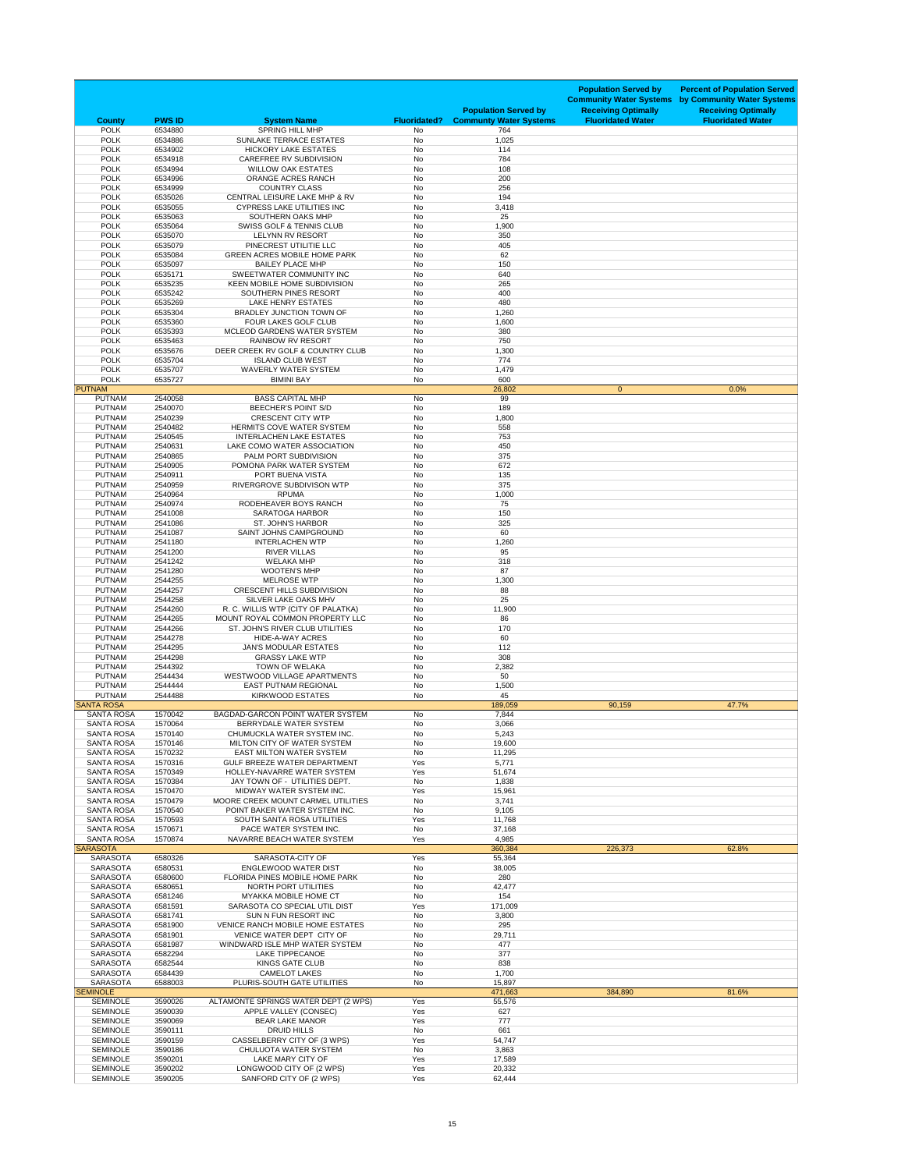| <b>County</b>                          | <b>PWS ID</b>      | <b>System Name</b>                                                  | <b>Fluoridated?</b>    | <b>Population Served by</b><br><b>Communty Water Systems</b> | <b>Population Served by</b><br><b>Community Water Systems</b><br><b>Receiving Optimally</b><br><b>Fluoridated Water</b> | <b>Percent of Population Served</b><br>by Community Water Systems<br><b>Receiving Optimally</b><br><b>Fluoridated Water</b> |
|----------------------------------------|--------------------|---------------------------------------------------------------------|------------------------|--------------------------------------------------------------|-------------------------------------------------------------------------------------------------------------------------|-----------------------------------------------------------------------------------------------------------------------------|
| <b>POLK</b>                            | 6534880            | <b>SPRING HILL MHP</b>                                              | <b>No</b>              | 764                                                          |                                                                                                                         |                                                                                                                             |
| <b>POLK</b><br><b>POLK</b>             | 6534886<br>6534902 | SUNLAKE TERRACE ESTATES<br><b>HICKORY LAKE ESTATES</b>              | <b>No</b><br>No        | 1,025<br>114                                                 |                                                                                                                         |                                                                                                                             |
| <b>POLK</b>                            | 6534918            | <b>CAREFREE RV SUBDIVISION</b>                                      | No                     | 784                                                          |                                                                                                                         |                                                                                                                             |
| <b>POLK</b>                            | 6534994            | <b>WILLOW OAK ESTATES</b>                                           | No                     | 108                                                          |                                                                                                                         |                                                                                                                             |
| <b>POLK</b><br><b>POLK</b>             | 6534996<br>6534999 | <b>ORANGE ACRES RANCH</b><br><b>COUNTRY CLASS</b>                   | <b>No</b><br><b>No</b> | 200<br>256                                                   |                                                                                                                         |                                                                                                                             |
| <b>POLK</b>                            | 6535026            | CENTRAL LEISURE LAKE MHP & RV                                       | No                     | 194                                                          |                                                                                                                         |                                                                                                                             |
| <b>POLK</b>                            | 6535055            | <b>CYPRESS LAKE UTILITIES INC</b>                                   | No                     | 3,418                                                        |                                                                                                                         |                                                                                                                             |
| <b>POLK</b><br><b>POLK</b>             | 6535063<br>6535064 | <b>SOUTHERN OAKS MHP</b><br><b>SWISS GOLF &amp; TENNIS CLUB</b>     | <b>No</b><br>No        | 25<br>1,900                                                  |                                                                                                                         |                                                                                                                             |
| <b>POLK</b>                            | 6535070            | <b>LELYNN RV RESORT</b>                                             | <b>No</b>              | 350                                                          |                                                                                                                         |                                                                                                                             |
| <b>POLK</b>                            | 6535079            | PINECREST UTILITIE LLC                                              | No                     | 405                                                          |                                                                                                                         |                                                                                                                             |
| <b>POLK</b><br><b>POLK</b>             | 6535084<br>6535097 | <b>GREEN ACRES MOBILE HOME PARK</b><br><b>BAILEY PLACE MHP</b>      | <b>No</b><br>No        | 62<br>150                                                    |                                                                                                                         |                                                                                                                             |
| <b>POLK</b>                            | 6535171            | SWEETWATER COMMUNITY INC                                            | <b>No</b>              | 640                                                          |                                                                                                                         |                                                                                                                             |
| <b>POLK</b><br><b>POLK</b>             | 6535235<br>6535242 | <b>KEEN MOBILE HOME SUBDIVISION</b><br>SOUTHERN PINES RESORT        | <b>No</b><br>No        | 265<br>400                                                   |                                                                                                                         |                                                                                                                             |
| <b>POLK</b>                            | 6535269            | <b>LAKE HENRY ESTATES</b>                                           | <b>No</b>              | 480                                                          |                                                                                                                         |                                                                                                                             |
| <b>POLK</b>                            | 6535304            | <b>BRADLEY JUNCTION TOWN OF</b>                                     | <b>No</b>              | 1,260                                                        |                                                                                                                         |                                                                                                                             |
| <b>POLK</b><br><b>POLK</b>             | 6535360<br>6535393 | FOUR LAKES GOLF CLUB<br>MCLEOD GARDENS WATER SYSTEM                 | No<br><b>No</b>        | 1,600<br>380                                                 |                                                                                                                         |                                                                                                                             |
| <b>POLK</b>                            | 6535463            | <b>RAINBOW RV RESORT</b>                                            | No                     | 750                                                          |                                                                                                                         |                                                                                                                             |
| <b>POLK</b>                            | 6535676            | DEER CREEK RV GOLF & COUNTRY CLUB                                   | <b>No</b>              | 1,300                                                        |                                                                                                                         |                                                                                                                             |
| <b>POLK</b><br><b>POLK</b>             | 6535704<br>6535707 | <b>ISLAND CLUB WEST</b><br><b>WAVERLY WATER SYSTEM</b>              | <b>No</b><br><b>No</b> | 774<br>1,479                                                 |                                                                                                                         |                                                                                                                             |
| <b>POLK</b>                            | 6535727            | <b>BIMINI BAY</b>                                                   | No                     | 600                                                          |                                                                                                                         |                                                                                                                             |
| <b>PUTNAM</b>                          |                    |                                                                     |                        | 26,802                                                       | $\overline{0}$                                                                                                          | 0.0%                                                                                                                        |
| <b>PUTNAM</b><br><b>PUTNAM</b>         | 2540058<br>2540070 | <b>BASS CAPITAL MHP</b><br><b>BEECHER'S POINT S/D</b>               | No<br>No               | 99<br>189                                                    |                                                                                                                         |                                                                                                                             |
| <b>PUTNAM</b>                          | 2540239            | <b>CRESCENT CITY WTP</b>                                            | No                     | 1,800                                                        |                                                                                                                         |                                                                                                                             |
| <b>PUTNAM</b>                          | 2540482            | HERMITS COVE WATER SYSTEM                                           | No                     | 558                                                          |                                                                                                                         |                                                                                                                             |
| <b>PUTNAM</b><br><b>PUTNAM</b>         | 2540545<br>2540631 | <b>INTERLACHEN LAKE ESTATES</b><br>LAKE COMO WATER ASSOCIATION      | <b>No</b><br>No        | 753<br>450                                                   |                                                                                                                         |                                                                                                                             |
| <b>PUTNAM</b>                          | 2540865            | PALM PORT SUBDIVISION                                               | No                     | 375                                                          |                                                                                                                         |                                                                                                                             |
| <b>PUTNAM</b>                          | 2540905            | POMONA PARK WATER SYSTEM                                            | No                     | 672                                                          |                                                                                                                         |                                                                                                                             |
| <b>PUTNAM</b><br><b>PUTNAM</b>         | 2540911<br>2540959 | PORT BUENA VISTA<br>RIVERGROVE SUBDIVISON WTP                       | No<br>No               | 135<br>375                                                   |                                                                                                                         |                                                                                                                             |
| <b>PUTNAM</b>                          | 2540964            | <b>RPUMA</b>                                                        | <b>No</b>              | 1,000                                                        |                                                                                                                         |                                                                                                                             |
| <b>PUTNAM</b>                          | 2540974            | RODEHEAVER BOYS RANCH                                               | No                     | 75                                                           |                                                                                                                         |                                                                                                                             |
| <b>PUTNAM</b><br><b>PUTNAM</b>         | 2541008<br>2541086 | <b>SARATOGA HARBOR</b><br><b>ST. JOHN'S HARBOR</b>                  | No<br>No               | 150<br>325                                                   |                                                                                                                         |                                                                                                                             |
| <b>PUTNAM</b>                          | 2541087            | SAINT JOHNS CAMPGROUND                                              | <b>No</b>              | 60                                                           |                                                                                                                         |                                                                                                                             |
| <b>PUTNAM</b>                          | 2541180            | <b>INTERLACHEN WTP</b>                                              | No                     | 1,260                                                        |                                                                                                                         |                                                                                                                             |
| <b>PUTNAM</b><br><b>PUTNAM</b>         | 2541200<br>2541242 | <b>RIVER VILLAS</b><br><b>WELAKA MHP</b>                            | No<br>No               | 95<br>318                                                    |                                                                                                                         |                                                                                                                             |
| <b>PUTNAM</b>                          | 2541280            | <b>WOOTEN'S MHP</b>                                                 | No                     | 87                                                           |                                                                                                                         |                                                                                                                             |
| <b>PUTNAM</b><br><b>PUTNAM</b>         | 2544255<br>2544257 | <b>MELROSE WTP</b><br><b>CRESCENT HILLS SUBDIVISION</b>             | No<br>No               | 1,300<br>88                                                  |                                                                                                                         |                                                                                                                             |
| <b>PUTNAM</b>                          | 2544258            | SILVER LAKE OAKS MHV                                                | No                     | 25                                                           |                                                                                                                         |                                                                                                                             |
| <b>PUTNAM</b>                          | 2544260            | R. C. WILLIS WTP (CITY OF PALATKA)                                  | <b>No</b>              | 11,900                                                       |                                                                                                                         |                                                                                                                             |
| <b>PUTNAM</b><br><b>PUTNAM</b>         | 2544265<br>2544266 | MOUNT ROYAL COMMON PROPERTY LLC<br>ST. JOHN'S RIVER CLUB UTILITIES  | <b>No</b><br>No        | 86<br>170                                                    |                                                                                                                         |                                                                                                                             |
| <b>PUTNAM</b>                          | 2544278            | HIDE-A-WAY ACRES                                                    | No                     | 60                                                           |                                                                                                                         |                                                                                                                             |
| <b>PUTNAM</b>                          | 2544295            | <b>JAN'S MODULAR ESTATES</b>                                        | No                     | 112                                                          |                                                                                                                         |                                                                                                                             |
| <b>PUTNAM</b><br><b>PUTNAM</b>         | 2544298<br>2544392 | <b>GRASSY LAKE WTP</b><br><b>TOWN OF WELAKA</b>                     | No<br>No               | 308<br>2,382                                                 |                                                                                                                         |                                                                                                                             |
| <b>PUTNAM</b>                          | 2544434            | <b>WESTWOOD VILLAGE APARTMENTS</b>                                  | No                     | 50                                                           |                                                                                                                         |                                                                                                                             |
| <b>PUTNAM</b>                          | 2544444            | EAST PUTNAM REGIONAL                                                | No                     | 1,500                                                        |                                                                                                                         |                                                                                                                             |
| <b>PUTNAM</b><br><b>SANTA ROSA</b>     | 2544488            | <b>KIRKWOOD ESTATES</b>                                             | No                     | 45<br>189,059                                                | 90,159                                                                                                                  | 47.7%                                                                                                                       |
| <b>SANTA ROSA</b>                      | 1570042            | <b>BAGDAD-GARCON POINT WATER SYSTEM</b>                             | No                     | 7,844                                                        |                                                                                                                         |                                                                                                                             |
| <b>SANTA ROSA</b><br><b>SANTA ROSA</b> | 1570064<br>1570140 | <b>BERRYDALE WATER SYSTEM</b><br>CHUMUCKLA WATER SYSTEM INC.        | No<br>No               | 3,066<br>5,243                                               |                                                                                                                         |                                                                                                                             |
| <b>SANTA ROSA</b>                      | 1570146            | MILTON CITY OF WATER SYSTEM                                         | <b>No</b>              | 19,600                                                       |                                                                                                                         |                                                                                                                             |
| <b>SANTA ROSA</b>                      | 1570232            | <b>EAST MILTON WATER SYSTEM</b>                                     | No                     | 11,295                                                       |                                                                                                                         |                                                                                                                             |
| <b>SANTA ROSA</b><br><b>SANTA ROSA</b> | 1570316<br>1570349 | <b>GULF BREEZE WATER DEPARTMENT</b><br>HOLLEY-NAVARRE WATER SYSTEM  | Yes<br>Yes             | 5,771<br>51,674                                              |                                                                                                                         |                                                                                                                             |
| <b>SANTA ROSA</b>                      | 1570384            | JAY TOWN OF - UTILITIES DEPT.                                       | No                     | 1,838                                                        |                                                                                                                         |                                                                                                                             |
| <b>SANTA ROSA</b>                      | 1570470            | MIDWAY WATER SYSTEM INC.                                            | Yes                    | 15,961                                                       |                                                                                                                         |                                                                                                                             |
| <b>SANTA ROSA</b><br><b>SANTA ROSA</b> | 1570479<br>1570540 | MOORE CREEK MOUNT CARMEL UTILITIES<br>POINT BAKER WATER SYSTEM INC. | No<br>No               | 3,741<br>9,105                                               |                                                                                                                         |                                                                                                                             |
| <b>SANTA ROSA</b>                      | 1570593            | SOUTH SANTA ROSA UTILITIES                                          | Yes                    | 11,768                                                       |                                                                                                                         |                                                                                                                             |
| <b>SANTA ROSA</b>                      | 1570671            | PACE WATER SYSTEM INC.                                              | No                     | 37,168                                                       |                                                                                                                         |                                                                                                                             |
| <b>SANTA ROSA</b><br><b>SARASOTA</b>   | 1570874            | NAVARRE BEACH WATER SYSTEM                                          | Yes                    | 4,985<br>360,384                                             | 226,373                                                                                                                 | 62.8%                                                                                                                       |
| <b>SARASOTA</b>                        | 6580326            | SARASOTA-CITY OF                                                    | Yes                    | 55,364                                                       |                                                                                                                         |                                                                                                                             |
| <b>SARASOTA</b>                        | 6580531            | <b>ENGLEWOOD WATER DIST</b>                                         | No                     | 38,005                                                       |                                                                                                                         |                                                                                                                             |
| <b>SARASOTA</b><br><b>SARASOTA</b>     | 6580600<br>6580651 | FLORIDA PINES MOBILE HOME PARK<br>NORTH PORT UTILITIES              | No<br>No               | 280<br>42,477                                                |                                                                                                                         |                                                                                                                             |
| <b>SARASOTA</b>                        | 6581246            | <b>MYAKKA MOBILE HOME CT</b>                                        | No                     | 154                                                          |                                                                                                                         |                                                                                                                             |
| <b>SARASOTA</b>                        | 6581591            | SARASOTA CO SPECIAL UTIL DIST                                       | Yes                    | 171,009                                                      |                                                                                                                         |                                                                                                                             |
| <b>SARASOTA</b><br><b>SARASOTA</b>     | 6581741<br>6581900 | SUN N FUN RESORT INC<br><b>VENICE RANCH MOBILE HOME ESTATES</b>     | No<br><b>No</b>        | 3,800<br>295                                                 |                                                                                                                         |                                                                                                                             |
| <b>SARASOTA</b>                        | 6581901            | VENICE WATER DEPT CITY OF                                           | <b>No</b>              | 29,711                                                       |                                                                                                                         |                                                                                                                             |
| <b>SARASOTA</b>                        | 6581987            | WINDWARD ISLE MHP WATER SYSTEM                                      | No                     | 477                                                          |                                                                                                                         |                                                                                                                             |
| <b>SARASOTA</b><br><b>SARASOTA</b>     | 6582294<br>6582544 | <b>LAKE TIPPECANOE</b><br><b>KINGS GATE CLUB</b>                    | No<br><b>No</b>        | 377<br>838                                                   |                                                                                                                         |                                                                                                                             |
| <b>SARASOTA</b>                        | 6584439            | <b>CAMELOT LAKES</b>                                                | No                     | 1,700                                                        |                                                                                                                         |                                                                                                                             |
| <b>SARASOTA</b>                        | 6588003            | PLURIS-SOUTH GATE UTILITIES                                         | No                     | 15,897                                                       |                                                                                                                         |                                                                                                                             |
| <b>SEMINOLE</b><br><b>SEMINOLE</b>     | 3590026            | ALTAMONTE SPRINGS WATER DEPT (2 WPS)                                | Yes                    | 471,663<br>55,576                                            | 384,890                                                                                                                 | 81.6%                                                                                                                       |
| <b>SEMINOLE</b>                        | 3590039            | APPLE VALLEY (CONSEC)                                               | Yes                    | 627                                                          |                                                                                                                         |                                                                                                                             |
| <b>SEMINOLE</b><br><b>SEMINOLE</b>     | 3590069            | <b>BEAR LAKE MANOR</b><br><b>DRUID HILLS</b>                        | Yes<br>No              | 777<br>661                                                   |                                                                                                                         |                                                                                                                             |
| <b>SEMINOLE</b>                        | 3590111<br>3590159 | CASSELBERRY CITY OF (3 WPS)                                         | Yes                    | 54,747                                                       |                                                                                                                         |                                                                                                                             |
| <b>SEMINOLE</b>                        | 3590186            | <b>CHULUOTA WATER SYSTEM</b>                                        | No                     | 3,863                                                        |                                                                                                                         |                                                                                                                             |
| <b>SEMINOLE</b><br><b>SEMINOLE</b>     | 3590201<br>3590202 | LAKE MARY CITY OF<br>LONGWOOD CITY OF (2 WPS)                       | Yes<br>Yes             | 17,589<br>20,332                                             |                                                                                                                         |                                                                                                                             |
| <b>SEMINOLE</b>                        | 3590205            | SANFORD CITY OF (2 WPS)                                             | Yes                    | 62,444                                                       |                                                                                                                         |                                                                                                                             |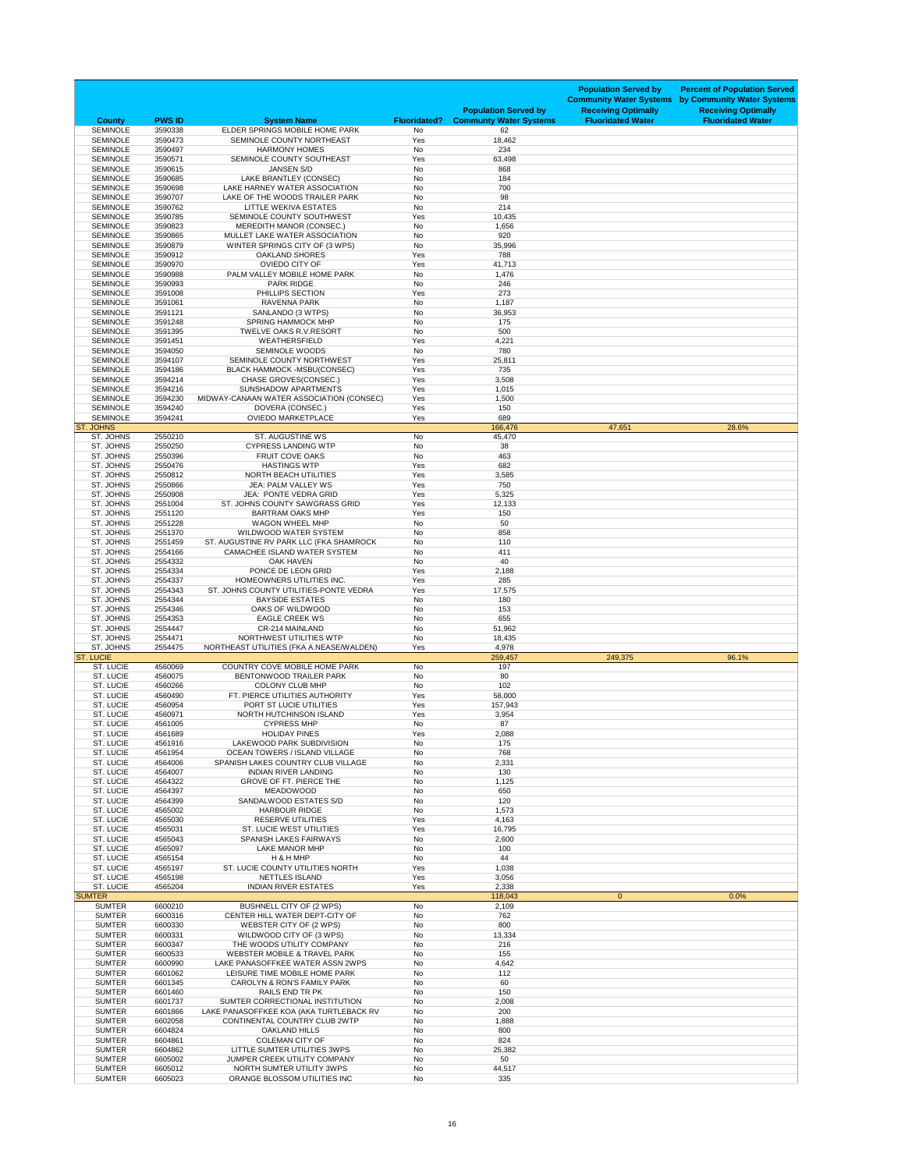| <b>County</b>                        | <b>PWS ID</b>      | <b>System Name</b>                                                         | <b>Fluoridated?</b> | <b>Population Served by</b><br><b>Communty Water Systems</b> | <b>Population Served by</b><br><b>Community Water Systems</b><br><b>Receiving Optimally</b><br><b>Fluoridated Water</b> | <b>Percent of Population Served</b><br>by Community Water Systems<br><b>Receiving Optimally</b><br><b>Fluoridated Water</b> |
|--------------------------------------|--------------------|----------------------------------------------------------------------------|---------------------|--------------------------------------------------------------|-------------------------------------------------------------------------------------------------------------------------|-----------------------------------------------------------------------------------------------------------------------------|
| <b>SEMINOLE</b><br><b>SEMINOLE</b>   | 3590338<br>3590473 | ELDER SPRINGS MOBILE HOME PARK<br>SEMINOLE COUNTY NORTHEAST                | No<br>Yes           | 62<br>18,462                                                 |                                                                                                                         |                                                                                                                             |
| <b>SEMINOLE</b>                      | 3590497            | <b>HARMONY HOMES</b>                                                       | No                  | 234                                                          |                                                                                                                         |                                                                                                                             |
| <b>SEMINOLE</b>                      | 3590571            | SEMINOLE COUNTY SOUTHEAST                                                  | Yes                 | 63,498                                                       |                                                                                                                         |                                                                                                                             |
| <b>SEMINOLE</b><br><b>SEMINOLE</b>   | 3590615<br>3590685 | <b>JANSEN S/D</b><br>LAKE BRANTLEY (CONSEC)                                | No<br>No            | 868<br>184                                                   |                                                                                                                         |                                                                                                                             |
| <b>SEMINOLE</b>                      | 3590698            | LAKE HARNEY WATER ASSOCIATION                                              | <b>No</b>           | 700                                                          |                                                                                                                         |                                                                                                                             |
| <b>SEMINOLE</b>                      | 3590707            | LAKE OF THE WOODS TRAILER PARK                                             | No                  | 98<br>214                                                    |                                                                                                                         |                                                                                                                             |
| <b>SEMINOLE</b><br><b>SEMINOLE</b>   | 3590762<br>3590785 | <b>LITTLE WEKIVA ESTATES</b><br>SEMINOLE COUNTY SOUTHWEST                  | No<br>Yes           | 10,435                                                       |                                                                                                                         |                                                                                                                             |
| <b>SEMINOLE</b>                      | 3590823            | <b>MEREDITH MANOR (CONSEC.)</b>                                            | No                  | 1,656                                                        |                                                                                                                         |                                                                                                                             |
| <b>SEMINOLE</b><br><b>SEMINOLE</b>   | 3590865<br>3590879 | MULLET LAKE WATER ASSOCIATION<br>WINTER SPRINGS CITY OF (3 WPS)            | No                  | 920                                                          |                                                                                                                         |                                                                                                                             |
| <b>SEMINOLE</b>                      | 3590912            | <b>OAKLAND SHORES</b>                                                      | No<br>Yes           | 35,996<br>788                                                |                                                                                                                         |                                                                                                                             |
| <b>SEMINOLE</b>                      | 3590970            | <b>OVIEDO CITY OF</b>                                                      | Yes                 | 41,713                                                       |                                                                                                                         |                                                                                                                             |
| <b>SEMINOLE</b><br><b>SEMINOLE</b>   | 3590988<br>3590993 | PALM VALLEY MOBILE HOME PARK<br><b>PARK RIDGE</b>                          | No<br>No            | 1,476<br>246                                                 |                                                                                                                         |                                                                                                                             |
| <b>SEMINOLE</b>                      | 3591008            | PHILLIPS SECTION                                                           | Yes                 | 273                                                          |                                                                                                                         |                                                                                                                             |
| <b>SEMINOLE</b>                      | 3591061            | RAVENNA PARK                                                               | No                  | 1,187                                                        |                                                                                                                         |                                                                                                                             |
| <b>SEMINOLE</b><br><b>SEMINOLE</b>   | 3591121<br>3591248 | SANLANDO (3 WTPS)<br><b>SPRING HAMMOCK MHP</b>                             | No<br>No            | 36,953<br>175                                                |                                                                                                                         |                                                                                                                             |
| <b>SEMINOLE</b>                      | 3591395            | TWELVE OAKS R.V.RESORT                                                     | No                  | 500                                                          |                                                                                                                         |                                                                                                                             |
| <b>SEMINOLE</b>                      | 3591451            | <b>WEATHERSFIELD</b>                                                       | Yes                 | 4,221                                                        |                                                                                                                         |                                                                                                                             |
| <b>SEMINOLE</b><br><b>SEMINOLE</b>   | 3594050<br>3594107 | <b>SEMINOLE WOODS</b><br>SEMINOLE COUNTY NORTHWEST                         | No<br>Yes           | 780<br>25,811                                                |                                                                                                                         |                                                                                                                             |
| <b>SEMINOLE</b>                      | 3594186            | <b>BLACK HAMMOCK -MSBU(CONSEC)</b>                                         | Yes                 | 735                                                          |                                                                                                                         |                                                                                                                             |
| <b>SEMINOLE</b>                      | 3594214            | CHASE GROVES(CONSEC.)                                                      | Yes                 | 3,508                                                        |                                                                                                                         |                                                                                                                             |
| <b>SEMINOLE</b><br><b>SEMINOLE</b>   | 3594216<br>3594230 | <b>SUNSHADOW APARTMENTS</b><br>MIDWAY-CANAAN WATER ASSOCIATION (CONSEC)    | Yes<br>Yes          | 1,015<br>1,500                                               |                                                                                                                         |                                                                                                                             |
| <b>SEMINOLE</b>                      | 3594240            | DOVERA (CONSEC.)                                                           | Yes                 | 150                                                          |                                                                                                                         |                                                                                                                             |
| <b>SEMINOLE</b>                      | 3594241            | <b>OVIEDO MARKETPLACE</b>                                                  | Yes                 | 689                                                          |                                                                                                                         |                                                                                                                             |
| <b>ST. JOHNS</b><br>ST. JOHNS        | 2550210            | <b>ST. AUGUSTINE WS</b>                                                    | No                  | 166,476<br>45,470                                            | 47,651                                                                                                                  | 28.6%                                                                                                                       |
| ST. JOHNS                            | 2550250            | <b>CYPRESS LANDING WTP</b>                                                 | No                  | 38                                                           |                                                                                                                         |                                                                                                                             |
| ST. JOHNS                            | 2550396            | <b>FRUIT COVE OAKS</b>                                                     | No                  | 463                                                          |                                                                                                                         |                                                                                                                             |
| ST. JOHNS<br>ST. JOHNS               | 2550476<br>2550812 | <b>HASTINGS WTP</b><br>NORTH BEACH UTILITIES                               | Yes<br>Yes          | 682<br>3,585                                                 |                                                                                                                         |                                                                                                                             |
| ST. JOHNS                            | 2550866            | JEA: PALM VALLEY WS                                                        | Yes                 | 750                                                          |                                                                                                                         |                                                                                                                             |
| ST. JOHNS                            | 2550908            | JEA: PONTE VEDRA GRID                                                      | Yes                 | 5,325                                                        |                                                                                                                         |                                                                                                                             |
| ST. JOHNS<br>ST. JOHNS               | 2551004<br>2551120 | ST. JOHNS COUNTY SAWGRASS GRID<br><b>BARTRAM OAKS MHP</b>                  | Yes<br>Yes          | 12,133<br>150                                                |                                                                                                                         |                                                                                                                             |
| ST. JOHNS                            | 2551228            | <b>WAGON WHEEL MHP</b>                                                     | No                  | 50                                                           |                                                                                                                         |                                                                                                                             |
| ST. JOHNS                            | 2551370            | <b>WILDWOOD WATER SYSTEM</b>                                               | No                  | 858                                                          |                                                                                                                         |                                                                                                                             |
| ST. JOHNS<br>ST. JOHNS               | 2551459<br>2554166 | ST. AUGUSTINE RV PARK LLC (FKA SHAMROCK<br>CAMACHEE ISLAND WATER SYSTEM    | No<br>No            | 110<br>411                                                   |                                                                                                                         |                                                                                                                             |
| ST. JOHNS                            | 2554332            | <b>OAK HAVEN</b>                                                           | No                  | 40                                                           |                                                                                                                         |                                                                                                                             |
| ST. JOHNS                            | 2554334            | PONCE DE LEON GRID                                                         | Yes                 | 2,188                                                        |                                                                                                                         |                                                                                                                             |
| ST. JOHNS<br>ST. JOHNS               | 2554337<br>2554343 | HOMEOWNERS UTILITIES INC.<br>ST. JOHNS COUNTY UTILITIES-PONTE VEDRA        | Yes<br>Yes          | 285<br>17,575                                                |                                                                                                                         |                                                                                                                             |
| ST. JOHNS                            | 2554344            | <b>BAYSIDE ESTATES</b>                                                     | No                  | 180                                                          |                                                                                                                         |                                                                                                                             |
| ST. JOHNS                            | 2554346            | OAKS OF WILDWOOD                                                           | No                  | 153                                                          |                                                                                                                         |                                                                                                                             |
| ST. JOHNS<br>ST. JOHNS               | 2554353<br>2554447 | <b>EAGLE CREEK WS</b><br>CR-214 MAINLAND                                   | No<br>No            | 655<br>51,962                                                |                                                                                                                         |                                                                                                                             |
| ST. JOHNS                            | 2554471            | NORTHWEST UTILITIES WTP                                                    | No                  | 18,435                                                       |                                                                                                                         |                                                                                                                             |
| ST. JOHNS<br><b>ST. LUCIE</b>        | 2554475            | NORTHEAST UTILITIES (FKA A.NEASE/WALDEN)                                   | Yes                 | 4,978<br>259,457                                             | 249,375                                                                                                                 | 96.1%                                                                                                                       |
| ST. LUCIE                            | 4560069            | <b>COUNTRY COVE MOBILE HOME PARK</b>                                       | No                  | 197                                                          |                                                                                                                         |                                                                                                                             |
| ST. LUCIE                            | 4560075            | <b>BENTONWOOD TRAILER PARK</b>                                             | No                  | 80                                                           |                                                                                                                         |                                                                                                                             |
| ST. LUCIE<br>ST. LUCIE               | 4560266<br>4560490 | <b>COLONY CLUB MHP</b><br>FT. PIERCE UTILITIES AUTHORITY                   | No<br>Yes           | 102<br>58,000                                                |                                                                                                                         |                                                                                                                             |
| <b>ST. LUCIE</b>                     | 4560954            | PORT ST LUCIE UTILITIES                                                    | Yes                 | 157,943                                                      |                                                                                                                         |                                                                                                                             |
| <b>ST. LUCIE</b>                     | 4560971            | NORTH HUTCHINSON ISLAND                                                    | Yes                 | 3,954                                                        |                                                                                                                         |                                                                                                                             |
| ST. LUCIE<br><b>ST. LUCIE</b>        | 4561005<br>4561689 | <b>CYPRESS MHP</b><br><b>HOLIDAY PINES</b>                                 | No                  | 87<br>2,088                                                  |                                                                                                                         |                                                                                                                             |
| <b>ST. LUCIE</b>                     | 4561916            | LAKEWOOD PARK SUBDIVISION                                                  | Yes<br>No           | 175                                                          |                                                                                                                         |                                                                                                                             |
| <b>ST. LUCIE</b>                     | 4561954            | <b>OCEAN TOWERS / ISLAND VILLAGE</b>                                       | No                  | 768                                                          |                                                                                                                         |                                                                                                                             |
| <b>ST. LUCIE</b>                     | 4564006            | SPANISH LAKES COUNTRY CLUB VILLAGE                                         | No                  | 2,331                                                        |                                                                                                                         |                                                                                                                             |
| <b>ST. LUCIE</b><br><b>ST. LUCIE</b> | 4564007<br>4564322 | <b>INDIAN RIVER LANDING</b><br><b>GROVE OF FT. PIERCE THE</b>              | No<br>No            | 130<br>1,125                                                 |                                                                                                                         |                                                                                                                             |
| <b>ST. LUCIE</b>                     | 4564397            | <b>MEADOWOOD</b>                                                           | No                  | 650                                                          |                                                                                                                         |                                                                                                                             |
| ST. LUCIE<br><b>ST. LUCIE</b>        | 4564399<br>4565002 | SANDALWOOD ESTATES S/D<br><b>HARBOUR RIDGE</b>                             | No<br>No            | 120<br>1,573                                                 |                                                                                                                         |                                                                                                                             |
| <b>ST. LUCIE</b>                     | 4565030            | <b>RESERVE UTILITIES</b>                                                   | Yes                 | 4,163                                                        |                                                                                                                         |                                                                                                                             |
| <b>ST. LUCIE</b>                     | 4565031            | <b>ST. LUCIE WEST UTILITIES</b>                                            | Yes                 | 16,795                                                       |                                                                                                                         |                                                                                                                             |
| <b>ST. LUCIE</b>                     | 4565043            | <b>SPANISH LAKES FAIRWAYS</b>                                              | No                  | 2,600                                                        |                                                                                                                         |                                                                                                                             |
| <b>ST. LUCIE</b><br><b>ST. LUCIE</b> | 4565097<br>4565154 | <b>LAKE MANOR MHP</b><br>H & H MHP                                         | No<br>No            | 100<br>44                                                    |                                                                                                                         |                                                                                                                             |
| <b>ST. LUCIE</b>                     | 4565197            | ST. LUCIE COUNTY UTILITIES NORTH                                           | Yes                 | 1,038                                                        |                                                                                                                         |                                                                                                                             |
| <b>ST. LUCIE</b>                     | 4565198            | <b>NETTLES ISLAND</b>                                                      | Yes                 | 3,056                                                        |                                                                                                                         |                                                                                                                             |
| <b>ST. LUCIE</b><br><b>SUMTER</b>    | 4565204            | <b>INDIAN RIVER ESTATES</b>                                                | Yes                 | 2,338<br>118,043                                             | $\overline{0}$                                                                                                          | 0.0%                                                                                                                        |
| <b>SUMTER</b>                        | 6600210            | <b>BUSHNELL CITY OF (2 WPS)</b>                                            | No                  | 2,109                                                        |                                                                                                                         |                                                                                                                             |
| <b>SUMTER</b>                        | 6600316            | CENTER HILL WATER DEPT-CITY OF                                             | No                  | 762                                                          |                                                                                                                         |                                                                                                                             |
| <b>SUMTER</b><br><b>SUMTER</b>       | 6600330<br>6600331 | WEBSTER CITY OF (2 WPS)<br>WILDWOOD CITY OF (3 WPS)                        | No<br>No            | 800<br>13,334                                                |                                                                                                                         |                                                                                                                             |
| <b>SUMTER</b>                        | 6600347            | THE WOODS UTILITY COMPANY                                                  | No                  | 216                                                          |                                                                                                                         |                                                                                                                             |
| <b>SUMTER</b>                        | 6600533            | <b>WEBSTER MOBILE &amp; TRAVEL PARK</b>                                    | No                  | 155                                                          |                                                                                                                         |                                                                                                                             |
| <b>SUMTER</b><br><b>SUMTER</b>       | 6600990<br>6601062 | LAKE PANASOFFKEE WATER ASSN 2WPS<br>LEISURE TIME MOBILE HOME PARK          | No<br>No            | 4,642<br>112                                                 |                                                                                                                         |                                                                                                                             |
| <b>SUMTER</b>                        | 6601345            | <b>CAROLYN &amp; RON'S FAMILY PARK</b>                                     | No                  | 60                                                           |                                                                                                                         |                                                                                                                             |
| <b>SUMTER</b>                        | 6601460            | RAILS END TR PK                                                            | No                  | 150                                                          |                                                                                                                         |                                                                                                                             |
| <b>SUMTER</b><br><b>SUMTER</b>       | 6601737<br>6601866 | SUMTER CORRECTIONAL INSTITUTION<br>LAKE PANASOFFKEE KOA (AKA TURTLEBACK RV | No<br>No            | 2,008<br>200                                                 |                                                                                                                         |                                                                                                                             |
| <b>SUMTER</b>                        | 6602058            | CONTINENTAL COUNTRY CLUB 2WTP                                              | No                  | 1,888                                                        |                                                                                                                         |                                                                                                                             |
| <b>SUMTER</b>                        | 6604824            | <b>OAKLAND HILLS</b>                                                       | No                  | 800                                                          |                                                                                                                         |                                                                                                                             |
| <b>SUMTER</b><br><b>SUMTER</b>       | 6604861<br>6604862 | <b>COLEMAN CITY OF</b><br>LITTLE SUMTER UTILITIES 3WPS                     | No<br>No            | 824<br>25,382                                                |                                                                                                                         |                                                                                                                             |
| <b>SUMTER</b>                        | 6605002            | JUMPER CREEK UTILITY COMPANY                                               | No                  | 50                                                           |                                                                                                                         |                                                                                                                             |
| <b>SUMTER</b>                        | 6605012            | NORTH SUMTER UTILITY 3WPS                                                  | No                  | 44,517                                                       |                                                                                                                         |                                                                                                                             |
| <b>SUMTER</b>                        | 6605023            | ORANGE BLOSSOM UTILITIES INC                                               | No                  | 335                                                          |                                                                                                                         |                                                                                                                             |